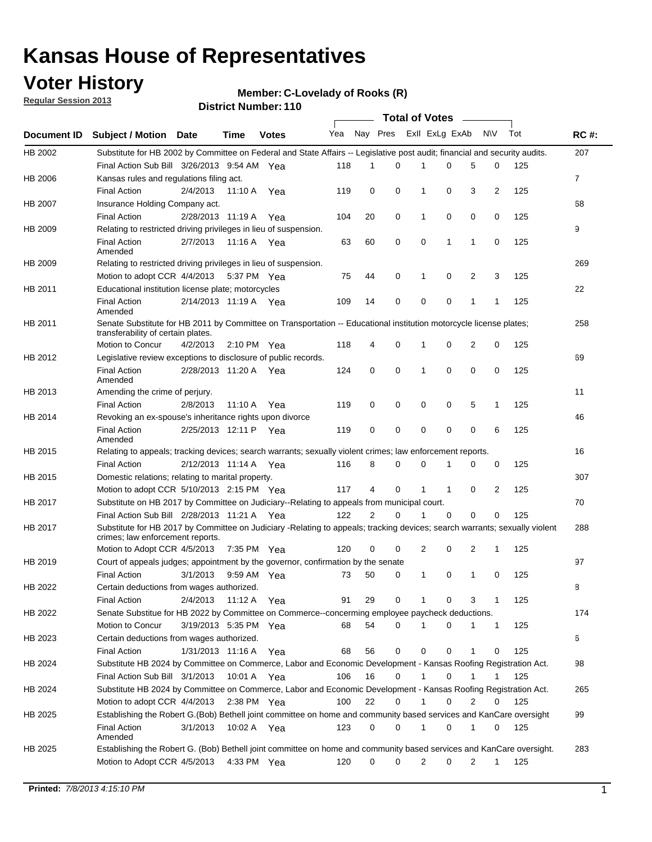### **Voter History**

**Member: C-Lovelady of Rooks (R)** 

**Regular Session 2013**

|             |                                                                                                                                                                |                       |             |               |     |          |             | <b>Total of Votes</b> |             |                |                |     |             |
|-------------|----------------------------------------------------------------------------------------------------------------------------------------------------------------|-----------------------|-------------|---------------|-----|----------|-------------|-----------------------|-------------|----------------|----------------|-----|-------------|
| Document ID | Subject / Motion Date                                                                                                                                          |                       | Time        | <b>Votes</b>  | Yea | Nay Pres |             | Exll ExLg ExAb        |             |                | <b>NV</b>      | Tot | <b>RC#:</b> |
| HB 2002     | Substitute for HB 2002 by Committee on Federal and State Affairs -- Legislative post audit; financial and security audits.                                     |                       |             |               |     |          |             |                       |             |                |                |     | 207         |
|             | Final Action Sub Bill 3/26/2013 9:54 AM Yea                                                                                                                    |                       |             |               | 118 | 1        | 0           | 1                     | 0           | 5              | 0              | 125 |             |
| HB 2006     | Kansas rules and regulations filing act.                                                                                                                       |                       |             |               |     |          |             |                       |             |                |                |     | 7           |
|             | <b>Final Action</b>                                                                                                                                            | 2/4/2013              |             | 11:10 A Yea   | 119 | 0        | 0           | 1                     | 0           | 3              | 2              | 125 |             |
| HB 2007     | Insurance Holding Company act.                                                                                                                                 |                       |             |               |     |          |             |                       |             |                |                |     | 68          |
|             | <b>Final Action</b>                                                                                                                                            | 2/28/2013 11:19 A     |             | Yea           | 104 | 20       | 0           | 1                     | 0           | 0              | 0              | 125 |             |
| HB 2009     | Relating to restricted driving privileges in lieu of suspension.                                                                                               |                       |             |               |     |          |             |                       |             |                |                |     | 9           |
|             | <b>Final Action</b><br>Amended                                                                                                                                 | 2/7/2013              | 11:16 A     | Yea           | 63  | 60       | 0           | 0                     | 1           | $\mathbf{1}$   | 0              | 125 |             |
| HB 2009     | Relating to restricted driving privileges in lieu of suspension.                                                                                               |                       |             |               |     |          |             |                       |             |                |                |     | 269         |
|             | Motion to adopt CCR 4/4/2013                                                                                                                                   |                       |             | 5:37 PM Yea   | 75  | 44       | 0           | 1                     | 0           | $\overline{2}$ | 3              | 125 |             |
| HB 2011     | Educational institution license plate; motorcycles                                                                                                             |                       |             |               |     |          |             |                       |             |                |                |     | 22          |
|             | <b>Final Action</b><br>Amended                                                                                                                                 | 2/14/2013 11:19 A Yea |             |               | 109 | 14       | 0           | 0                     | 0           | 1              | 1              | 125 |             |
| HB 2011     | Senate Substitute for HB 2011 by Committee on Transportation -- Educational institution motorcycle license plates;<br>transferability of certain plates.       |                       |             |               |     |          |             |                       |             |                |                |     | 258         |
|             | Motion to Concur                                                                                                                                               | 4/2/2013              |             | 2:10 PM $Yea$ | 118 | 4        | 0           | 1                     | 0           | 2              | 0              | 125 |             |
| HB 2012     | Legislative review exceptions to disclosure of public records.                                                                                                 |                       |             |               |     |          |             |                       |             |                |                |     | 69          |
|             | <b>Final Action</b><br>Amended                                                                                                                                 | 2/28/2013 11:20 A     |             | Yea           | 124 | 0        | $\mathbf 0$ | 1                     | 0           | 0              | 0              | 125 |             |
| HB 2013     | Amending the crime of perjury.                                                                                                                                 |                       |             |               |     |          |             |                       |             |                |                |     | 11          |
|             | <b>Final Action</b>                                                                                                                                            | 2/8/2013              | 11:10 A     | Yea           | 119 | 0        | 0           | 0                     | 0           | 5              | 1              | 125 |             |
| HB 2014     | Revoking an ex-spouse's inheritance rights upon divorce                                                                                                        |                       |             |               |     |          |             |                       |             |                |                |     | 46          |
|             | <b>Final Action</b><br>Amended                                                                                                                                 | 2/25/2013 12:11 P     |             | Yea           | 119 | 0        | 0           | 0                     | 0           | 0              | 6              | 125 |             |
| HB 2015     | Relating to appeals; tracking devices; search warrants; sexually violent crimes; law enforcement reports.                                                      |                       |             |               |     |          |             |                       |             |                |                |     | 16          |
|             | <b>Final Action</b>                                                                                                                                            | 2/12/2013 11:14 A Yea |             |               | 116 | 8        | 0           | $\Omega$              |             | 0              | 0              | 125 |             |
| HB 2015     | Domestic relations; relating to marital property.                                                                                                              |                       |             |               |     |          |             |                       |             |                |                |     | 307         |
|             | Motion to adopt CCR 5/10/2013 2:15 PM Yea                                                                                                                      |                       |             |               | 117 | 4        | $\Omega$    | 1                     | $\mathbf 1$ | 0              | $\overline{2}$ | 125 |             |
| HB 2017     | Substitute on HB 2017 by Committee on Judiciary--Relating to appeals from municipal court.                                                                     |                       |             |               |     |          |             |                       |             |                |                |     | 70          |
|             | Final Action Sub Bill 2/28/2013 11:21 A Yea                                                                                                                    |                       |             |               | 122 | 2        | $\Omega$    | 1                     | 0           | 0              | 0              | 125 |             |
| HB 2017     | Substitute for HB 2017 by Committee on Judiciary -Relating to appeals; tracking devices; search warrants; sexually violent<br>crimes; law enforcement reports. |                       |             |               |     |          |             |                       |             |                |                |     | 288         |
|             | Motion to Adopt CCR 4/5/2013                                                                                                                                   |                       |             | 7:35 PM Yea   | 120 | 0        | 0           | 2                     | 0           | 2              | 1              | 125 |             |
| HB 2019     | Court of appeals judges; appointment by the governor, confirmation by the senate                                                                               |                       |             |               |     |          |             |                       |             |                |                |     | 97          |
|             | <b>Final Action</b>                                                                                                                                            | 3/1/2013              |             | 9:59 AM Yea   | 73  | 50       | 0           | 1                     | 0           | 1              | 0              | 125 |             |
| HB 2022     | Certain deductions from wages authorized.                                                                                                                      |                       |             |               |     |          |             |                       |             |                |                |     | В           |
|             | <b>Final Action</b>                                                                                                                                            | 2/4/2013              |             | 11:12 A Yea   | 91  | 29       | 0           | 1                     | 0           | 3              | 1              | 125 |             |
| HB 2022     | Senate Substitue for HB 2022 by Committee on Commerce--concerming employee paycheck deductions.                                                                |                       |             |               |     |          |             |                       |             |                |                |     | 174         |
|             | Motion to Concur                                                                                                                                               | 3/19/2013 5:35 PM Yea |             |               | 68  | 54       | 0           | 1                     | 0           | 1              | 1              | 125 |             |
| HB 2023     | Certain deductions from wages authorized.                                                                                                                      |                       |             |               |     |          |             |                       |             |                |                |     | 6           |
|             | <b>Final Action</b>                                                                                                                                            | 1/31/2013 11:16 A Yea |             |               | 68  | 56       | 0           | 0                     | 0           | 1              | 0              | 125 |             |
| HB 2024     | Substitute HB 2024 by Committee on Commerce, Labor and Economic Development - Kansas Roofing Registration Act.                                                 |                       |             |               |     |          |             |                       |             |                |                |     | 98          |
|             | Final Action Sub Bill 3/1/2013 10:01 A Yea                                                                                                                     |                       |             |               | 106 | 16       | 0           | 1                     | 0           |                |                | 125 |             |
| HB 2024     | Substitute HB 2024 by Committee on Commerce, Labor and Economic Development - Kansas Roofing Registration Act.                                                 |                       |             |               |     |          |             |                       |             |                |                |     | 265         |
|             | Motion to adopt CCR 4/4/2013                                                                                                                                   |                       | 2:38 PM Yea |               | 100 | 22       | 0           |                       | 0           | 2              | 0              | 125 |             |
| HB 2025     | Establishing the Robert G.(Bob) Bethell joint committee on home and community based services and KanCare oversight                                             |                       |             |               |     |          |             |                       |             |                |                |     | 99          |
|             | <b>Final Action</b><br>Amended                                                                                                                                 | 3/1/2013              | 10:02 A Yea |               | 123 | 0        | 0           | 1                     | 0           | 1              | 0              | 125 |             |
| HB 2025     | Establishing the Robert G. (Bob) Bethell joint committee on home and community based services and KanCare oversight.                                           |                       |             |               |     |          |             |                       |             |                |                |     | 283         |
|             | Motion to Adopt CCR 4/5/2013                                                                                                                                   |                       |             | 4:33 PM Yea   | 120 | 0        | 0           | 2                     | 0           | 2              | $\mathbf{1}$   | 125 |             |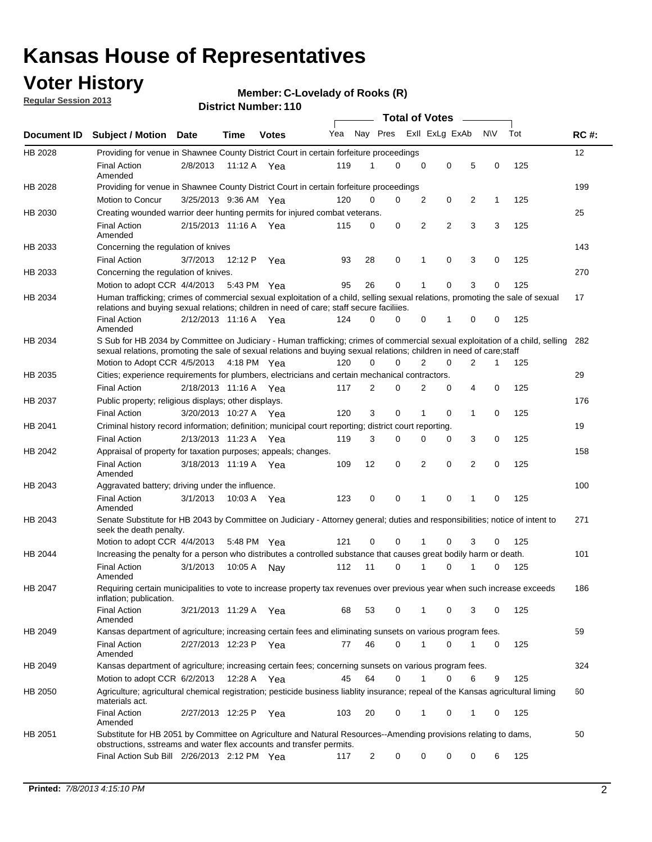### **Voter History**

**Member: C-Lovelady of Rooks (R)** 

**Regular Session 2013**

|             |                                                                                                                                                                                                                                                        |                       |             | טו ו . וסעווווטדו וטוש |     |                | <b>Total of Votes</b>   |                |             |                |              |     |     |
|-------------|--------------------------------------------------------------------------------------------------------------------------------------------------------------------------------------------------------------------------------------------------------|-----------------------|-------------|------------------------|-----|----------------|-------------------------|----------------|-------------|----------------|--------------|-----|-----|
| Document ID | <b>Subject / Motion Date</b>                                                                                                                                                                                                                           |                       | <b>Time</b> | <b>Votes</b>           | Yea |                | Nay Pres Exll ExLg ExAb |                |             |                | <b>NV</b>    | Tot | RC# |
| HB 2028     | Providing for venue in Shawnee County District Court in certain forfeiture proceedings                                                                                                                                                                 |                       |             |                        |     |                |                         |                |             |                |              |     | 12  |
|             | <b>Final Action</b><br>Amended                                                                                                                                                                                                                         | 2/8/2013              | 11:12 A Yea |                        | 119 | 1              | $\Omega$                | 0              | 0           | 5              | 0            | 125 |     |
| HB 2028     | Providing for venue in Shawnee County District Court in certain forfeiture proceedings                                                                                                                                                                 |                       |             |                        |     |                |                         |                |             |                |              |     | 199 |
|             | Motion to Concur                                                                                                                                                                                                                                       | 3/25/2013 9:36 AM Yea |             |                        | 120 | 0              | 0                       | 2              | 0           | 2              | $\mathbf{1}$ | 125 |     |
| HB 2030     | Creating wounded warrior deer hunting permits for injured combat veterans.                                                                                                                                                                             |                       |             |                        |     |                |                         |                |             |                |              |     | 25  |
|             | <b>Final Action</b><br>Amended                                                                                                                                                                                                                         | 2/15/2013 11:16 A     |             | Yea                    | 115 | 0              | 0                       | 2              | 2           | 3              | 3            | 125 |     |
| HB 2033     | Concerning the regulation of knives                                                                                                                                                                                                                    |                       |             |                        |     |                |                         |                |             |                |              |     | 143 |
|             | <b>Final Action</b>                                                                                                                                                                                                                                    | 3/7/2013              | 12:12 P     | Yea                    | 93  | 28             | 0                       | 1              | 0           | 3              | 0            | 125 |     |
| HB 2033     | Concerning the regulation of knives.                                                                                                                                                                                                                   |                       |             |                        |     |                |                         |                |             |                |              |     | 270 |
|             | Motion to adopt CCR 4/4/2013 5:43 PM Yea                                                                                                                                                                                                               |                       |             |                        | 95  | 26             | 0                       | 1              | 0           | 3              | 0            | 125 |     |
| HB 2034     | Human trafficking; crimes of commercial sexual exploitation of a child, selling sexual relations, promoting the sale of sexual<br>relations and buying sexual relations; children in need of care; staff secure faciliies.                             |                       |             |                        |     |                |                         |                |             |                |              |     | 17  |
|             | <b>Final Action</b><br>Amended                                                                                                                                                                                                                         | 2/12/2013 11:16 A Yea |             |                        | 124 | 0              | $\Omega$                | 0              | 1           | 0              | 0            | 125 |     |
| HB 2034     | S Sub for HB 2034 by Committee on Judiciary - Human trafficking; crimes of commercial sexual exploitation of a child, selling<br>sexual relations, promoting the sale of sexual relations and buying sexual relations; children in need of care; staff |                       |             |                        |     |                |                         |                |             |                |              |     | 282 |
|             | Motion to Adopt CCR 4/5/2013 4:18 PM Yea                                                                                                                                                                                                               |                       |             |                        | 120 | $\Omega$       | $\Omega$                | $\overline{2}$ | $\mathbf 0$ | $\overline{2}$ | 1            | 125 |     |
| HB 2035     | Cities; experience requirements for plumbers, electricians and certain mechanical contractors.                                                                                                                                                         |                       |             |                        |     |                |                         |                |             |                |              |     | 29  |
|             | <b>Final Action</b>                                                                                                                                                                                                                                    | 2/18/2013 11:16 A     |             | Yea                    | 117 | $\overline{2}$ | 0                       | 2              | 0           | 4              | 0            | 125 |     |
| HB 2037     | Public property; religious displays; other displays.                                                                                                                                                                                                   |                       |             |                        |     |                |                         |                |             |                |              |     | 176 |
|             | <b>Final Action</b>                                                                                                                                                                                                                                    | 3/20/2013 10:27 A Yea |             |                        | 120 | 3              | 0                       | 1              | 0           | $\mathbf{1}$   | 0            | 125 |     |
| HB 2041     | Criminal history record information; definition; municipal court reporting; district court reporting.                                                                                                                                                  |                       |             |                        |     |                |                         |                |             |                |              |     | 19  |
|             | <b>Final Action</b>                                                                                                                                                                                                                                    | 2/13/2013 11:23 A     |             | Yea                    | 119 | 3              | 0                       | 0              | 0           | 3              | 0            | 125 |     |
| HB 2042     | Appraisal of property for taxation purposes; appeals; changes.                                                                                                                                                                                         |                       |             |                        |     |                |                         |                |             |                |              |     | 158 |
|             | <b>Final Action</b><br>Amended                                                                                                                                                                                                                         | 3/18/2013 11:19 A     |             | Yea                    | 109 | 12             | 0                       | 2              | 0           | $\overline{2}$ | 0            | 125 |     |
| HB 2043     | Aggravated battery; driving under the influence.                                                                                                                                                                                                       |                       |             |                        |     |                |                         |                |             |                |              |     | 100 |
|             | <b>Final Action</b><br>Amended                                                                                                                                                                                                                         | 3/1/2013              | 10:03 A Yea |                        | 123 | 0              | 0                       | 1              | 0           | 1              | 0            | 125 |     |
| HB 2043     | Senate Substitute for HB 2043 by Committee on Judiciary - Attorney general; duties and responsibilities; notice of intent to<br>seek the death penalty.                                                                                                |                       |             |                        |     |                |                         |                |             |                |              |     | 271 |
|             | Motion to adopt CCR 4/4/2013                                                                                                                                                                                                                           |                       | 5:48 PM     | Yea                    | 121 | 0              | $\Omega$                |                | 0           | 3              | 0            | 125 |     |
| HB 2044     | Increasing the penalty for a person who distributes a controlled substance that causes great bodily harm or death.                                                                                                                                     |                       |             |                        |     |                |                         |                |             |                |              |     | 101 |
|             | <b>Final Action</b><br>Amended                                                                                                                                                                                                                         | 3/1/2013              | 10:05 A     | Nav                    | 112 | 11             | $\Omega$                |                | 0           |                | 0            | 125 |     |
| HB 2047     | Requiring certain municipalities to vote to increase property tax revenues over previous year when such increase exceeds<br>inflation; publication.                                                                                                    |                       |             |                        |     |                |                         |                |             |                |              |     | 186 |
|             | <b>Final Action</b><br>Amended                                                                                                                                                                                                                         | 3/21/2013 11:29 A Yea |             |                        | 68  | 53             | 0                       | 1              | 0           | 3              | 0            | 125 |     |
| HB 2049     | Kansas department of agriculture; increasing certain fees and eliminating sunsets on various program fees.                                                                                                                                             |                       |             |                        |     |                |                         |                |             |                |              |     | 59  |
|             | <b>Final Action</b><br>Amended                                                                                                                                                                                                                         | 2/27/2013 12:23 P Yea |             |                        | 77  | 46             | $\Omega$                | 1              | 0           | 1              | 0            | 125 |     |
| HB 2049     | Kansas department of agriculture; increasing certain fees; concerning sunsets on various program fees.                                                                                                                                                 |                       |             |                        |     |                |                         |                |             |                |              |     | 324 |
|             | Motion to adopt CCR 6/2/2013                                                                                                                                                                                                                           |                       | 12:28 A     | Yea                    | 45  | 64             | 0                       |                | 0           | 6              | 9            | 125 |     |
| HB 2050     | Agriculture; agricultural chemical registration; pesticide business liablity insurance; repeal of the Kansas agricultural liming<br>materials act.                                                                                                     |                       |             |                        |     |                |                         |                |             |                |              |     | 60  |
|             | <b>Final Action</b><br>Amended                                                                                                                                                                                                                         | 2/27/2013 12:25 P     |             | Yea                    | 103 | 20             | 0                       | 1              | 0           | 1              | 0            | 125 |     |
| HB 2051     | Substitute for HB 2051 by Committee on Agriculture and Natural Resources--Amending provisions relating to dams,<br>obstructions, sstreams and water flex accounts and transfer permits.                                                                |                       |             |                        |     |                |                         |                |             |                |              |     | 50  |
|             | Final Action Sub Bill 2/26/2013 2:12 PM Yea                                                                                                                                                                                                            |                       |             |                        | 117 | $\overline{2}$ | 0                       | 0              | 0           | 0              | 6            | 125 |     |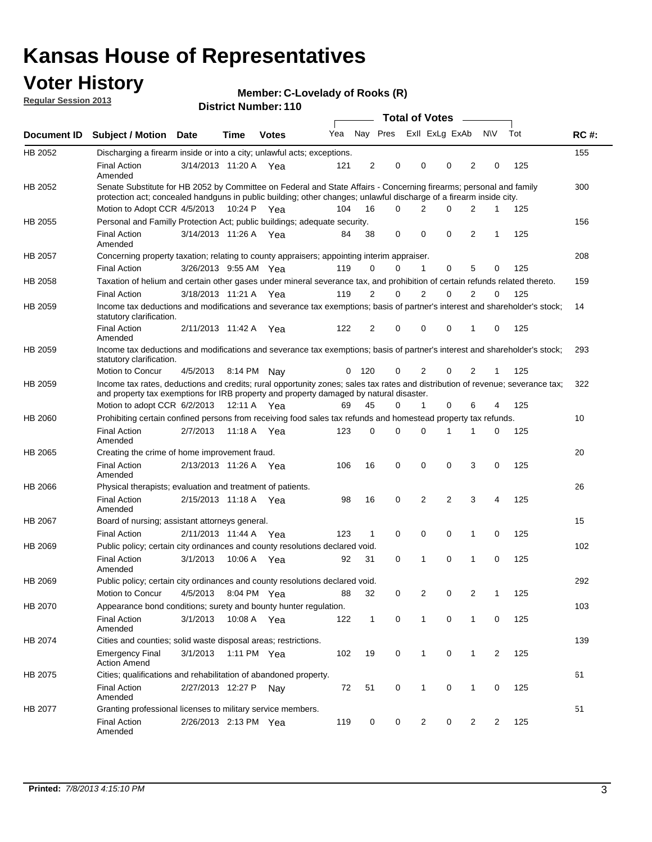### **Voter History**

**Member: C-Lovelady of Rooks (R)** 

**Regular Session 2013**

|             |                                                                                                                                                                                                                                          |                       |         | טוויוטנוזעווווערו. ווט |     |                |                         | Total of Votes – |                |                |                |                |     |             |
|-------------|------------------------------------------------------------------------------------------------------------------------------------------------------------------------------------------------------------------------------------------|-----------------------|---------|------------------------|-----|----------------|-------------------------|------------------|----------------|----------------|----------------|----------------|-----|-------------|
| Document ID | <b>Subject / Motion Date</b>                                                                                                                                                                                                             |                       | Time    | <b>Votes</b>           | Yea |                | Nay Pres Exll ExLg ExAb |                  |                |                |                | N\V            | Tot | <b>RC#:</b> |
| HB 2052     | Discharging a firearm inside or into a city; unlawful acts; exceptions.                                                                                                                                                                  |                       |         |                        |     |                |                         |                  |                |                |                |                |     | 155         |
|             | <b>Final Action</b><br>Amended                                                                                                                                                                                                           | 3/14/2013 11:20 A Yea |         |                        | 121 | $\overline{2}$ | 0                       |                  | $\Omega$       | 0              | 2              | 0              | 125 |             |
| HB 2052     | Senate Substitute for HB 2052 by Committee on Federal and State Affairs - Concerning firearms; personal and family<br>protection act; concealed handguns in public building; other changes; unlawful discharge of a firearm inside city. |                       |         |                        |     |                |                         |                  |                |                |                |                |     | 300         |
|             | Motion to Adopt CCR 4/5/2013 10:24 P Yea                                                                                                                                                                                                 |                       |         |                        | 104 | 16             | $\Omega$                |                  | 2              | 0              | 2              | 1              | 125 |             |
| HB 2055     | Personal and Familly Protection Act; public buildings; adequate security.                                                                                                                                                                |                       |         |                        |     |                |                         |                  |                |                |                |                |     | 156         |
|             | <b>Final Action</b><br>Amended                                                                                                                                                                                                           | 3/14/2013 11:26 A Yea |         |                        | 84  | 38             | 0                       |                  | 0              | 0              | 2              | $\mathbf{1}$   | 125 |             |
| HB 2057     | Concerning property taxation; relating to county appraisers; appointing interim appraiser.                                                                                                                                               |                       |         |                        |     |                |                         |                  |                |                |                |                |     | 208         |
|             | <b>Final Action</b>                                                                                                                                                                                                                      | 3/26/2013 9:55 AM Yea |         |                        | 119 | 0              | 0                       |                  | 1              | 0              | 5              | 0              | 125 |             |
| HB 2058     | Taxation of helium and certain other gases under mineral severance tax, and prohibition of certain refunds related thereto.                                                                                                              |                       |         |                        |     |                |                         |                  |                |                |                |                |     | 159         |
|             | <b>Final Action</b>                                                                                                                                                                                                                      | 3/18/2013 11:21 A Yea |         |                        | 119 | 2              | 0                       |                  | 2              | $\Omega$       | 2              | $\Omega$       | 125 |             |
| HB 2059     | Income tax deductions and modifications and severance tax exemptions; basis of partner's interest and shareholder's stock;<br>statutory clarification.                                                                                   |                       |         |                        |     |                |                         |                  |                |                |                |                |     | 14          |
|             | <b>Final Action</b><br>Amended                                                                                                                                                                                                           | 2/11/2013 11:42 A     |         | Yea                    | 122 | 2              | 0                       |                  | $\Omega$       | 0              | 1              | 0              | 125 |             |
| HB 2059     | Income tax deductions and modifications and severance tax exemptions; basis of partner's interest and shareholder's stock;<br>statutory clarification.                                                                                   |                       |         |                        |     |                |                         |                  |                |                |                |                |     | 293         |
|             | Motion to Concur                                                                                                                                                                                                                         | 4/5/2013              |         | 8:14 PM Nav            | 0   | - 120          | 0                       |                  | 2              | 0              | 2              | 1              | 125 |             |
| HB 2059     | Income tax rates, deductions and credits; rural opportunity zones; sales tax rates and distribution of revenue; severance tax;<br>and property tax exemptions for IRB property and property damaged by natural disaster.                 |                       |         |                        |     |                |                         |                  |                |                |                |                |     | 322         |
|             | Motion to adopt CCR 6/2/2013                                                                                                                                                                                                             |                       | 12:11 A | Yea                    | 69  | 45             | 0                       |                  | $\mathbf{1}$   | 0              | 6              | 4              | 125 |             |
| HB 2060     | Prohibiting certain confined persons from receiving food sales tax refunds and homestead property tax refunds.                                                                                                                           |                       |         |                        |     |                |                         |                  |                |                |                |                |     | 10          |
|             | <b>Final Action</b><br>Amended                                                                                                                                                                                                           | 2/7/2013              | 11:18 A | Yea                    | 123 | 0              | $\Omega$                |                  | $\Omega$       | 1              | 1              | 0              | 125 |             |
| HB 2065     | Creating the crime of home improvement fraud.                                                                                                                                                                                            |                       |         |                        |     |                |                         |                  |                |                |                |                |     | 20          |
|             | <b>Final Action</b><br>Amended                                                                                                                                                                                                           | 2/13/2013 11:26 A Yea |         |                        | 106 | 16             | $\mathbf 0$             |                  | 0              | 0              | 3              | 0              | 125 |             |
| HB 2066     | Physical therapists; evaluation and treatment of patients.                                                                                                                                                                               |                       |         |                        |     |                |                         |                  |                |                |                |                |     | 26          |
|             | <b>Final Action</b><br>Amended                                                                                                                                                                                                           | 2/15/2013 11:18 A Yea |         |                        | 98  | 16             | $\mathbf 0$             |                  | $\overline{2}$ | $\overline{2}$ | 3              | 4              | 125 |             |
| HB 2067     | Board of nursing; assistant attorneys general.                                                                                                                                                                                           |                       |         |                        |     |                |                         |                  |                |                |                |                |     | 15          |
|             | <b>Final Action</b>                                                                                                                                                                                                                      | 2/11/2013 11:44 A Yea |         |                        | 123 | 1              | $\mathbf 0$             |                  | 0              | 0              | 1              | 0              | 125 |             |
| HB 2069     | Public policy; certain city ordinances and county resolutions declared void.                                                                                                                                                             |                       |         |                        |     |                |                         |                  |                |                |                |                |     | 102         |
|             | <b>Final Action</b><br>Amended                                                                                                                                                                                                           | 3/1/2013              | 10:06 A | Yea                    | 92  | 31             | $\Omega$                |                  | 1              | $\Omega$       | 1              | $\mathbf 0$    | 125 |             |
| HB 2069     | Public policy; certain city ordinances and county resolutions declared void.                                                                                                                                                             |                       |         |                        |     |                |                         |                  |                |                |                |                |     | 292         |
|             | Motion to Concur                                                                                                                                                                                                                         | 4/5/2013              |         | 8:04 PM Yea            | 88  | 32             | 0                       |                  | 2              | 0              | $\overline{2}$ | 1              | 125 |             |
| HB 2070     | Appearance bond conditions; surety and bounty hunter regulation.                                                                                                                                                                         |                       |         |                        |     |                |                         |                  |                |                |                |                |     | 103         |
|             | <b>Final Action</b><br>Amended                                                                                                                                                                                                           | 3/1/2013              |         | 10:08 A Yea            | 122 | $\mathbf{1}$   | 0                       |                  | $\mathbf{1}$   | 0              | 1              | 0              | 125 |             |
| HB 2074     | Cities and counties; solid waste disposal areas; restrictions.                                                                                                                                                                           |                       |         |                        |     |                |                         |                  |                |                |                |                |     | 139         |
|             | <b>Emergency Final</b><br><b>Action Amend</b>                                                                                                                                                                                            | 3/1/2013              |         | 1:11 PM Yea            | 102 | 19             | 0                       |                  | $\mathbf{1}$   | 0              | $\mathbf{1}$   | $\overline{2}$ | 125 |             |
| HB 2075     | Cities; qualifications and rehabilitation of abandoned property.                                                                                                                                                                         |                       |         |                        |     |                |                         |                  |                |                |                |                |     | 61          |
|             | <b>Final Action</b><br>Amended                                                                                                                                                                                                           | 2/27/2013 12:27 P Nay |         |                        | 72  | 51             | 0                       |                  | 1              | 0              | 1              | 0              | 125 |             |
| HB 2077     | Granting professional licenses to military service members.<br><b>Final Action</b><br>Amended                                                                                                                                            | 2/26/2013 2:13 PM Yea |         |                        | 119 | 0              | 0                       |                  | $\overline{2}$ | 0              | 2              | 2              | 125 | 51          |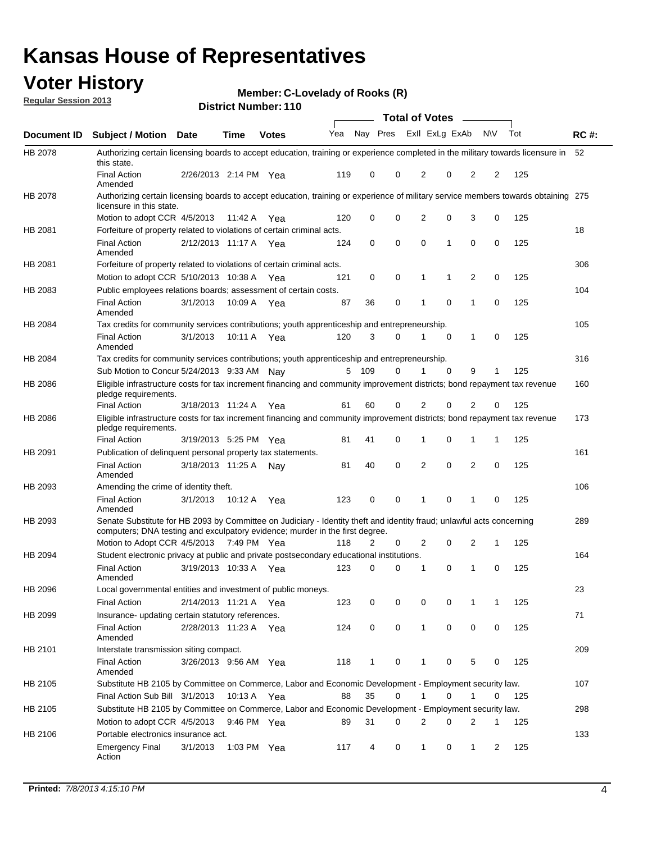### **Voter History**

**Member: C-Lovelady of Rooks (R)** 

**Regular Session 2013**

|                    |                                                                                                                                                                                                       |                       |             | טו ו . וסעווווטדו ועושט |              |                |   | <b>Total of Votes</b> |             | $\overline{\phantom{a}}$ |             |     |             |
|--------------------|-------------------------------------------------------------------------------------------------------------------------------------------------------------------------------------------------------|-----------------------|-------------|-------------------------|--------------|----------------|---|-----------------------|-------------|--------------------------|-------------|-----|-------------|
| <b>Document ID</b> | <b>Subject / Motion Date</b>                                                                                                                                                                          |                       | <b>Time</b> | <b>Votes</b>            | Yea Nay Pres |                |   | Exll ExLg ExAb        |             |                          | <b>NV</b>   | Tot | <b>RC#:</b> |
| HB 2078            | Authorizing certain licensing boards to accept education, training or experience completed in the military towards licensure in<br>this state.                                                        |                       |             |                         |              |                |   |                       |             |                          |             |     | 52          |
|                    | <b>Final Action</b><br>Amended                                                                                                                                                                        | 2/26/2013 2:14 PM Yea |             |                         | 119          | 0              | 0 | 2                     | 0           | 2                        | 2           | 125 |             |
| HB 2078            | Authorizing certain licensing boards to accept education, training or experience of military service members towards obtaining 275<br>licensure in this state.                                        |                       |             |                         |              |                |   |                       |             |                          |             |     |             |
|                    | Motion to adopt CCR 4/5/2013                                                                                                                                                                          |                       | 11:42 A     | Yea                     | 120          | 0              | 0 | $\overline{2}$        | 0           | 3                        | 0           | 125 |             |
| HB 2081            | Forfeiture of property related to violations of certain criminal acts.                                                                                                                                |                       |             |                         |              |                |   |                       |             |                          |             |     | 18          |
|                    | <b>Final Action</b><br>Amended                                                                                                                                                                        | 2/12/2013 11:17 A Yea |             |                         | 124          | 0              | 0 | $\Omega$              | 1           | 0                        | 0           | 125 |             |
| HB 2081            | Forfeiture of property related to violations of certain criminal acts.                                                                                                                                |                       |             |                         |              |                |   |                       |             |                          |             |     | 306         |
|                    | Motion to adopt CCR 5/10/2013 10:38 A                                                                                                                                                                 |                       |             | Yea                     | 121          | 0              | 0 | 1                     | 1           | 2                        | 0           | 125 |             |
| HB 2083            | Public employees relations boards; assessment of certain costs.                                                                                                                                       |                       |             |                         |              |                |   |                       |             |                          |             |     | 104         |
|                    | <b>Final Action</b><br>Amended                                                                                                                                                                        | 3/1/2013              | 10:09 A     | Yea                     | 87           | 36             | 0 | 1                     | $\mathbf 0$ | 1                        | $\mathbf 0$ | 125 |             |
| HB 2084            | Tax credits for community services contributions; youth apprenticeship and entrepreneurship.                                                                                                          |                       |             |                         |              |                |   |                       |             |                          |             |     | 105         |
|                    | <b>Final Action</b><br>Amended                                                                                                                                                                        | 3/1/2013              | 10:11 A     | Yea                     | 120          | 3              | 0 | 1                     | $\mathbf 0$ | 1                        | 0           | 125 |             |
| HB 2084            | Tax credits for community services contributions; youth apprenticeship and entrepreneurship.                                                                                                          |                       |             |                         |              |                |   |                       |             |                          |             |     | 316         |
|                    | Sub Motion to Concur 5/24/2013 9:33 AM Nav                                                                                                                                                            |                       |             |                         | 5            | - 109          | 0 |                       | 0           | 9                        | 1           | 125 |             |
| HB 2086            | Eligible infrastructure costs for tax increment financing and community improvement districts; bond repayment tax revenue<br>pledge requirements.                                                     |                       |             |                         |              |                |   |                       |             |                          |             |     | 160         |
|                    | <b>Final Action</b>                                                                                                                                                                                   | 3/18/2013 11:24 A     |             | Yea                     | 61           | 60             | 0 | 2                     | 0           | $\overline{2}$           | 0           | 125 |             |
| HB 2086            | Eligible infrastructure costs for tax increment financing and community improvement districts; bond repayment tax revenue<br>pledge requirements.                                                     |                       |             |                         |              |                |   |                       |             |                          |             |     | 173         |
|                    | <b>Final Action</b>                                                                                                                                                                                   | 3/19/2013 5:25 PM     |             | Yea                     | 81           | 41             | 0 | 1                     | 0           | 1                        | 1           | 125 |             |
| HB 2091            | Publication of delinquent personal property tax statements.                                                                                                                                           |                       |             |                         |              |                |   |                       |             |                          |             |     | 161         |
|                    | <b>Final Action</b><br>Amended                                                                                                                                                                        | 3/18/2013 11:25 A     |             | Nav                     | 81           | 40             | 0 | 2                     | 0           | $\overline{2}$           | 0           | 125 |             |
| HB 2093            | Amending the crime of identity theft.                                                                                                                                                                 |                       |             |                         |              |                |   |                       |             |                          |             |     | 106         |
|                    | <b>Final Action</b><br>Amended                                                                                                                                                                        | 3/1/2013              | 10:12 A     | Yea                     | 123          | 0              | 0 | 1                     | $\Omega$    | 1                        | 0           | 125 |             |
| HB 2093            | Senate Substitute for HB 2093 by Committee on Judiciary - Identity theft and identity fraud; unlawful acts concerning<br>computers; DNA testing and exculpatory evidence; murder in the first degree. |                       |             |                         |              |                |   |                       |             |                          |             |     | 289         |
|                    | Motion to Adopt CCR 4/5/2013 7:49 PM Yea                                                                                                                                                              |                       |             |                         | 118          | $\overline{2}$ | 0 | 2                     | 0           | 2                        | 1           | 125 |             |
| HB 2094            | Student electronic privacy at public and private postsecondary educational institutions.                                                                                                              |                       |             |                         |              |                |   |                       |             |                          |             |     | 164         |
|                    | <b>Final Action</b><br>Amended                                                                                                                                                                        | 3/19/2013 10:33 A     |             | Yea                     | 123          | 0              | 0 | 1                     | 0           | 1                        | 0           | 125 |             |
| HB 2096            | Local governmental entities and investment of public moneys.                                                                                                                                          |                       |             |                         |              |                |   |                       |             |                          |             |     | 23          |
|                    | <b>Final Action</b>                                                                                                                                                                                   | 2/14/2013 11:21 A     |             | Yea                     | 123          | 0              | 0 | 0                     | 0           | 1                        | 1           | 125 |             |
| HB 2099            | Insurance- updating certain statutory references.                                                                                                                                                     |                       |             |                         |              |                |   |                       |             |                          |             |     | 71          |
|                    | <b>Final Action</b><br>Amended                                                                                                                                                                        | 2/28/2013 11:23 A     |             | Yea                     | 124          | 0              | 0 | 1                     | 0           | 0                        | 0           | 125 |             |
| HB 2101            | Interstate transmission siting compact.                                                                                                                                                               |                       |             |                         |              |                |   |                       |             |                          |             |     | 209         |
|                    | <b>Final Action</b><br>Amended                                                                                                                                                                        | 3/26/2013 9:56 AM Yea |             |                         | 118          | $\mathbf{1}$   | 0 | 1                     | 0           | 5                        | 0           | 125 |             |
| HB 2105            | Substitute HB 2105 by Committee on Commerce, Labor and Economic Development - Employment security law.                                                                                                |                       |             |                         |              |                |   |                       |             |                          |             |     | 107         |
|                    | Final Action Sub Bill 3/1/2013                                                                                                                                                                        |                       | 10:13 A Yea |                         | 88           | 35             | 0 |                       | 0           | 1                        | 0           | 125 |             |
| HB 2105            | Substitute HB 2105 by Committee on Commerce, Labor and Economic Development - Employment security law.                                                                                                |                       |             |                         |              |                |   |                       |             |                          |             |     | 298         |
|                    | Motion to adopt CCR 4/5/2013                                                                                                                                                                          |                       | 9:46 PM Yea |                         | 89           | 31             | 0 | 2                     | 0           | 2                        | 1           | 125 |             |
| HB 2106            | Portable electronics insurance act.                                                                                                                                                                   |                       |             |                         |              |                |   |                       |             |                          |             |     | 133         |
|                    | <b>Emergency Final</b><br>Action                                                                                                                                                                      | 3/1/2013              |             | 1:03 PM $Yea$           | 117          | 4              | 0 | $\mathbf{1}$          | 0           | $\mathbf{1}$             | 2           | 125 |             |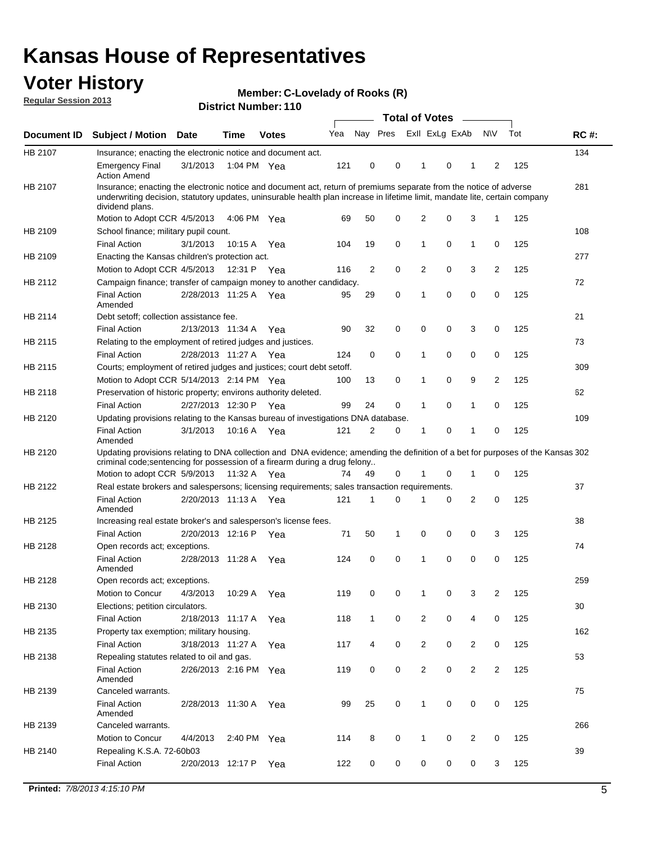### **Voter History**

**Member: C-Lovelady of Rooks (R)** 

**Regular Session 2013**

|             |                                                                                                                                                                                                                                                                      |                       |             | טו ו ושמווואדו אוווסוש |     |                |             | <b>Total of Votes</b> |   | $\sim$         |                |     |             |
|-------------|----------------------------------------------------------------------------------------------------------------------------------------------------------------------------------------------------------------------------------------------------------------------|-----------------------|-------------|------------------------|-----|----------------|-------------|-----------------------|---|----------------|----------------|-----|-------------|
| Document ID | <b>Subject / Motion Date</b>                                                                                                                                                                                                                                         |                       | <b>Time</b> | <b>Votes</b>           | Yea | Nay Pres       |             | Exll ExLg ExAb        |   |                | <b>NV</b>      | Tot | <b>RC#:</b> |
| HB 2107     | Insurance; enacting the electronic notice and document act.                                                                                                                                                                                                          |                       |             |                        |     |                |             |                       |   |                |                |     | 134         |
|             | <b>Emergency Final</b><br><b>Action Amend</b>                                                                                                                                                                                                                        | 3/1/2013              | 1:04 PM Yea |                        | 121 | 0              | 0           | 1                     | 0 | 1              | 2              | 125 |             |
| HB 2107     | Insurance; enacting the electronic notice and document act, return of premiums separate from the notice of adverse<br>underwriting decision, statutory updates, uninsurable health plan increase in lifetime limit, mandate lite, certain company<br>dividend plans. |                       |             |                        |     |                |             |                       |   |                |                |     | 281         |
|             | Motion to Adopt CCR 4/5/2013                                                                                                                                                                                                                                         |                       | 4:06 PM Yea |                        | 69  | 50             | 0           | 2                     | 0 | 3              | $\mathbf{1}$   | 125 |             |
| HB 2109     | School finance; military pupil count.                                                                                                                                                                                                                                |                       |             |                        |     |                |             |                       |   |                |                |     | 108         |
|             | <b>Final Action</b>                                                                                                                                                                                                                                                  | 3/1/2013              | 10:15A      | Yea                    | 104 | 19             | 0           | 1                     | 0 | $\mathbf{1}$   | 0              | 125 |             |
| HB 2109     | Enacting the Kansas children's protection act.                                                                                                                                                                                                                       |                       |             |                        |     |                |             |                       |   |                |                |     | 277         |
|             | Motion to Adopt CCR 4/5/2013                                                                                                                                                                                                                                         |                       | 12:31 P Yea |                        | 116 | $\overline{2}$ | 0           | 2                     | 0 | 3              | $\overline{2}$ | 125 |             |
| HB 2112     | Campaign finance; transfer of campaign money to another candidacy.                                                                                                                                                                                                   |                       |             |                        |     |                |             |                       |   |                |                |     | 72          |
|             | <b>Final Action</b><br>Amended                                                                                                                                                                                                                                       | 2/28/2013 11:25 A Yea |             |                        | 95  | 29             | 0           | 1                     | 0 | 0              | 0              | 125 |             |
| HB 2114     | Debt setoff; collection assistance fee.                                                                                                                                                                                                                              |                       |             |                        |     |                |             |                       |   |                |                |     | 21          |
|             | <b>Final Action</b>                                                                                                                                                                                                                                                  | 2/13/2013 11:34 A     |             | Yea                    | 90  | 32             | 0           | 0                     | 0 | 3              | 0              | 125 |             |
| HB 2115     | Relating to the employment of retired judges and justices.                                                                                                                                                                                                           |                       |             |                        |     |                |             |                       |   |                |                |     | 73          |
|             | <b>Final Action</b>                                                                                                                                                                                                                                                  | 2/28/2013 11:27 A     |             | Yea                    | 124 | 0              | $\mathbf 0$ | 1                     | 0 | 0              | 0              | 125 |             |
| HB 2115     | Courts; employment of retired judges and justices; court debt setoff.                                                                                                                                                                                                |                       |             |                        |     |                |             |                       |   |                |                |     | 309         |
|             | Motion to Adopt CCR 5/14/2013 2:14 PM Yea                                                                                                                                                                                                                            |                       |             |                        | 100 | 13             | 0           | 1                     | 0 | 9              | $\overline{2}$ | 125 |             |
| HB 2118     | Preservation of historic property; environs authority deleted.                                                                                                                                                                                                       |                       |             |                        |     |                |             |                       |   |                |                |     | 62          |
|             | <b>Final Action</b>                                                                                                                                                                                                                                                  | 2/27/2013 12:30 P     |             | Yea                    | 99  | 24             | 0           | 1                     | 0 | $\mathbf{1}$   | 0              | 125 |             |
| HB 2120     | Updating provisions relating to the Kansas bureau of investigations DNA database.                                                                                                                                                                                    |                       |             |                        |     |                |             |                       |   |                |                |     | 109         |
|             | <b>Final Action</b><br>Amended                                                                                                                                                                                                                                       | 3/1/2013              | 10:16 A     | Yea                    | 121 | 2              | 0           | 1                     | 0 | 1              | 0              | 125 |             |
| HB 2120     | Updating provisions relating to DNA collection and DNA evidence; amending the definition of a bet for purposes of the Kansas 302<br>criminal code; sentencing for possession of a firearm during a drug felony<br>Motion to adopt CCR 5/9/2013                       |                       | 11:32 A Yea |                        | 74  | 49             | 0           |                       | 0 | 1              | 0              | 125 |             |
| HB 2122     | Real estate brokers and salespersons; licensing requirements; sales transaction requirements.                                                                                                                                                                        |                       |             |                        |     |                |             |                       |   |                |                |     | 37          |
|             | <b>Final Action</b><br>Amended                                                                                                                                                                                                                                       | 2/20/2013 11:13 A Yea |             |                        | 121 | 1              | 0           |                       | 0 | 2              | 0              | 125 |             |
| HB 2125     | Increasing real estate broker's and salesperson's license fees.                                                                                                                                                                                                      |                       |             |                        |     |                |             |                       |   |                |                |     | 38          |
|             | <b>Final Action</b>                                                                                                                                                                                                                                                  | 2/20/2013 12:16 P     |             | Yea                    | 71  | 50             | 1           | 0                     | 0 | 0              | 3              | 125 |             |
| HB 2128     | Open records act; exceptions.                                                                                                                                                                                                                                        |                       |             |                        |     |                |             |                       |   |                |                |     | 74          |
|             | <b>Final Action</b><br>Amended                                                                                                                                                                                                                                       | 2/28/2013 11:28 A     |             | Yea                    | 124 | 0              | 0           | 1                     | 0 | 0              | 0              | 125 |             |
| HB 2128     | Open records act; exceptions.                                                                                                                                                                                                                                        |                       |             |                        |     |                |             |                       |   |                |                |     | 259         |
|             | Motion to Concur                                                                                                                                                                                                                                                     | 4/3/2013              | 10:29 A     | Yea                    | 119 | 0              | 0           | 1                     | 0 | 3              | $\overline{2}$ | 125 |             |
| HB 2130     | Elections; petition circulators.                                                                                                                                                                                                                                     |                       |             |                        |     |                |             |                       |   |                |                |     | 30          |
|             | <b>Final Action</b>                                                                                                                                                                                                                                                  | 2/18/2013 11:17 A     |             | Yea                    | 118 | $\mathbf{1}$   | 0           | $\overline{c}$        | 0 | 4              | 0              | 125 |             |
| HB 2135     | Property tax exemption; military housing.                                                                                                                                                                                                                            |                       |             |                        |     |                |             |                       |   |                |                |     | 162         |
|             | <b>Final Action</b>                                                                                                                                                                                                                                                  | 3/18/2013 11:27 A     |             | Yea                    | 117 | 4              | 0           | $\overline{c}$        | 0 | $\overline{2}$ | 0              | 125 |             |
| HB 2138     | Repealing statutes related to oil and gas.                                                                                                                                                                                                                           |                       |             |                        |     |                |             |                       |   |                |                |     | 53          |
|             | <b>Final Action</b><br>Amended                                                                                                                                                                                                                                       | 2/26/2013 2:16 PM Yea |             |                        | 119 | 0              | 0           | 2                     | 0 | $\overline{2}$ | $\overline{2}$ | 125 |             |
| HB 2139     | Canceled warrants.                                                                                                                                                                                                                                                   |                       |             |                        |     |                |             |                       |   |                |                |     | 75          |
|             | <b>Final Action</b><br>Amended                                                                                                                                                                                                                                       | 2/28/2013 11:30 A     |             | Yea                    | 99  | 25             | 0           | 1                     | 0 | 0              | 0              | 125 |             |
| HB 2139     | Canceled warrants.                                                                                                                                                                                                                                                   |                       |             |                        |     |                |             |                       |   |                |                |     | 266         |
|             | Motion to Concur                                                                                                                                                                                                                                                     | 4/4/2013              | 2:40 PM     | Yea                    | 114 | 8              | 0           | 1                     | 0 | 2              | 0              | 125 |             |
| HB 2140     | Repealing K.S.A. 72-60b03                                                                                                                                                                                                                                            |                       |             |                        |     |                |             |                       |   |                |                |     | 39          |
|             | <b>Final Action</b>                                                                                                                                                                                                                                                  | 2/20/2013 12:17 P     |             | Yea                    | 122 | 0              | 0           | 0                     | 0 | 0              | 3              | 125 |             |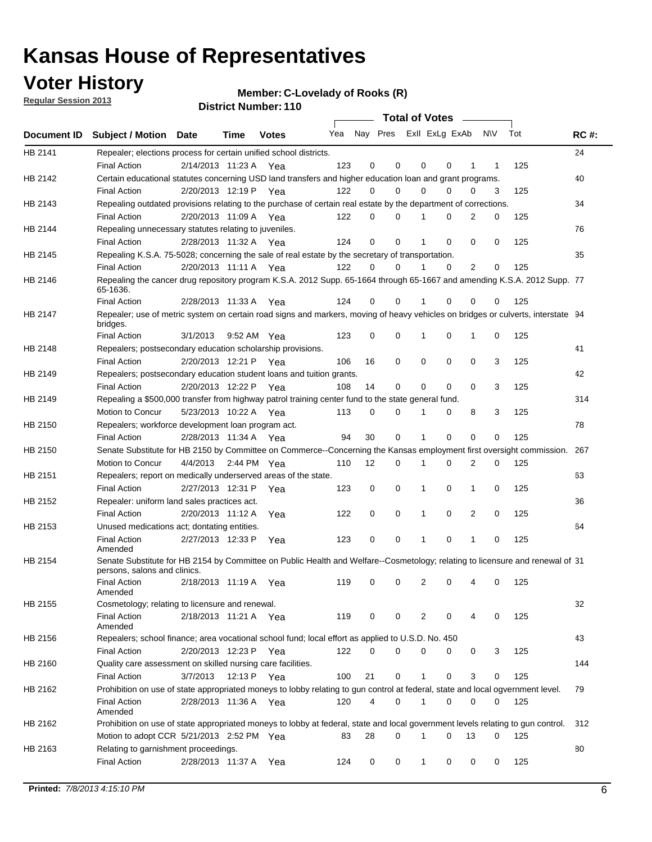### **Voter History**

**Member: C-Lovelady of Rooks (R)** 

**Regular Session 2013**

|             |                                                                                                                                              |          |                       |              |     |             | <b>Total of Votes</b>   |              |   | $\sim 100$ m $^{-1}$ |     |     |             |
|-------------|----------------------------------------------------------------------------------------------------------------------------------------------|----------|-----------------------|--------------|-----|-------------|-------------------------|--------------|---|----------------------|-----|-----|-------------|
| Document ID | <b>Subject / Motion Date</b>                                                                                                                 |          | Time                  | <b>Votes</b> | Yea |             | Nay Pres ExII ExLg ExAb |              |   |                      | N\V | Tot | <b>RC#:</b> |
| HB 2141     | Repealer; elections process for certain unified school districts.                                                                            |          |                       |              |     |             |                         |              |   |                      |     |     | 24          |
|             | <b>Final Action</b>                                                                                                                          |          | 2/14/2013 11:23 A Yea |              | 123 | 0           | 0                       | 0            | 0 | 1                    | 1   | 125 |             |
| HB 2142     | Certain educational statutes concerning USD land transfers and higher education loan and grant programs.                                     |          |                       |              |     |             |                         |              |   |                      |     |     | 40          |
|             | <b>Final Action</b>                                                                                                                          |          | 2/20/2013 12:19 P Yea |              | 122 | 0           | 0                       | $\Omega$     | 0 | $\Omega$             | 3   | 125 |             |
| HB 2143     | Repealing outdated provisions relating to the purchase of certain real estate by the department of corrections.                              |          |                       |              |     |             |                         |              |   |                      |     |     | 34          |
|             | <b>Final Action</b>                                                                                                                          |          | 2/20/2013 11:09 A Yea |              | 122 | 0           | 0                       | 1            | 0 | $\overline{2}$       | 0   | 125 |             |
| HB 2144     | Repealing unnecessary statutes relating to juveniles.                                                                                        |          |                       |              |     |             |                         |              |   |                      |     |     | 76          |
|             | <b>Final Action</b>                                                                                                                          |          | 2/28/2013 11:32 A Yea |              | 124 | $\mathbf 0$ | 0                       | 1            | 0 | 0                    | 0   | 125 |             |
| HB 2145     | Repealing K.S.A. 75-5028; concerning the sale of real estate by the secretary of transportation.                                             |          |                       |              |     |             |                         |              |   |                      |     |     | 35          |
|             | <b>Final Action</b>                                                                                                                          |          | 2/20/2013 11:11 A Yea |              | 122 | 0           | 0                       | 1            | 0 | 2                    | 0   | 125 |             |
| HB 2146     | Repealing the cancer drug repository program K.S.A. 2012 Supp. 65-1664 through 65-1667 and amending K.S.A. 2012 Supp. 77<br>65-1636.         |          |                       |              |     |             |                         |              |   |                      |     |     |             |
|             | <b>Final Action</b>                                                                                                                          |          | 2/28/2013 11:33 A     | Yea          | 124 | 0           | 0                       | 1            | 0 | 0                    | 0   | 125 |             |
| HB 2147     | Repealer; use of metric system on certain road signs and markers, moving of heavy vehicles on bridges or culverts, interstate 94<br>bridges. |          |                       |              |     |             |                         |              |   |                      |     |     |             |
|             | <b>Final Action</b>                                                                                                                          | 3/1/2013 |                       | 9:52 AM Yea  | 123 | $\mathbf 0$ | 0                       |              | 0 | 1                    | 0   | 125 |             |
| HB 2148     | Repealers; postsecondary education scholarship provisions.                                                                                   |          |                       |              |     |             |                         |              |   |                      |     |     | 41          |
|             | <b>Final Action</b>                                                                                                                          |          | 2/20/2013 12:21 P     | Yea          | 106 | 16          | 0                       | $\mathbf 0$  | 0 | $\mathbf 0$          | 3   | 125 |             |
| HB 2149     | Repealers; postsecondary education student loans and tuition grants.                                                                         |          |                       |              |     |             |                         |              |   |                      |     |     | 42          |
|             | <b>Final Action</b>                                                                                                                          |          | 2/20/2013 12:22 P     | Yea          | 108 | 14          | 0                       | 0            | 0 | $\Omega$             | 3   | 125 |             |
| HB 2149     | Repealing a \$500,000 transfer from highway patrol training center fund to the state general fund.                                           |          |                       |              |     |             |                         |              |   |                      |     |     | 314         |
|             | Motion to Concur                                                                                                                             |          | 5/23/2013 10:22 A Yea |              | 113 | 0           | 0                       |              | 0 | 8                    | 3   | 125 |             |
| HB 2150     | Repealers; workforce development loan program act.                                                                                           |          |                       |              |     |             |                         |              |   |                      |     |     | 78          |
|             | <b>Final Action</b>                                                                                                                          |          | 2/28/2013 11:34 A Yea |              | 94  | 30          | 0                       | 1            | 0 | 0                    | 0   | 125 |             |
| HB 2150     | Senate Substitute for HB 2150 by Committee on Commerce--Concerning the Kansas employment first oversight commission.                         |          |                       |              |     |             |                         |              |   |                      |     |     | 267         |
|             | Motion to Concur                                                                                                                             |          | 4/4/2013 2:44 PM Yea  |              | 110 | 12          | 0                       | 1            | 0 | 2                    | 0   | 125 |             |
| HB 2151     | Repealers; report on medically underserved areas of the state.                                                                               |          |                       |              |     |             |                         |              |   |                      |     |     | 63          |
|             | <b>Final Action</b>                                                                                                                          |          | 2/27/2013 12:31 P     | Yea          | 123 | 0           | 0                       | 1            | 0 | 1                    | 0   | 125 |             |
| HB 2152     | Repealer: uniform land sales practices act.                                                                                                  |          |                       |              |     |             |                         |              |   |                      |     |     | 36          |
|             | <b>Final Action</b>                                                                                                                          |          | 2/20/2013 11:12 A     | Yea          | 122 | 0           | 0                       | 1            | 0 | 2                    | 0   | 125 |             |
| HB 2153     | Unused medications act; dontating entities.                                                                                                  |          |                       |              |     |             |                         |              |   |                      |     |     | 64          |
|             | <b>Final Action</b><br>Amended                                                                                                               |          | 2/27/2013 12:33 P     | Yea          | 123 | 0           | 0                       | 1            | 0 | $\mathbf{1}$         | 0   | 125 |             |
| HB 2154     | Senate Substitute for HB 2154 by Committee on Public Health and Welfare--Cosmetology; relating to licensure and renewal of 31                |          |                       |              |     |             |                         |              |   |                      |     |     |             |
|             | persons, salons and clinics.<br><b>Final Action</b><br>Amended                                                                               |          | 2/18/2013 11:19 A     | Yea          | 119 | 0           | 0                       | 2            | 0 | 4                    | 0   | 125 |             |
| HB 2155     | Cosmetology; relating to licensure and renewal.                                                                                              |          |                       |              |     |             |                         |              |   |                      |     |     | 32          |
|             | <b>Final Action</b><br>Amended                                                                                                               |          | 2/18/2013 11:21 A Yea |              | 119 | 0           | 0                       | 2            | 0 |                      | 0   | 125 |             |
| HB 2156     | Repealers; school finance; area vocational school fund; local effort as applied to U.S.D. No. 450                                            |          |                       |              |     |             |                         |              |   |                      |     |     | 43          |
|             | <b>Final Action</b>                                                                                                                          |          | 2/20/2013 12:23 P Yea |              | 122 | 0           | 0                       | 0            | 0 | 0                    | 3   | 125 |             |
| HB 2160     | Quality care assessment on skilled nursing care facilities.                                                                                  |          |                       |              |     |             |                         |              |   |                      |     |     | 144         |
|             | <b>Final Action</b>                                                                                                                          | 3/7/2013 |                       | 12:13 P Yea  | 100 | 21          | 0                       | 1            | 0 | 3                    | 0   | 125 |             |
| HB 2162     | Prohibition on use of state appropriated moneys to lobby relating to gun control at federal, state and local ogvernment level.               |          |                       |              |     |             |                         |              |   |                      |     |     | 79          |
|             | <b>Final Action</b><br>Amended                                                                                                               |          | 2/28/2013 11:36 A Yea |              | 120 | 4           | 0                       | 1            | 0 | 0                    | 0   | 125 |             |
| HB 2162     | Prohibition on use of state appropriated moneys to lobby at federal, state and local government levels relating to gun control.              |          |                       |              |     |             |                         |              |   |                      |     |     | 312         |
|             | Motion to adopt CCR 5/21/2013 2:52 PM Yea                                                                                                    |          |                       |              | 83  | 28          | 0                       |              | 0 | 13                   | 0   | 125 |             |
| HB 2163     | Relating to garnishment proceedings.                                                                                                         |          |                       |              |     |             |                         |              |   |                      |     |     | 80          |
|             | <b>Final Action</b>                                                                                                                          |          | 2/28/2013 11:37 A     | Yea          | 124 | 0           | 0                       | $\mathbf{1}$ | 0 | 0                    | 0   | 125 |             |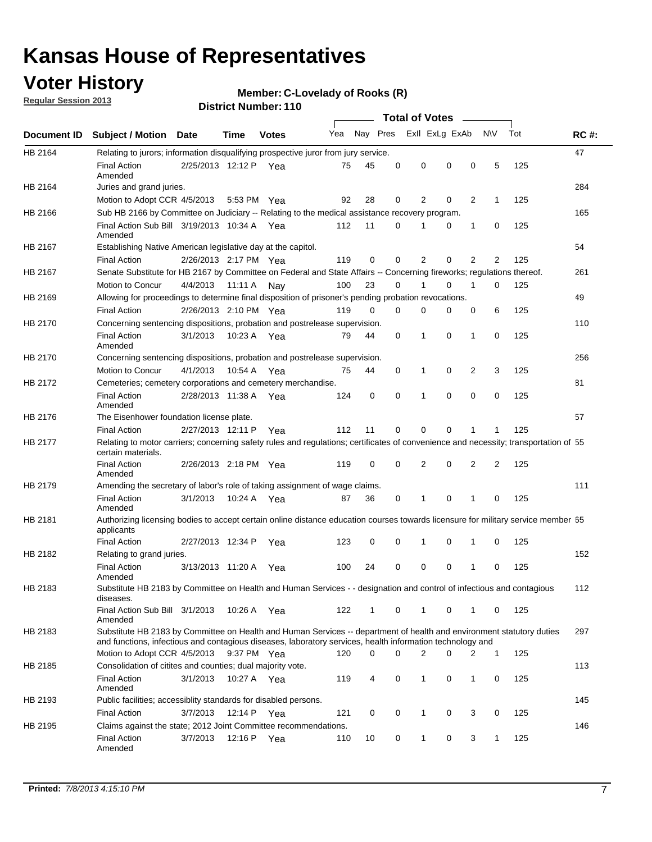### **Voter History**

**Regular Session 2013**

#### **Member: C-Lovelady of Rooks (R)**

|                    |                                                                                                                                                                                                                                    |                       |         | <b>DISTRICT NUMBER: 1 TO</b> |     |              |          |                                         |          |              |                |     |             |
|--------------------|------------------------------------------------------------------------------------------------------------------------------------------------------------------------------------------------------------------------------------|-----------------------|---------|------------------------------|-----|--------------|----------|-----------------------------------------|----------|--------------|----------------|-----|-------------|
| <b>Document ID</b> | <b>Subject / Motion</b>                                                                                                                                                                                                            | Date                  | Time    | <b>Votes</b>                 | Yea | Nay Pres     |          | <b>Total of Votes</b><br>Exll ExLg ExAb |          | $\sim$       | <b>NV</b>      | Tot | <b>RC#:</b> |
| HB 2164            | Relating to jurors; information disqualifying prospective juror from jury service.                                                                                                                                                 |                       |         |                              |     |              |          |                                         |          |              |                |     | 47          |
|                    | <b>Final Action</b><br>Amended                                                                                                                                                                                                     | 2/25/2013 12:12 P Yea |         |                              | 75  | 45           | 0        | 0                                       | 0        | 0            | 5              | 125 |             |
| HB 2164            | Juries and grand juries.                                                                                                                                                                                                           |                       |         |                              |     |              |          |                                         |          |              |                |     | 284         |
|                    | Motion to Adopt CCR 4/5/2013                                                                                                                                                                                                       |                       | 5:53 PM | Yea                          | 92  | 28           | 0        | 2                                       | 0        | 2            | $\mathbf 1$    | 125 |             |
| HB 2166            | Sub HB 2166 by Committee on Judiciary -- Relating to the medical assistance recovery program.                                                                                                                                      |                       |         |                              |     |              |          |                                         |          |              |                |     | 165         |
|                    | Final Action Sub Bill 3/19/2013 10:34 A Yea<br>Amended                                                                                                                                                                             |                       |         |                              | 112 | 11           | 0        | 1                                       | 0        | $\mathbf{1}$ | 0              | 125 |             |
| HB 2167            | Establishing Native American legislative day at the capitol.                                                                                                                                                                       |                       |         |                              |     |              |          |                                         |          |              |                |     | 54          |
|                    | <b>Final Action</b>                                                                                                                                                                                                                | 2/26/2013 2:17 PM Yea |         |                              | 119 | 0            | 0        | 2                                       | 0        | 2            | 2              | 125 |             |
| HB 2167            | Senate Substitute for HB 2167 by Committee on Federal and State Affairs -- Concerning fireworks; regulations thereof.                                                                                                              |                       |         |                              |     |              |          |                                         |          |              |                |     | 261         |
|                    | Motion to Concur                                                                                                                                                                                                                   | 4/4/2013              |         | 11:11 A Nay                  | 100 | 23           | 0        | 1                                       | 0        | 1            | 0              | 125 |             |
| HB 2169            | Allowing for proceedings to determine final disposition of prisoner's pending probation revocations.                                                                                                                               |                       |         |                              |     |              |          |                                         |          |              |                |     | 49          |
|                    | <b>Final Action</b>                                                                                                                                                                                                                | 2/26/2013 2:10 PM Yea |         |                              | 119 | 0            | 0        | 0                                       | 0        | 0            | 6              | 125 |             |
| HB 2170            | Concerning sentencing dispositions, probation and postrelease supervision.                                                                                                                                                         |                       |         |                              |     |              |          |                                         |          |              |                |     | 110         |
|                    | <b>Final Action</b><br>Amended                                                                                                                                                                                                     | 3/1/2013              |         | 10:23 A Yea                  | 79  | 44           | 0        | 1                                       | 0        | 1            | 0              | 125 |             |
| HB 2170            | Concerning sentencing dispositions, probation and postrelease supervision.                                                                                                                                                         |                       |         |                              |     |              |          |                                         |          |              |                |     | 256         |
|                    | Motion to Concur                                                                                                                                                                                                                   | 4/1/2013              | 10.54 A | Yea                          | 75  | 44           | 0        | 1                                       | 0        | 2            | 3              | 125 |             |
| HB 2172            | Cemeteries; cemetery corporations and cemetery merchandise.                                                                                                                                                                        |                       |         |                              |     |              |          |                                         |          |              |                |     | 81          |
|                    | <b>Final Action</b><br>Amended                                                                                                                                                                                                     | 2/28/2013 11:38 A Yea |         |                              | 124 | 0            | $\Omega$ | 1                                       | $\Omega$ | 0            | $\Omega$       | 125 |             |
| HB 2176            | The Eisenhower foundation license plate.                                                                                                                                                                                           |                       |         |                              |     |              |          |                                         |          |              |                |     | 57          |
|                    | <b>Final Action</b>                                                                                                                                                                                                                | 2/27/2013 12:11 P     |         | Yea                          | 112 | 11           | 0        | 0                                       | 0        | 1            | 1              | 125 |             |
| HB 2177            | Relating to motor carriers; concerning safety rules and regulations; certificates of convenience and necessity; transportation of 55<br>certain materials.                                                                         |                       |         |                              |     |              |          |                                         |          |              |                |     |             |
|                    | <b>Final Action</b><br>Amended                                                                                                                                                                                                     | 2/26/2013 2:18 PM Yea |         |                              | 119 | 0            | 0        | $\overline{2}$                          | 0        | 2            | $\overline{2}$ | 125 |             |
| HB 2179            | Amending the secretary of labor's role of taking assignment of wage claims.                                                                                                                                                        |                       |         |                              |     |              |          |                                         |          |              |                |     | 111         |
|                    | <b>Final Action</b><br>Amended                                                                                                                                                                                                     | 3/1/2013              | 10:24 A | Yea                          | 87  | 36           | 0        | 1                                       | 0        | 1            | 0              | 125 |             |
| HB 2181            | Authorizing licensing bodies to accept certain online distance education courses towards licensure for military service member 55<br>applicants                                                                                    |                       |         |                              |     |              |          |                                         |          |              |                |     |             |
|                    | <b>Final Action</b>                                                                                                                                                                                                                | 2/27/2013 12:34 P     |         | Yea                          | 123 | 0            | 0        | 1                                       | 0        | 1            | 0              | 125 |             |
| HB 2182            | Relating to grand juries.                                                                                                                                                                                                          |                       |         |                              |     |              |          |                                         |          |              |                |     | 152         |
|                    | <b>Final Action</b><br>Amended                                                                                                                                                                                                     | 3/13/2013 11:20 A     |         | Yea                          | 100 | 24           | 0        | 0                                       | 0        | 1            | 0              | 125 |             |
| HB 2183            | Substitute HB 2183 by Committee on Health and Human Services - - designation and control of infectious and contagious<br>diseases.                                                                                                 |                       |         |                              |     |              |          |                                         |          |              |                |     | 112         |
|                    | Final Action Sub Bill 3/1/2013<br>Amended                                                                                                                                                                                          |                       |         | 10:26 A Yea                  | 122 | $\mathbf{1}$ | 0        | $\mathbf{1}$                            | 0        | 1            | 0              | 125 |             |
| HB 2183            | Substitute HB 2183 by Committee on Health and Human Services -- department of health and environment statutory duties<br>and functions, infectious and contagious diseases, laboratory services, health information technology and |                       |         |                              |     |              |          |                                         |          |              |                |     | 297         |
|                    | Motion to Adopt CCR 4/5/2013                                                                                                                                                                                                       |                       |         | 9:37 PM Yea                  | 120 | 0            | 0        | 2                                       | 0        | 2            | 1              | 125 |             |
| HB 2185            | Consolidation of citites and counties; dual majority vote.                                                                                                                                                                         |                       |         |                              |     |              |          |                                         |          |              |                |     | 113         |
|                    | <b>Final Action</b><br>Amended                                                                                                                                                                                                     | 3/1/2013              |         | 10:27 A Yea                  | 119 | 4            | 0        | 1                                       | 0        | 1            | 0              | 125 |             |
| HB 2193            | Public facilities; accessiblity standards for disabled persons.                                                                                                                                                                    |                       |         |                              |     |              |          |                                         |          |              |                |     | 145         |
|                    | <b>Final Action</b>                                                                                                                                                                                                                | 3/7/2013              | 12:14 P | Yea                          | 121 | 0            | 0        | $\mathbf{1}$                            | 0        | 3            | 0              | 125 |             |
| HB 2195            | Claims against the state; 2012 Joint Committee recommendations.                                                                                                                                                                    |                       |         |                              |     |              |          |                                         |          |              |                |     | 146         |
|                    | <b>Final Action</b><br>Amended                                                                                                                                                                                                     | 3/7/2013              | 12:16 P | Yea                          | 110 | 10           | 0        | $\mathbf{1}$                            | 0        | 3            | $\mathbf 1$    | 125 |             |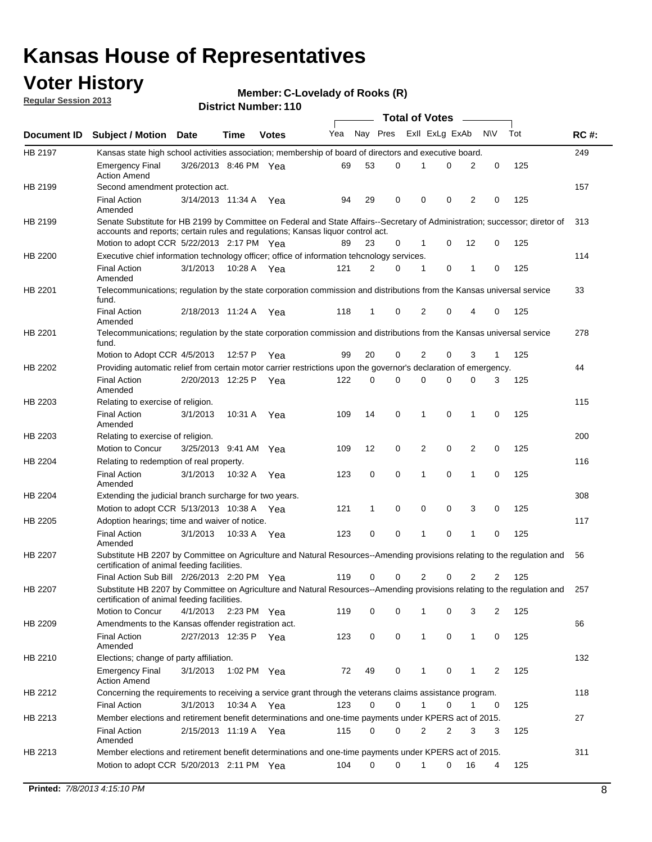### **Voter History**

**Member: C-Lovelady of Rooks (R)** 

**Regular Session 2013**

|             |                                                                                                                                                                                                                |                       |             |              |     |          |   | <b>Total of Votes</b> |   |                |                |     |             |
|-------------|----------------------------------------------------------------------------------------------------------------------------------------------------------------------------------------------------------------|-----------------------|-------------|--------------|-----|----------|---|-----------------------|---|----------------|----------------|-----|-------------|
| Document ID | <b>Subject / Motion Date</b>                                                                                                                                                                                   |                       | Time        | <b>Votes</b> | Yea | Nay Pres |   | Exll ExLg ExAb        |   |                | <b>NV</b>      | Tot | <b>RC#:</b> |
| HB 2197     | Kansas state high school activities association; membership of board of directors and executive board.                                                                                                         |                       |             |              |     |          |   |                       |   |                |                |     | 249         |
|             | <b>Emergency Final</b><br><b>Action Amend</b>                                                                                                                                                                  | 3/26/2013 8:46 PM Yea |             |              | 69  | 53       | 0 |                       | 0 | 2              | 0              | 125 |             |
| HB 2199     | Second amendment protection act.                                                                                                                                                                               |                       |             |              |     |          |   |                       |   |                |                |     | 157         |
|             | <b>Final Action</b><br>Amended                                                                                                                                                                                 | 3/14/2013 11:34 A     |             | Yea          | 94  | 29       | 0 | 0                     | 0 | 2              | 0              | 125 |             |
| HB 2199     | Senate Substitute for HB 2199 by Committee on Federal and State Affairs--Secretary of Administration; successor; diretor of<br>accounts and reports; certain rules and regulations; Kansas liquor control act. |                       |             |              |     |          |   |                       |   |                |                |     | 313         |
|             | Motion to adopt CCR 5/22/2013 2:17 PM Yea                                                                                                                                                                      |                       |             |              | 89  | 23       | 0 | 1                     | 0 | 12             | 0              | 125 |             |
| HB 2200     | Executive chief information technology officer; office of information tehcnology services.                                                                                                                     |                       |             |              |     |          |   |                       |   |                |                |     | 114         |
|             | <b>Final Action</b><br>Amended                                                                                                                                                                                 | 3/1/2013              | 10:28 A     | Yea          | 121 | 2        | 0 | 1                     | 0 | 1              | 0              | 125 |             |
| HB 2201     | Telecommunications; regulation by the state corporation commission and distributions from the Kansas universal service<br>fund.                                                                                |                       |             |              |     |          |   |                       |   |                |                |     | 33          |
|             | <b>Final Action</b><br>Amended                                                                                                                                                                                 | 2/18/2013 11:24 A Yea |             |              | 118 | 1        | 0 | 2                     | 0 | 4              | 0              | 125 |             |
| HB 2201     | Telecommunications; regulation by the state corporation commission and distributions from the Kansas universal service<br>fund.                                                                                |                       |             |              |     |          |   |                       |   |                |                |     | 278         |
|             | Motion to Adopt CCR 4/5/2013                                                                                                                                                                                   |                       | 12:57 P     | Yea          | 99  | 20       | 0 | 2                     | 0 | 3              | $\mathbf{1}$   | 125 |             |
| HB 2202     | Providing automatic relief from certain motor carrier restrictions upon the governor's declaration of emergency.                                                                                               |                       |             |              |     |          |   |                       |   |                |                |     | 44          |
|             | <b>Final Action</b><br>Amended                                                                                                                                                                                 | 2/20/2013 12:25 P     |             | Yea          | 122 | 0        | 0 | 0                     | 0 | 0              | 3              | 125 |             |
| HB 2203     | Relating to exercise of religion.                                                                                                                                                                              |                       |             |              |     |          |   |                       |   |                |                |     | 115         |
|             | <b>Final Action</b><br>Amended                                                                                                                                                                                 | 3/1/2013              |             | 10:31 A Yea  | 109 | 14       | 0 | 1                     | 0 | 1              | 0              | 125 |             |
| HB 2203     | Relating to exercise of religion.                                                                                                                                                                              |                       |             |              |     |          |   |                       |   |                |                |     | 200         |
|             | Motion to Concur                                                                                                                                                                                               | 3/25/2013 9:41 AM     |             | Yea          | 109 | 12       | 0 | 2                     | 0 | 2              | 0              | 125 |             |
| HB 2204     | Relating to redemption of real property.                                                                                                                                                                       |                       |             |              |     |          |   |                       |   |                |                |     | 116         |
|             | <b>Final Action</b><br>Amended                                                                                                                                                                                 | 3/1/2013              | 10:32 A     | Yea          | 123 | 0        | 0 | 1                     | 0 | $\mathbf{1}$   | 0              | 125 |             |
| HB 2204     | Extending the judicial branch surcharge for two years.                                                                                                                                                         |                       |             |              |     |          |   |                       |   |                |                |     | 308         |
|             | Motion to adopt CCR 5/13/2013 10:38 A                                                                                                                                                                          |                       |             | Yea          | 121 | 1        | 0 | 0                     | 0 | 3              | 0              | 125 |             |
| HB 2205     | Adoption hearings; time and waiver of notice.                                                                                                                                                                  |                       |             |              |     |          |   |                       |   |                |                |     | 117         |
|             | <b>Final Action</b><br>Amended                                                                                                                                                                                 | 3/1/2013              | 10:33 A     | Yea          | 123 | 0        | 0 | 1                     | 0 | 1              | 0              | 125 |             |
| HB 2207     | Substitute HB 2207 by Committee on Agriculture and Natural Resources--Amending provisions relating to the regulation and<br>certification of animal feeding facilities.                                        |                       |             |              |     |          |   |                       |   |                |                |     | 56          |
|             | Final Action Sub Bill 2/26/2013 2:20 PM Yea                                                                                                                                                                    |                       |             |              | 119 | 0        | 0 | 2                     | 0 | $\overline{2}$ | $\overline{2}$ | 125 |             |
| HB 2207     | Substitute HB 2207 by Committee on Agriculture and Natural Resources--Amending provisions relating to the regulation and 257<br>certification of animal feeding facilities.                                    |                       |             |              |     |          |   |                       |   |                |                |     |             |
|             | Motion to Concur                                                                                                                                                                                               | 4/1/2013              | 2:23 PM Yea |              | 119 | 0        | 0 | 1                     | 0 | 3              | 2              | 125 |             |
| HB 2209     | Amendments to the Kansas offender registration act.                                                                                                                                                            |                       |             |              |     |          |   |                       |   |                |                |     | 66          |
|             | <b>Final Action</b><br>Amended                                                                                                                                                                                 | 2/27/2013 12:35 P Yea |             |              | 123 | 0        | 0 | $\mathbf{1}$          | 0 | $\mathbf{1}$   | 0              | 125 |             |
| HB 2210     | Elections; change of party affiliation.                                                                                                                                                                        |                       |             |              |     |          |   |                       |   |                |                |     | 132         |
|             | <b>Emergency Final</b><br><b>Action Amend</b>                                                                                                                                                                  | 3/1/2013              | 1:02 PM Yea |              | 72  | 49       | 0 | 1                     | 0 | 1              | 2              | 125 |             |
| HB 2212     | Concerning the requirements to receiving a service grant through the veterans claims assistance program.                                                                                                       |                       |             |              |     |          |   |                       |   |                |                |     | 118         |
|             | <b>Final Action</b>                                                                                                                                                                                            | 3/1/2013              | 10:34 A Yea |              | 123 | 0        | 0 | $\mathbf{1}$          | 0 | 1              | 0              | 125 |             |
| HB 2213     | Member elections and retirement benefit determinations and one-time payments under KPERS act of 2015.                                                                                                          |                       |             |              |     |          |   |                       |   |                |                |     | 27          |
|             | <b>Final Action</b><br>Amended                                                                                                                                                                                 | 2/15/2013 11:19 A Yea |             |              | 115 | 0        | 0 | 2                     | 2 | 3              | 3              | 125 |             |
| HB 2213     | Member elections and retirement benefit determinations and one-time payments under KPERS act of 2015.<br>Motion to adopt CCR 5/20/2013 2:11 PM Yea                                                             |                       |             |              | 104 | 0        | 0 | 1                     | 0 | 16             | 4              | 125 | 311         |
|             |                                                                                                                                                                                                                |                       |             |              |     |          |   |                       |   |                |                |     |             |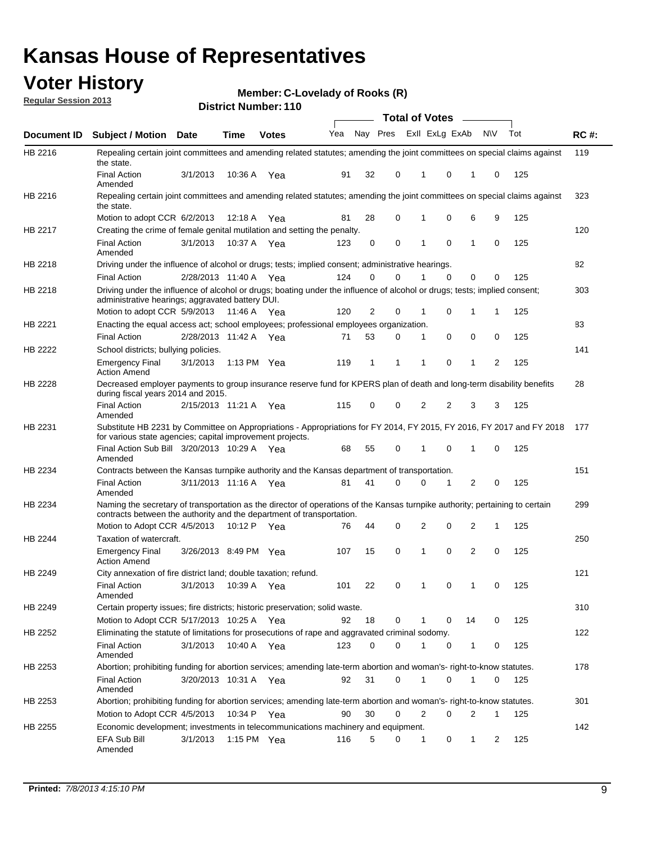### **Voter History**

**Member: C-Lovelady of Rooks (R)** 

**Regular Session 2013**

|                    |                                                                                                                                                                                                       |                       |         | טו ו . וסעווווטדו וטוש |              |    |   | <b>Total of Votes</b> |          | $\sim$         |           |     |     |
|--------------------|-------------------------------------------------------------------------------------------------------------------------------------------------------------------------------------------------------|-----------------------|---------|------------------------|--------------|----|---|-----------------------|----------|----------------|-----------|-----|-----|
| <b>Document ID</b> | <b>Subject / Motion Date</b>                                                                                                                                                                          |                       | Time    | <b>Votes</b>           | Yea Nay Pres |    |   | Exll ExLg ExAb        |          |                | <b>NV</b> | Tot | RC# |
| HB 2216            | Repealing certain joint committees and amending related statutes; amending the joint committees on special claims against<br>the state.                                                               |                       |         |                        |              |    |   |                       |          |                |           |     | 119 |
|                    | <b>Final Action</b><br>Amended                                                                                                                                                                        | 3/1/2013              | 10:36 A | Yea                    | 91           | 32 | 0 | 1                     | 0        | 1              | 0         | 125 |     |
| HB 2216            | Repealing certain joint committees and amending related statutes; amending the joint committees on special claims against<br>the state.                                                               |                       |         |                        |              |    |   |                       |          |                |           |     | 323 |
|                    | Motion to adopt CCR 6/2/2013                                                                                                                                                                          |                       | 12:18 A | Yea                    | 81           | 28 | 0 | 1                     | 0        | 6              | 9         | 125 |     |
| HB 2217            | Creating the crime of female genital mutilation and setting the penalty.                                                                                                                              |                       |         |                        |              |    |   |                       |          |                |           |     | 120 |
|                    | <b>Final Action</b><br>Amended                                                                                                                                                                        | 3/1/2013              |         | 10:37 A Yea            | 123          | 0  | 0 | 1                     | 0        | $\mathbf{1}$   | 0         | 125 |     |
| HB 2218            | Driving under the influence of alcohol or drugs; tests; implied consent; administrative hearings.                                                                                                     |                       |         |                        |              |    |   |                       |          |                |           |     | 82  |
|                    | <b>Final Action</b>                                                                                                                                                                                   | 2/28/2013 11:40 A Yea |         |                        | 124          | 0  | 0 |                       | $\Omega$ | 0              | 0         | 125 |     |
| HB 2218            | Driving under the influence of alcohol or drugs; boating under the influence of alcohol or drugs; tests; implied consent;<br>administrative hearings; aggravated battery DUI.                         |                       |         |                        |              |    |   |                       |          |                |           |     | 303 |
|                    | Motion to adopt CCR 5/9/2013 11:46 A                                                                                                                                                                  |                       |         | Yea                    | 120          | 2  | 0 | 1                     | 0        | 1              | 1         | 125 |     |
| HB 2221            | Enacting the equal access act; school employees; professional employees organization.                                                                                                                 |                       |         |                        |              |    |   |                       |          |                |           |     | 83  |
|                    | <b>Final Action</b>                                                                                                                                                                                   | 2/28/2013 11:42 A     |         | Yea                    | 71           | 53 | 0 | 1                     | 0        | 0              | 0         | 125 |     |
| HB 2222            | School districts; bullying policies.<br><b>Emergency Final</b>                                                                                                                                        | 3/1/2013              |         | 1:13 PM $Yea$          | 119          | 1  | 1 | 1                     | 0        | 1              | 2         | 125 | 141 |
|                    | <b>Action Amend</b>                                                                                                                                                                                   |                       |         |                        |              |    |   |                       |          |                |           |     |     |
| HB 2228            | Decreased employer payments to group insurance reserve fund for KPERS plan of death and long-term disability benefits<br>during fiscal years 2014 and 2015.                                           |                       |         |                        |              |    |   |                       |          |                |           |     | 28  |
|                    | <b>Final Action</b><br>Amended                                                                                                                                                                        | 2/15/2013 11:21 A Yea |         |                        | 115          | 0  | 0 | 2                     | 2        | 3              | 3         | 125 |     |
| HB 2231            | Substitute HB 2231 by Committee on Appropriations - Appropriations for FY 2014, FY 2015, FY 2016, FY 2017 and FY 2018<br>for various state agencies; capital improvement projects.                    |                       |         |                        |              |    |   |                       |          |                |           |     | 177 |
|                    | Final Action Sub Bill 3/20/2013 10:29 A Yea<br>Amended                                                                                                                                                |                       |         |                        | 68           | 55 | 0 |                       | 0        | 1              | 0         | 125 |     |
| HB 2234            | Contracts between the Kansas turnpike authority and the Kansas department of transportation.                                                                                                          |                       |         |                        |              |    |   |                       |          |                |           |     | 151 |
|                    | <b>Final Action</b><br>Amended                                                                                                                                                                        | 3/11/2013 11:16 A Yea |         |                        | 81           | 41 | 0 | 0                     | 1        | $\overline{2}$ | 0         | 125 |     |
| HB 2234            | Naming the secretary of transportation as the director of operations of the Kansas turnpike authority; pertaining to certain<br>contracts between the authority and the department of transportation. |                       |         |                        |              |    |   |                       |          |                |           |     | 299 |
|                    | Motion to Adopt CCR 4/5/2013                                                                                                                                                                          |                       | 10:12 P | Yea                    | 76           | 44 | 0 | 2                     | 0        | 2              | 1         | 125 |     |
| <b>HB 2244</b>     | Taxation of watercraft.<br><b>Emergency Final</b>                                                                                                                                                     | 3/26/2013 8:49 PM Yea |         |                        | 107          | 15 | 0 | 1                     | 0        | 2              | 0         | 125 | 250 |
|                    | <b>Action Amend</b>                                                                                                                                                                                   |                       |         |                        |              |    |   |                       |          |                |           |     |     |
| HB 2249            | City annexation of fire district land; double taxation; refund.                                                                                                                                       |                       |         |                        |              |    |   |                       |          |                |           |     | 121 |
|                    | Final Action 3/1/2013 10:39 A Yea<br>Amended                                                                                                                                                          |                       |         |                        | 101          | 22 | 0 | $\mathbf{1}$          | 0        | $\mathbf{1}$   | 0         | 125 |     |
| HB 2249            | Certain property issues; fire districts; historic preservation; solid waste.                                                                                                                          |                       |         |                        |              |    |   |                       |          |                |           |     | 310 |
|                    | Motion to Adopt CCR 5/17/2013 10:25 A Yea                                                                                                                                                             |                       |         |                        | 92           | 18 | 0 | 1                     | 0        | 14             | 0         | 125 |     |
| HB 2252            | Eliminating the statute of limitations for prosecutions of rape and aggravated criminal sodomy.                                                                                                       |                       |         |                        |              |    |   |                       |          |                |           |     | 122 |
|                    | <b>Final Action</b><br>Amended                                                                                                                                                                        | 3/1/2013              |         | 10:40 A Yea            | 123          | 0  | 0 |                       | 0        | 1              | 0         | 125 |     |
| HB 2253            | Abortion; prohibiting funding for abortion services; amending late-term abortion and woman's- right-to-know statutes.                                                                                 |                       |         |                        |              |    |   |                       |          |                |           |     | 178 |
|                    | <b>Final Action</b><br>Amended                                                                                                                                                                        | 3/20/2013 10:31 A Yea |         |                        | 92           | 31 | 0 | 1                     | 0        | 1              | 0         | 125 |     |
| HB 2253            | Abortion; prohibiting funding for abortion services; amending late-term abortion and woman's- right-to-know statutes.                                                                                 |                       |         |                        |              |    |   |                       |          |                |           |     | 301 |
|                    | Motion to Adopt CCR 4/5/2013                                                                                                                                                                          |                       |         | 10:34 P Yea            | 90           | 30 | 0 | 2                     | 0        | 2              | 1         | 125 |     |
| HB 2255            | Economic development; investments in telecommunications machinery and equipment.                                                                                                                      |                       |         |                        |              |    |   |                       |          |                |           |     | 142 |
|                    | EFA Sub Bill<br>Amended                                                                                                                                                                               | 3/1/2013              |         | 1:15 PM $Yea$          | 116          | 5  | 0 | -1                    | 0        | 1              | 2         | 125 |     |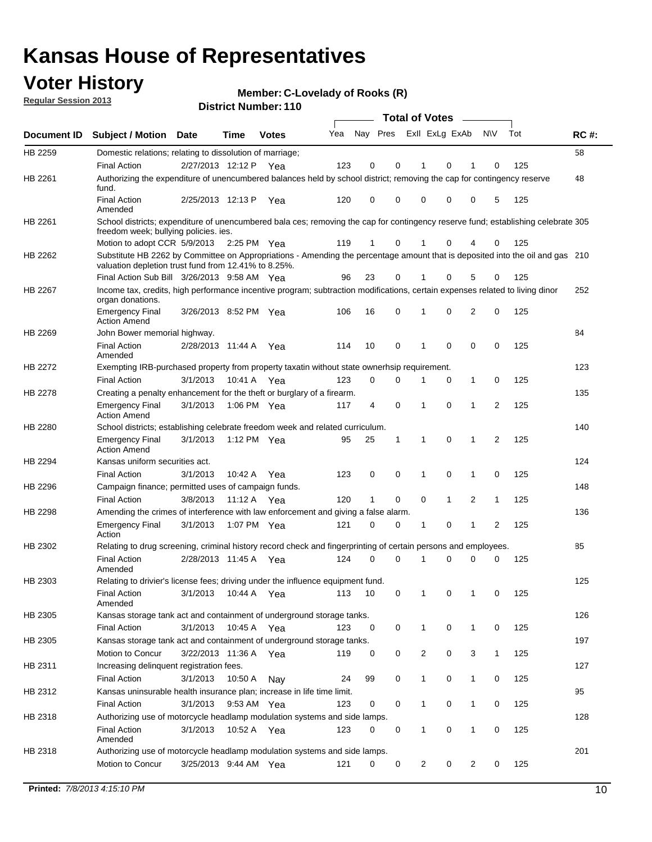### **Voter History**

**Member: C-Lovelady of Rooks (R)** 

**Regular Session 2013**

|             |                                                                                                                                                                                       |                       |               |              |     |          |          | <b>Total of Votes</b> |              |                |                |     |             |
|-------------|---------------------------------------------------------------------------------------------------------------------------------------------------------------------------------------|-----------------------|---------------|--------------|-----|----------|----------|-----------------------|--------------|----------------|----------------|-----|-------------|
| Document ID | <b>Subject / Motion</b>                                                                                                                                                               | <b>Date</b>           | Time          | <b>Votes</b> | Yea | Nay Pres |          | Exll ExLg ExAb        |              |                | <b>NV</b>      | Tot | <b>RC#:</b> |
| HB 2259     | Domestic relations; relating to dissolution of marriage;                                                                                                                              |                       |               |              |     |          |          |                       |              |                |                |     | 58          |
|             | <b>Final Action</b>                                                                                                                                                                   | 2/27/2013 12:12 P     |               | Yea          | 123 | 0        | 0        |                       | 0            |                | 0              | 125 |             |
| HB 2261     | Authorizing the expenditure of unencumbered balances held by school district; removing the cap for contingency reserve<br>fund.                                                       |                       |               |              |     |          |          |                       |              |                |                |     | 48          |
|             | <b>Final Action</b><br>Amended                                                                                                                                                        | 2/25/2013 12:13 P     |               | Yea          | 120 | 0        | 0        | 0                     | 0            | 0              | 5              | 125 |             |
| HB 2261     | School districts; expenditure of unencumbered bala ces; removing the cap for contingency reserve fund; establishing celebrate 305<br>freedom week; bullying policies. ies.            |                       |               |              |     |          |          |                       |              |                |                |     |             |
|             | Motion to adopt CCR 5/9/2013                                                                                                                                                          |                       | 2:25 PM $Yea$ |              | 119 | 1        | $\Omega$ |                       | 0            |                | 0              | 125 |             |
| HB 2262     | Substitute HB 2262 by Committee on Appropriations - Amending the percentage amount that is deposited into the oil and gas 210<br>valuation depletion trust fund from 12.41% to 8.25%. |                       |               |              |     |          |          |                       |              |                |                |     |             |
|             | Final Action Sub Bill 3/26/2013 9:58 AM Yea                                                                                                                                           |                       |               |              | 96  | 23       | 0        |                       | 0            | 5              | 0              | 125 |             |
| HB 2267     | Income tax, credits, high performance incentive program; subtraction modifications, certain expenses related to living dinor<br>organ donations.                                      |                       |               |              |     |          |          |                       |              |                |                |     | 252         |
|             | <b>Emergency Final</b><br><b>Action Amend</b>                                                                                                                                         | 3/26/2013 8:52 PM Yea |               |              | 106 | 16       | 0        | 1                     | 0            | $\overline{2}$ | 0              | 125 |             |
| HB 2269     | John Bower memorial highway.                                                                                                                                                          |                       |               |              |     |          |          |                       |              |                |                |     | 84          |
|             | <b>Final Action</b><br>Amended                                                                                                                                                        | 2/28/2013 11:44 A     |               | Yea          | 114 | 10       | 0        | 1                     | 0            | 0              | 0              | 125 |             |
| HB 2272     | Exempting IRB-purchased property from property taxatin without state ownerhsip requirement.                                                                                           |                       |               |              |     |          |          |                       |              |                |                |     | 123         |
|             | <b>Final Action</b>                                                                                                                                                                   | 3/1/2013              | 10:41 A       | Yea          | 123 | 0        | 0        | 1                     | 0            | $\mathbf{1}$   | 0              | 125 |             |
| HB 2278     | Creating a penalty enhancement for the theft or burglary of a firearm.                                                                                                                |                       |               |              |     |          |          |                       |              |                |                |     | 135         |
|             | <b>Emergency Final</b><br><b>Action Amend</b>                                                                                                                                         | 3/1/2013              | 1:06 PM Yea   |              | 117 | 4        | 0        | 1                     | 0            | 1              | 2              | 125 |             |
| HB 2280     | School districts; establishing celebrate freedom week and related curriculum.                                                                                                         |                       |               |              |     |          |          |                       |              |                |                |     | 140         |
|             | <b>Emergency Final</b><br><b>Action Amend</b>                                                                                                                                         | 3/1/2013              | 1:12 PM Yea   |              | 95  | 25       | 1        | 1                     | 0            | 1              | 2              | 125 |             |
| HB 2294     | Kansas uniform securities act.                                                                                                                                                        |                       |               |              |     |          |          |                       |              |                |                |     | 124         |
|             | <b>Final Action</b>                                                                                                                                                                   | 3/1/2013              | 10:42 A       | Yea          | 123 | 0        | 0        | 1                     | 0            | 1              | 0              | 125 |             |
| HB 2296     | Campaign finance; permitted uses of campaign funds.                                                                                                                                   |                       |               |              |     |          |          |                       |              |                |                |     | 148         |
|             | <b>Final Action</b>                                                                                                                                                                   | 3/8/2013              | 11:12 A       | Yea          | 120 | 1        | 0        | 0                     | $\mathbf{1}$ | $\overline{2}$ | $\mathbf{1}$   | 125 |             |
| HB 2298     | Amending the crimes of interference with law enforcement and giving a false alarm.                                                                                                    |                       |               |              |     |          |          |                       |              |                |                |     | 136         |
|             | <b>Emergency Final</b><br>Action                                                                                                                                                      | 3/1/2013              | 1:07 PM Yea   |              | 121 | 0        | 0        | 1                     | 0            | 1              | $\overline{2}$ | 125 |             |
| HB 2302     | Relating to drug screening, criminal history record check and fingerprinting of certain persons and employees.                                                                        |                       |               |              |     |          |          |                       |              |                |                |     | 85          |
|             | <b>Final Action</b><br>Amended                                                                                                                                                        | 2/28/2013 11:45 A     |               | Yea          | 124 | 0        | 0        | 1                     | 0            | 0              | 0              | 125 |             |
| HB 2303     | Relating to drivier's license fees; driving under the influence equipment fund.                                                                                                       |                       |               |              |     |          |          |                       |              |                |                |     | 125         |
|             | Final Action<br>Amended                                                                                                                                                               | 3/1/2013 10:44 A      |               | Yea          | 113 | 10       | 0        |                       | 0            |                | 0              | 125 |             |
| HB 2305     | Kansas storage tank act and containment of underground storage tanks.                                                                                                                 |                       |               |              |     |          |          |                       |              |                |                |     | 126         |
|             | <b>Final Action</b>                                                                                                                                                                   | 3/1/2013              | 10:45 A       | Yea          | 123 | 0        | 0        | 1                     | 0            | 1              | 0              | 125 |             |
| HB 2305     | Kansas storage tank act and containment of underground storage tanks.                                                                                                                 |                       |               |              |     |          |          |                       |              |                |                |     | 197         |
|             | Motion to Concur                                                                                                                                                                      | 3/22/2013 11:36 A Yea |               |              | 119 | 0        | 0        | 2                     | 0            | 3              | $\mathbf{1}$   | 125 |             |
| HB 2311     | Increasing delinquent registration fees.                                                                                                                                              |                       |               |              |     |          |          |                       |              |                |                |     | 127         |
|             | <b>Final Action</b>                                                                                                                                                                   | 3/1/2013              | 10:50 A       | Nav          | 24  | 99       | 0        | 1                     | 0            | 1              | 0              | 125 |             |
| HB 2312     | Kansas uninsurable health insurance plan; increase in life time limit.                                                                                                                |                       |               |              |     |          |          |                       |              |                |                |     | 95          |
|             | <b>Final Action</b>                                                                                                                                                                   | 3/1/2013              | 9:53 AM Yea   |              | 123 | 0        | 0        | 1                     | 0            | $\mathbf{1}$   | 0              | 125 |             |
| HB 2318     | Authorizing use of motorcycle headlamp modulation systems and side lamps.                                                                                                             |                       |               |              |     |          |          |                       |              |                |                |     | 128         |
|             | <b>Final Action</b><br>Amended                                                                                                                                                        | 3/1/2013              | 10:52 A Yea   |              | 123 | 0        | 0        | 1                     | 0            | 1              | 0              | 125 |             |
| HB 2318     | Authorizing use of motorcycle headlamp modulation systems and side lamps.                                                                                                             |                       |               |              |     |          |          |                       |              |                |                |     | 201         |
|             | Motion to Concur                                                                                                                                                                      | 3/25/2013 9:44 AM Yea |               |              | 121 | 0        | 0        | $\overline{2}$        | 0            | 2              | 0              | 125 |             |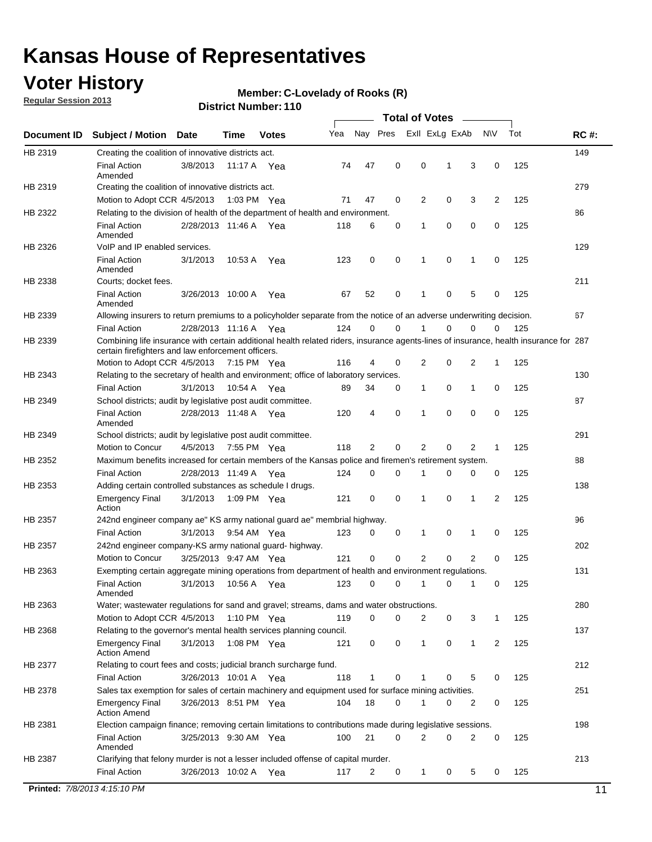### **Voter History**

**Regular Session 2013**

#### **Member: C-Lovelady of Rooks (R)**

| Nay Pres<br>Exll ExLg ExAb<br>Tot<br>Yea<br><b>NV</b><br><b>RC#:</b><br><b>Subject / Motion</b><br>Date<br>Time<br><b>Votes</b><br>149<br>Creating the coalition of innovative districts act.<br>47<br>0<br>0<br>125<br><b>Final Action</b><br>3/8/2013<br>3<br>0<br>11:17 A<br>74<br>1<br>Yea<br>Amended<br>279<br>Creating the coalition of innovative districts act.<br>47<br>0<br>2<br>0<br>3<br>2<br>125<br>Motion to Adopt CCR 4/5/2013<br>1:03 PM Yea<br>71<br>Relating to the division of health of the department of health and environment.<br>86<br>0<br>0<br>0<br>125<br><b>Final Action</b><br>2/28/2013 11:46 A Yea<br>118<br>6<br>0<br>1<br>Amended<br>VoIP and IP enabled services.<br>129<br>$\mathbf 0$<br>$\mathbf 0$<br><b>Final Action</b><br>3/1/2013<br>123<br>0<br>1<br>$\mathbf 0$<br>125<br>10:53 A<br>1<br>Yea<br>Amended<br>211<br>Courts; docket fees.<br><b>Final Action</b><br>0<br>125<br>3/26/2013 10:00 A<br>52<br>$\mathbf 1$<br>0<br>5<br>0<br>Yea<br>67<br>Amended<br>67<br>Allowing insurers to return premiums to a policyholder separate from the notice of an adverse underwriting decision.<br>0<br>2/28/2013 11:16 A Yea<br>124<br>0<br>1<br>0<br>0<br>125<br><b>Final Action</b><br>0<br>Combining life insurance with certain additional health related riders, insurance agents-lines of insurance, health insurance for 287<br>certain firefighters and law enforcement officers.<br>2<br>0<br>125<br>Motion to Adopt CCR 4/5/2013 7:15 PM Yea<br>116<br>4<br>0<br>2<br>1<br>Relating to the secretary of health and environment; office of laboratory services.<br>130<br><b>Final Action</b><br>0<br>125<br>3/1/2013<br>10:54 A Yea<br>89<br>34<br>0<br>$\mathbf{1}$<br>1<br>0<br>87<br>School districts; audit by legislative post audit committee.<br>$\Omega$<br>4<br>0<br>$\Omega$<br>0<br>125<br><b>Final Action</b><br>2/28/2013 11:48 A Yea<br>120<br>1<br>Amended<br>291<br>HB 2349<br>School districts; audit by legislative post audit committee.<br>Motion to Concur<br>4/5/2013<br>7:55 PM Yea<br>118<br>2<br>0<br>2<br>0<br>2<br>125<br>1<br>HB 2352<br>Maximum benefits increased for certain members of the Kansas police and firemen's retirement system.<br>88<br><b>Final Action</b><br>0<br>125<br>2/28/2013 11:49 A<br>124<br>0<br>1<br>0<br>0<br>0<br>Yea<br>138<br>HB 2353<br>Adding certain controlled substances as schedule I drugs.<br>$\mathbf 0$<br>0<br>0<br>2<br>125<br><b>Emergency Final</b><br>3/1/2013<br>1:09 PM Yea<br>121<br>1<br>1<br>Action<br>96<br>HB 2357<br>242nd engineer company ae" KS army national guard ae" membrial highway.<br>3/1/2013<br>0<br>125<br><b>Final Action</b><br>9:54 AM Yea<br>123<br>0<br>0<br>1<br>0<br>1<br>202<br>HB 2357<br>242nd engineer company-KS army national guard- highway.<br>$\mathbf 0$<br>$\mathbf 0$<br>$\overline{2}$<br>$\mathbf 0$<br>$\overline{2}$<br>3/25/2013 9:47 AM Yea<br>121<br>0<br>125<br>Motion to Concur<br>131<br>HB 2363<br>Exempting certain aggregate mining operations from department of health and environment regulations.<br>3/1/2013<br>10:56 A<br>123<br>0<br>125<br><b>Final Action</b><br>0<br>1<br>0<br>1<br>0<br>Yea<br>Amended<br>HB 2363<br>Water; wastewater regulations for sand and gravel; streams, dams and water obstructions.<br>280<br>Motion to Adopt CCR 4/5/2013<br>119<br>0<br>0<br>2<br>3<br>125<br>1:10 PM $Yea$<br>0<br>1<br>HB 2368<br>Relating to the governor's mental health services planning council.<br>137<br>0<br>0<br><b>Emergency Final</b><br>3/1/2013<br>1:08 PM Yea<br>121<br>0<br>$\mathbf{1}$<br>1<br>2<br>125<br><b>Action Amend</b><br>HB 2377<br>Relating to court fees and costs; judicial branch surcharge fund.<br>212<br>3/26/2013 10:01 A Yea<br>118<br>0<br>125<br><b>Final Action</b><br>1<br>0<br>5<br>0<br>Sales tax exemption for sales of certain machinery and equipment used for surface mining activities.<br>251<br>HB 2378<br>104<br>18<br>0<br>0<br>125<br><b>Emergency Final</b><br>3/26/2013 8:51 PM Yea<br>1<br>0<br>2<br><b>Action Amend</b><br>198<br>Election campaign finance; removing certain limitations to contributions made during legislative sessions.<br><b>Final Action</b><br>21<br>$\overline{2}$<br>0<br>2<br>0<br>3/25/2013 9:30 AM Yea<br>100<br>0<br>125<br>Amended<br>213<br>Clarifying that felony murder is not a lesser included offense of capital murder.<br><b>Final Action</b><br>125<br>3/26/2013 10:02 A<br>117<br>2<br>0<br>$\mathbf{1}$<br>0<br>5<br>0<br>Yea<br>Printed: 7/8/2013 4:15:10 PM |             |  |  |  | <b>Total of Votes</b> |  |  |    |
|---------------------------------------------------------------------------------------------------------------------------------------------------------------------------------------------------------------------------------------------------------------------------------------------------------------------------------------------------------------------------------------------------------------------------------------------------------------------------------------------------------------------------------------------------------------------------------------------------------------------------------------------------------------------------------------------------------------------------------------------------------------------------------------------------------------------------------------------------------------------------------------------------------------------------------------------------------------------------------------------------------------------------------------------------------------------------------------------------------------------------------------------------------------------------------------------------------------------------------------------------------------------------------------------------------------------------------------------------------------------------------------------------------------------------------------------------------------------------------------------------------------------------------------------------------------------------------------------------------------------------------------------------------------------------------------------------------------------------------------------------------------------------------------------------------------------------------------------------------------------------------------------------------------------------------------------------------------------------------------------------------------------------------------------------------------------------------------------------------------------------------------------------------------------------------------------------------------------------------------------------------------------------------------------------------------------------------------------------------------------------------------------------------------------------------------------------------------------------------------------------------------------------------------------------------------------------------------------------------------------------------------------------------------------------------------------------------------------------------------------------------------------------------------------------------------------------------------------------------------------------------------------------------------------------------------------------------------------------------------------------------------------------------------------------------------------------------------------------------------------------------------------------------------------------------------------------------------------------------------------------------------------------------------------------------------------------------------------------------------------------------------------------------------------------------------------------------------------------------------------------------------------------------------------------------------------------------------------------------------------------------------------------------------------------------------------------------------------------------------------------------------------------------------------------------------------------------------------------------------------------------------------------------------------------------------------------------------------------------------------------------------------------------------------------------------------------------------------------------------------------------------------------------------------------------------------------------------------------------------------------------------------------------------------------------------------------------------------------------------------------------------------------------------------------------------------------------------------------------------------------------------------------------------------------------|-------------|--|--|--|-----------------------|--|--|----|
|                                                                                                                                                                                                                                                                                                                                                                                                                                                                                                                                                                                                                                                                                                                                                                                                                                                                                                                                                                                                                                                                                                                                                                                                                                                                                                                                                                                                                                                                                                                                                                                                                                                                                                                                                                                                                                                                                                                                                                                                                                                                                                                                                                                                                                                                                                                                                                                                                                                                                                                                                                                                                                                                                                                                                                                                                                                                                                                                                                                                                                                                                                                                                                                                                                                                                                                                                                                                                                                                                                                                                                                                                                                                                                                                                                                                                                                                                                                                                                                                                                                                                                                                                                                                                                                                                                                                                                                                                                                                                                                                                         | Document ID |  |  |  |                       |  |  |    |
|                                                                                                                                                                                                                                                                                                                                                                                                                                                                                                                                                                                                                                                                                                                                                                                                                                                                                                                                                                                                                                                                                                                                                                                                                                                                                                                                                                                                                                                                                                                                                                                                                                                                                                                                                                                                                                                                                                                                                                                                                                                                                                                                                                                                                                                                                                                                                                                                                                                                                                                                                                                                                                                                                                                                                                                                                                                                                                                                                                                                                                                                                                                                                                                                                                                                                                                                                                                                                                                                                                                                                                                                                                                                                                                                                                                                                                                                                                                                                                                                                                                                                                                                                                                                                                                                                                                                                                                                                                                                                                                                                         | HB 2319     |  |  |  |                       |  |  |    |
|                                                                                                                                                                                                                                                                                                                                                                                                                                                                                                                                                                                                                                                                                                                                                                                                                                                                                                                                                                                                                                                                                                                                                                                                                                                                                                                                                                                                                                                                                                                                                                                                                                                                                                                                                                                                                                                                                                                                                                                                                                                                                                                                                                                                                                                                                                                                                                                                                                                                                                                                                                                                                                                                                                                                                                                                                                                                                                                                                                                                                                                                                                                                                                                                                                                                                                                                                                                                                                                                                                                                                                                                                                                                                                                                                                                                                                                                                                                                                                                                                                                                                                                                                                                                                                                                                                                                                                                                                                                                                                                                                         |             |  |  |  |                       |  |  |    |
|                                                                                                                                                                                                                                                                                                                                                                                                                                                                                                                                                                                                                                                                                                                                                                                                                                                                                                                                                                                                                                                                                                                                                                                                                                                                                                                                                                                                                                                                                                                                                                                                                                                                                                                                                                                                                                                                                                                                                                                                                                                                                                                                                                                                                                                                                                                                                                                                                                                                                                                                                                                                                                                                                                                                                                                                                                                                                                                                                                                                                                                                                                                                                                                                                                                                                                                                                                                                                                                                                                                                                                                                                                                                                                                                                                                                                                                                                                                                                                                                                                                                                                                                                                                                                                                                                                                                                                                                                                                                                                                                                         | HB 2319     |  |  |  |                       |  |  |    |
|                                                                                                                                                                                                                                                                                                                                                                                                                                                                                                                                                                                                                                                                                                                                                                                                                                                                                                                                                                                                                                                                                                                                                                                                                                                                                                                                                                                                                                                                                                                                                                                                                                                                                                                                                                                                                                                                                                                                                                                                                                                                                                                                                                                                                                                                                                                                                                                                                                                                                                                                                                                                                                                                                                                                                                                                                                                                                                                                                                                                                                                                                                                                                                                                                                                                                                                                                                                                                                                                                                                                                                                                                                                                                                                                                                                                                                                                                                                                                                                                                                                                                                                                                                                                                                                                                                                                                                                                                                                                                                                                                         | HB 2322     |  |  |  |                       |  |  |    |
|                                                                                                                                                                                                                                                                                                                                                                                                                                                                                                                                                                                                                                                                                                                                                                                                                                                                                                                                                                                                                                                                                                                                                                                                                                                                                                                                                                                                                                                                                                                                                                                                                                                                                                                                                                                                                                                                                                                                                                                                                                                                                                                                                                                                                                                                                                                                                                                                                                                                                                                                                                                                                                                                                                                                                                                                                                                                                                                                                                                                                                                                                                                                                                                                                                                                                                                                                                                                                                                                                                                                                                                                                                                                                                                                                                                                                                                                                                                                                                                                                                                                                                                                                                                                                                                                                                                                                                                                                                                                                                                                                         |             |  |  |  |                       |  |  |    |
|                                                                                                                                                                                                                                                                                                                                                                                                                                                                                                                                                                                                                                                                                                                                                                                                                                                                                                                                                                                                                                                                                                                                                                                                                                                                                                                                                                                                                                                                                                                                                                                                                                                                                                                                                                                                                                                                                                                                                                                                                                                                                                                                                                                                                                                                                                                                                                                                                                                                                                                                                                                                                                                                                                                                                                                                                                                                                                                                                                                                                                                                                                                                                                                                                                                                                                                                                                                                                                                                                                                                                                                                                                                                                                                                                                                                                                                                                                                                                                                                                                                                                                                                                                                                                                                                                                                                                                                                                                                                                                                                                         | HB 2326     |  |  |  |                       |  |  |    |
|                                                                                                                                                                                                                                                                                                                                                                                                                                                                                                                                                                                                                                                                                                                                                                                                                                                                                                                                                                                                                                                                                                                                                                                                                                                                                                                                                                                                                                                                                                                                                                                                                                                                                                                                                                                                                                                                                                                                                                                                                                                                                                                                                                                                                                                                                                                                                                                                                                                                                                                                                                                                                                                                                                                                                                                                                                                                                                                                                                                                                                                                                                                                                                                                                                                                                                                                                                                                                                                                                                                                                                                                                                                                                                                                                                                                                                                                                                                                                                                                                                                                                                                                                                                                                                                                                                                                                                                                                                                                                                                                                         |             |  |  |  |                       |  |  |    |
|                                                                                                                                                                                                                                                                                                                                                                                                                                                                                                                                                                                                                                                                                                                                                                                                                                                                                                                                                                                                                                                                                                                                                                                                                                                                                                                                                                                                                                                                                                                                                                                                                                                                                                                                                                                                                                                                                                                                                                                                                                                                                                                                                                                                                                                                                                                                                                                                                                                                                                                                                                                                                                                                                                                                                                                                                                                                                                                                                                                                                                                                                                                                                                                                                                                                                                                                                                                                                                                                                                                                                                                                                                                                                                                                                                                                                                                                                                                                                                                                                                                                                                                                                                                                                                                                                                                                                                                                                                                                                                                                                         | HB 2338     |  |  |  |                       |  |  |    |
|                                                                                                                                                                                                                                                                                                                                                                                                                                                                                                                                                                                                                                                                                                                                                                                                                                                                                                                                                                                                                                                                                                                                                                                                                                                                                                                                                                                                                                                                                                                                                                                                                                                                                                                                                                                                                                                                                                                                                                                                                                                                                                                                                                                                                                                                                                                                                                                                                                                                                                                                                                                                                                                                                                                                                                                                                                                                                                                                                                                                                                                                                                                                                                                                                                                                                                                                                                                                                                                                                                                                                                                                                                                                                                                                                                                                                                                                                                                                                                                                                                                                                                                                                                                                                                                                                                                                                                                                                                                                                                                                                         |             |  |  |  |                       |  |  |    |
|                                                                                                                                                                                                                                                                                                                                                                                                                                                                                                                                                                                                                                                                                                                                                                                                                                                                                                                                                                                                                                                                                                                                                                                                                                                                                                                                                                                                                                                                                                                                                                                                                                                                                                                                                                                                                                                                                                                                                                                                                                                                                                                                                                                                                                                                                                                                                                                                                                                                                                                                                                                                                                                                                                                                                                                                                                                                                                                                                                                                                                                                                                                                                                                                                                                                                                                                                                                                                                                                                                                                                                                                                                                                                                                                                                                                                                                                                                                                                                                                                                                                                                                                                                                                                                                                                                                                                                                                                                                                                                                                                         | HB 2339     |  |  |  |                       |  |  |    |
|                                                                                                                                                                                                                                                                                                                                                                                                                                                                                                                                                                                                                                                                                                                                                                                                                                                                                                                                                                                                                                                                                                                                                                                                                                                                                                                                                                                                                                                                                                                                                                                                                                                                                                                                                                                                                                                                                                                                                                                                                                                                                                                                                                                                                                                                                                                                                                                                                                                                                                                                                                                                                                                                                                                                                                                                                                                                                                                                                                                                                                                                                                                                                                                                                                                                                                                                                                                                                                                                                                                                                                                                                                                                                                                                                                                                                                                                                                                                                                                                                                                                                                                                                                                                                                                                                                                                                                                                                                                                                                                                                         |             |  |  |  |                       |  |  |    |
|                                                                                                                                                                                                                                                                                                                                                                                                                                                                                                                                                                                                                                                                                                                                                                                                                                                                                                                                                                                                                                                                                                                                                                                                                                                                                                                                                                                                                                                                                                                                                                                                                                                                                                                                                                                                                                                                                                                                                                                                                                                                                                                                                                                                                                                                                                                                                                                                                                                                                                                                                                                                                                                                                                                                                                                                                                                                                                                                                                                                                                                                                                                                                                                                                                                                                                                                                                                                                                                                                                                                                                                                                                                                                                                                                                                                                                                                                                                                                                                                                                                                                                                                                                                                                                                                                                                                                                                                                                                                                                                                                         | HB 2339     |  |  |  |                       |  |  |    |
|                                                                                                                                                                                                                                                                                                                                                                                                                                                                                                                                                                                                                                                                                                                                                                                                                                                                                                                                                                                                                                                                                                                                                                                                                                                                                                                                                                                                                                                                                                                                                                                                                                                                                                                                                                                                                                                                                                                                                                                                                                                                                                                                                                                                                                                                                                                                                                                                                                                                                                                                                                                                                                                                                                                                                                                                                                                                                                                                                                                                                                                                                                                                                                                                                                                                                                                                                                                                                                                                                                                                                                                                                                                                                                                                                                                                                                                                                                                                                                                                                                                                                                                                                                                                                                                                                                                                                                                                                                                                                                                                                         |             |  |  |  |                       |  |  |    |
|                                                                                                                                                                                                                                                                                                                                                                                                                                                                                                                                                                                                                                                                                                                                                                                                                                                                                                                                                                                                                                                                                                                                                                                                                                                                                                                                                                                                                                                                                                                                                                                                                                                                                                                                                                                                                                                                                                                                                                                                                                                                                                                                                                                                                                                                                                                                                                                                                                                                                                                                                                                                                                                                                                                                                                                                                                                                                                                                                                                                                                                                                                                                                                                                                                                                                                                                                                                                                                                                                                                                                                                                                                                                                                                                                                                                                                                                                                                                                                                                                                                                                                                                                                                                                                                                                                                                                                                                                                                                                                                                                         | HB 2343     |  |  |  |                       |  |  |    |
|                                                                                                                                                                                                                                                                                                                                                                                                                                                                                                                                                                                                                                                                                                                                                                                                                                                                                                                                                                                                                                                                                                                                                                                                                                                                                                                                                                                                                                                                                                                                                                                                                                                                                                                                                                                                                                                                                                                                                                                                                                                                                                                                                                                                                                                                                                                                                                                                                                                                                                                                                                                                                                                                                                                                                                                                                                                                                                                                                                                                                                                                                                                                                                                                                                                                                                                                                                                                                                                                                                                                                                                                                                                                                                                                                                                                                                                                                                                                                                                                                                                                                                                                                                                                                                                                                                                                                                                                                                                                                                                                                         |             |  |  |  |                       |  |  |    |
|                                                                                                                                                                                                                                                                                                                                                                                                                                                                                                                                                                                                                                                                                                                                                                                                                                                                                                                                                                                                                                                                                                                                                                                                                                                                                                                                                                                                                                                                                                                                                                                                                                                                                                                                                                                                                                                                                                                                                                                                                                                                                                                                                                                                                                                                                                                                                                                                                                                                                                                                                                                                                                                                                                                                                                                                                                                                                                                                                                                                                                                                                                                                                                                                                                                                                                                                                                                                                                                                                                                                                                                                                                                                                                                                                                                                                                                                                                                                                                                                                                                                                                                                                                                                                                                                                                                                                                                                                                                                                                                                                         | HB 2349     |  |  |  |                       |  |  |    |
|                                                                                                                                                                                                                                                                                                                                                                                                                                                                                                                                                                                                                                                                                                                                                                                                                                                                                                                                                                                                                                                                                                                                                                                                                                                                                                                                                                                                                                                                                                                                                                                                                                                                                                                                                                                                                                                                                                                                                                                                                                                                                                                                                                                                                                                                                                                                                                                                                                                                                                                                                                                                                                                                                                                                                                                                                                                                                                                                                                                                                                                                                                                                                                                                                                                                                                                                                                                                                                                                                                                                                                                                                                                                                                                                                                                                                                                                                                                                                                                                                                                                                                                                                                                                                                                                                                                                                                                                                                                                                                                                                         |             |  |  |  |                       |  |  |    |
|                                                                                                                                                                                                                                                                                                                                                                                                                                                                                                                                                                                                                                                                                                                                                                                                                                                                                                                                                                                                                                                                                                                                                                                                                                                                                                                                                                                                                                                                                                                                                                                                                                                                                                                                                                                                                                                                                                                                                                                                                                                                                                                                                                                                                                                                                                                                                                                                                                                                                                                                                                                                                                                                                                                                                                                                                                                                                                                                                                                                                                                                                                                                                                                                                                                                                                                                                                                                                                                                                                                                                                                                                                                                                                                                                                                                                                                                                                                                                                                                                                                                                                                                                                                                                                                                                                                                                                                                                                                                                                                                                         |             |  |  |  |                       |  |  |    |
|                                                                                                                                                                                                                                                                                                                                                                                                                                                                                                                                                                                                                                                                                                                                                                                                                                                                                                                                                                                                                                                                                                                                                                                                                                                                                                                                                                                                                                                                                                                                                                                                                                                                                                                                                                                                                                                                                                                                                                                                                                                                                                                                                                                                                                                                                                                                                                                                                                                                                                                                                                                                                                                                                                                                                                                                                                                                                                                                                                                                                                                                                                                                                                                                                                                                                                                                                                                                                                                                                                                                                                                                                                                                                                                                                                                                                                                                                                                                                                                                                                                                                                                                                                                                                                                                                                                                                                                                                                                                                                                                                         |             |  |  |  |                       |  |  |    |
|                                                                                                                                                                                                                                                                                                                                                                                                                                                                                                                                                                                                                                                                                                                                                                                                                                                                                                                                                                                                                                                                                                                                                                                                                                                                                                                                                                                                                                                                                                                                                                                                                                                                                                                                                                                                                                                                                                                                                                                                                                                                                                                                                                                                                                                                                                                                                                                                                                                                                                                                                                                                                                                                                                                                                                                                                                                                                                                                                                                                                                                                                                                                                                                                                                                                                                                                                                                                                                                                                                                                                                                                                                                                                                                                                                                                                                                                                                                                                                                                                                                                                                                                                                                                                                                                                                                                                                                                                                                                                                                                                         |             |  |  |  |                       |  |  |    |
|                                                                                                                                                                                                                                                                                                                                                                                                                                                                                                                                                                                                                                                                                                                                                                                                                                                                                                                                                                                                                                                                                                                                                                                                                                                                                                                                                                                                                                                                                                                                                                                                                                                                                                                                                                                                                                                                                                                                                                                                                                                                                                                                                                                                                                                                                                                                                                                                                                                                                                                                                                                                                                                                                                                                                                                                                                                                                                                                                                                                                                                                                                                                                                                                                                                                                                                                                                                                                                                                                                                                                                                                                                                                                                                                                                                                                                                                                                                                                                                                                                                                                                                                                                                                                                                                                                                                                                                                                                                                                                                                                         |             |  |  |  |                       |  |  |    |
|                                                                                                                                                                                                                                                                                                                                                                                                                                                                                                                                                                                                                                                                                                                                                                                                                                                                                                                                                                                                                                                                                                                                                                                                                                                                                                                                                                                                                                                                                                                                                                                                                                                                                                                                                                                                                                                                                                                                                                                                                                                                                                                                                                                                                                                                                                                                                                                                                                                                                                                                                                                                                                                                                                                                                                                                                                                                                                                                                                                                                                                                                                                                                                                                                                                                                                                                                                                                                                                                                                                                                                                                                                                                                                                                                                                                                                                                                                                                                                                                                                                                                                                                                                                                                                                                                                                                                                                                                                                                                                                                                         |             |  |  |  |                       |  |  |    |
|                                                                                                                                                                                                                                                                                                                                                                                                                                                                                                                                                                                                                                                                                                                                                                                                                                                                                                                                                                                                                                                                                                                                                                                                                                                                                                                                                                                                                                                                                                                                                                                                                                                                                                                                                                                                                                                                                                                                                                                                                                                                                                                                                                                                                                                                                                                                                                                                                                                                                                                                                                                                                                                                                                                                                                                                                                                                                                                                                                                                                                                                                                                                                                                                                                                                                                                                                                                                                                                                                                                                                                                                                                                                                                                                                                                                                                                                                                                                                                                                                                                                                                                                                                                                                                                                                                                                                                                                                                                                                                                                                         |             |  |  |  |                       |  |  |    |
|                                                                                                                                                                                                                                                                                                                                                                                                                                                                                                                                                                                                                                                                                                                                                                                                                                                                                                                                                                                                                                                                                                                                                                                                                                                                                                                                                                                                                                                                                                                                                                                                                                                                                                                                                                                                                                                                                                                                                                                                                                                                                                                                                                                                                                                                                                                                                                                                                                                                                                                                                                                                                                                                                                                                                                                                                                                                                                                                                                                                                                                                                                                                                                                                                                                                                                                                                                                                                                                                                                                                                                                                                                                                                                                                                                                                                                                                                                                                                                                                                                                                                                                                                                                                                                                                                                                                                                                                                                                                                                                                                         |             |  |  |  |                       |  |  |    |
|                                                                                                                                                                                                                                                                                                                                                                                                                                                                                                                                                                                                                                                                                                                                                                                                                                                                                                                                                                                                                                                                                                                                                                                                                                                                                                                                                                                                                                                                                                                                                                                                                                                                                                                                                                                                                                                                                                                                                                                                                                                                                                                                                                                                                                                                                                                                                                                                                                                                                                                                                                                                                                                                                                                                                                                                                                                                                                                                                                                                                                                                                                                                                                                                                                                                                                                                                                                                                                                                                                                                                                                                                                                                                                                                                                                                                                                                                                                                                                                                                                                                                                                                                                                                                                                                                                                                                                                                                                                                                                                                                         |             |  |  |  |                       |  |  |    |
|                                                                                                                                                                                                                                                                                                                                                                                                                                                                                                                                                                                                                                                                                                                                                                                                                                                                                                                                                                                                                                                                                                                                                                                                                                                                                                                                                                                                                                                                                                                                                                                                                                                                                                                                                                                                                                                                                                                                                                                                                                                                                                                                                                                                                                                                                                                                                                                                                                                                                                                                                                                                                                                                                                                                                                                                                                                                                                                                                                                                                                                                                                                                                                                                                                                                                                                                                                                                                                                                                                                                                                                                                                                                                                                                                                                                                                                                                                                                                                                                                                                                                                                                                                                                                                                                                                                                                                                                                                                                                                                                                         |             |  |  |  |                       |  |  |    |
|                                                                                                                                                                                                                                                                                                                                                                                                                                                                                                                                                                                                                                                                                                                                                                                                                                                                                                                                                                                                                                                                                                                                                                                                                                                                                                                                                                                                                                                                                                                                                                                                                                                                                                                                                                                                                                                                                                                                                                                                                                                                                                                                                                                                                                                                                                                                                                                                                                                                                                                                                                                                                                                                                                                                                                                                                                                                                                                                                                                                                                                                                                                                                                                                                                                                                                                                                                                                                                                                                                                                                                                                                                                                                                                                                                                                                                                                                                                                                                                                                                                                                                                                                                                                                                                                                                                                                                                                                                                                                                                                                         |             |  |  |  |                       |  |  |    |
|                                                                                                                                                                                                                                                                                                                                                                                                                                                                                                                                                                                                                                                                                                                                                                                                                                                                                                                                                                                                                                                                                                                                                                                                                                                                                                                                                                                                                                                                                                                                                                                                                                                                                                                                                                                                                                                                                                                                                                                                                                                                                                                                                                                                                                                                                                                                                                                                                                                                                                                                                                                                                                                                                                                                                                                                                                                                                                                                                                                                                                                                                                                                                                                                                                                                                                                                                                                                                                                                                                                                                                                                                                                                                                                                                                                                                                                                                                                                                                                                                                                                                                                                                                                                                                                                                                                                                                                                                                                                                                                                                         |             |  |  |  |                       |  |  |    |
|                                                                                                                                                                                                                                                                                                                                                                                                                                                                                                                                                                                                                                                                                                                                                                                                                                                                                                                                                                                                                                                                                                                                                                                                                                                                                                                                                                                                                                                                                                                                                                                                                                                                                                                                                                                                                                                                                                                                                                                                                                                                                                                                                                                                                                                                                                                                                                                                                                                                                                                                                                                                                                                                                                                                                                                                                                                                                                                                                                                                                                                                                                                                                                                                                                                                                                                                                                                                                                                                                                                                                                                                                                                                                                                                                                                                                                                                                                                                                                                                                                                                                                                                                                                                                                                                                                                                                                                                                                                                                                                                                         |             |  |  |  |                       |  |  |    |
|                                                                                                                                                                                                                                                                                                                                                                                                                                                                                                                                                                                                                                                                                                                                                                                                                                                                                                                                                                                                                                                                                                                                                                                                                                                                                                                                                                                                                                                                                                                                                                                                                                                                                                                                                                                                                                                                                                                                                                                                                                                                                                                                                                                                                                                                                                                                                                                                                                                                                                                                                                                                                                                                                                                                                                                                                                                                                                                                                                                                                                                                                                                                                                                                                                                                                                                                                                                                                                                                                                                                                                                                                                                                                                                                                                                                                                                                                                                                                                                                                                                                                                                                                                                                                                                                                                                                                                                                                                                                                                                                                         |             |  |  |  |                       |  |  |    |
|                                                                                                                                                                                                                                                                                                                                                                                                                                                                                                                                                                                                                                                                                                                                                                                                                                                                                                                                                                                                                                                                                                                                                                                                                                                                                                                                                                                                                                                                                                                                                                                                                                                                                                                                                                                                                                                                                                                                                                                                                                                                                                                                                                                                                                                                                                                                                                                                                                                                                                                                                                                                                                                                                                                                                                                                                                                                                                                                                                                                                                                                                                                                                                                                                                                                                                                                                                                                                                                                                                                                                                                                                                                                                                                                                                                                                                                                                                                                                                                                                                                                                                                                                                                                                                                                                                                                                                                                                                                                                                                                                         |             |  |  |  |                       |  |  |    |
|                                                                                                                                                                                                                                                                                                                                                                                                                                                                                                                                                                                                                                                                                                                                                                                                                                                                                                                                                                                                                                                                                                                                                                                                                                                                                                                                                                                                                                                                                                                                                                                                                                                                                                                                                                                                                                                                                                                                                                                                                                                                                                                                                                                                                                                                                                                                                                                                                                                                                                                                                                                                                                                                                                                                                                                                                                                                                                                                                                                                                                                                                                                                                                                                                                                                                                                                                                                                                                                                                                                                                                                                                                                                                                                                                                                                                                                                                                                                                                                                                                                                                                                                                                                                                                                                                                                                                                                                                                                                                                                                                         |             |  |  |  |                       |  |  |    |
|                                                                                                                                                                                                                                                                                                                                                                                                                                                                                                                                                                                                                                                                                                                                                                                                                                                                                                                                                                                                                                                                                                                                                                                                                                                                                                                                                                                                                                                                                                                                                                                                                                                                                                                                                                                                                                                                                                                                                                                                                                                                                                                                                                                                                                                                                                                                                                                                                                                                                                                                                                                                                                                                                                                                                                                                                                                                                                                                                                                                                                                                                                                                                                                                                                                                                                                                                                                                                                                                                                                                                                                                                                                                                                                                                                                                                                                                                                                                                                                                                                                                                                                                                                                                                                                                                                                                                                                                                                                                                                                                                         |             |  |  |  |                       |  |  |    |
|                                                                                                                                                                                                                                                                                                                                                                                                                                                                                                                                                                                                                                                                                                                                                                                                                                                                                                                                                                                                                                                                                                                                                                                                                                                                                                                                                                                                                                                                                                                                                                                                                                                                                                                                                                                                                                                                                                                                                                                                                                                                                                                                                                                                                                                                                                                                                                                                                                                                                                                                                                                                                                                                                                                                                                                                                                                                                                                                                                                                                                                                                                                                                                                                                                                                                                                                                                                                                                                                                                                                                                                                                                                                                                                                                                                                                                                                                                                                                                                                                                                                                                                                                                                                                                                                                                                                                                                                                                                                                                                                                         |             |  |  |  |                       |  |  |    |
|                                                                                                                                                                                                                                                                                                                                                                                                                                                                                                                                                                                                                                                                                                                                                                                                                                                                                                                                                                                                                                                                                                                                                                                                                                                                                                                                                                                                                                                                                                                                                                                                                                                                                                                                                                                                                                                                                                                                                                                                                                                                                                                                                                                                                                                                                                                                                                                                                                                                                                                                                                                                                                                                                                                                                                                                                                                                                                                                                                                                                                                                                                                                                                                                                                                                                                                                                                                                                                                                                                                                                                                                                                                                                                                                                                                                                                                                                                                                                                                                                                                                                                                                                                                                                                                                                                                                                                                                                                                                                                                                                         |             |  |  |  |                       |  |  |    |
|                                                                                                                                                                                                                                                                                                                                                                                                                                                                                                                                                                                                                                                                                                                                                                                                                                                                                                                                                                                                                                                                                                                                                                                                                                                                                                                                                                                                                                                                                                                                                                                                                                                                                                                                                                                                                                                                                                                                                                                                                                                                                                                                                                                                                                                                                                                                                                                                                                                                                                                                                                                                                                                                                                                                                                                                                                                                                                                                                                                                                                                                                                                                                                                                                                                                                                                                                                                                                                                                                                                                                                                                                                                                                                                                                                                                                                                                                                                                                                                                                                                                                                                                                                                                                                                                                                                                                                                                                                                                                                                                                         |             |  |  |  |                       |  |  |    |
|                                                                                                                                                                                                                                                                                                                                                                                                                                                                                                                                                                                                                                                                                                                                                                                                                                                                                                                                                                                                                                                                                                                                                                                                                                                                                                                                                                                                                                                                                                                                                                                                                                                                                                                                                                                                                                                                                                                                                                                                                                                                                                                                                                                                                                                                                                                                                                                                                                                                                                                                                                                                                                                                                                                                                                                                                                                                                                                                                                                                                                                                                                                                                                                                                                                                                                                                                                                                                                                                                                                                                                                                                                                                                                                                                                                                                                                                                                                                                                                                                                                                                                                                                                                                                                                                                                                                                                                                                                                                                                                                                         | HB 2381     |  |  |  |                       |  |  |    |
|                                                                                                                                                                                                                                                                                                                                                                                                                                                                                                                                                                                                                                                                                                                                                                                                                                                                                                                                                                                                                                                                                                                                                                                                                                                                                                                                                                                                                                                                                                                                                                                                                                                                                                                                                                                                                                                                                                                                                                                                                                                                                                                                                                                                                                                                                                                                                                                                                                                                                                                                                                                                                                                                                                                                                                                                                                                                                                                                                                                                                                                                                                                                                                                                                                                                                                                                                                                                                                                                                                                                                                                                                                                                                                                                                                                                                                                                                                                                                                                                                                                                                                                                                                                                                                                                                                                                                                                                                                                                                                                                                         |             |  |  |  |                       |  |  |    |
|                                                                                                                                                                                                                                                                                                                                                                                                                                                                                                                                                                                                                                                                                                                                                                                                                                                                                                                                                                                                                                                                                                                                                                                                                                                                                                                                                                                                                                                                                                                                                                                                                                                                                                                                                                                                                                                                                                                                                                                                                                                                                                                                                                                                                                                                                                                                                                                                                                                                                                                                                                                                                                                                                                                                                                                                                                                                                                                                                                                                                                                                                                                                                                                                                                                                                                                                                                                                                                                                                                                                                                                                                                                                                                                                                                                                                                                                                                                                                                                                                                                                                                                                                                                                                                                                                                                                                                                                                                                                                                                                                         | HB 2387     |  |  |  |                       |  |  |    |
|                                                                                                                                                                                                                                                                                                                                                                                                                                                                                                                                                                                                                                                                                                                                                                                                                                                                                                                                                                                                                                                                                                                                                                                                                                                                                                                                                                                                                                                                                                                                                                                                                                                                                                                                                                                                                                                                                                                                                                                                                                                                                                                                                                                                                                                                                                                                                                                                                                                                                                                                                                                                                                                                                                                                                                                                                                                                                                                                                                                                                                                                                                                                                                                                                                                                                                                                                                                                                                                                                                                                                                                                                                                                                                                                                                                                                                                                                                                                                                                                                                                                                                                                                                                                                                                                                                                                                                                                                                                                                                                                                         |             |  |  |  |                       |  |  |    |
|                                                                                                                                                                                                                                                                                                                                                                                                                                                                                                                                                                                                                                                                                                                                                                                                                                                                                                                                                                                                                                                                                                                                                                                                                                                                                                                                                                                                                                                                                                                                                                                                                                                                                                                                                                                                                                                                                                                                                                                                                                                                                                                                                                                                                                                                                                                                                                                                                                                                                                                                                                                                                                                                                                                                                                                                                                                                                                                                                                                                                                                                                                                                                                                                                                                                                                                                                                                                                                                                                                                                                                                                                                                                                                                                                                                                                                                                                                                                                                                                                                                                                                                                                                                                                                                                                                                                                                                                                                                                                                                                                         |             |  |  |  |                       |  |  | 11 |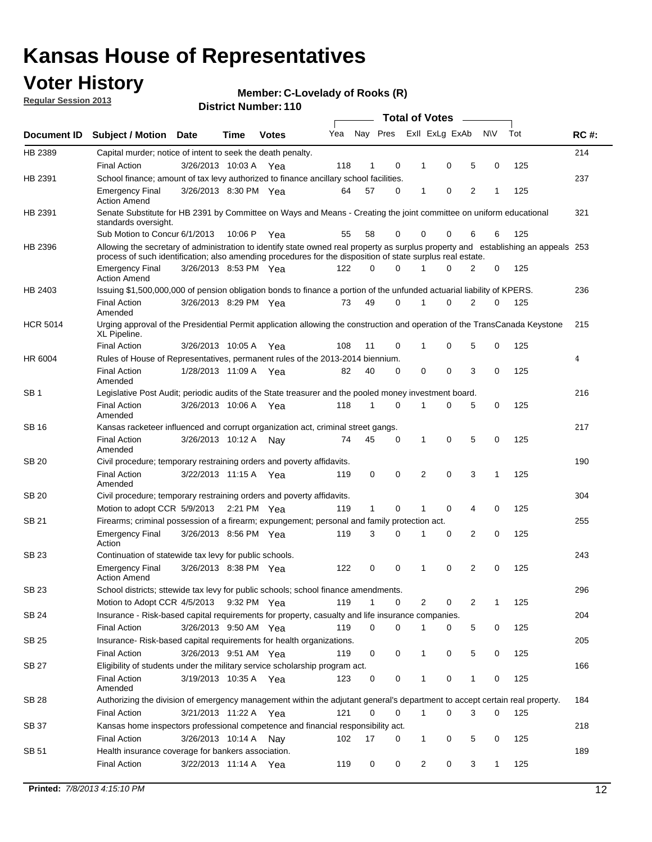### **Voter History**

**Member: C-Lovelady of Rooks (R)** 

**Regular Session 2013**

|                 |                                                                                                                                                                                                                                                  |                       |             |              |     |              |          | <b>Total of Votes</b> |   |   |              |     |             |
|-----------------|--------------------------------------------------------------------------------------------------------------------------------------------------------------------------------------------------------------------------------------------------|-----------------------|-------------|--------------|-----|--------------|----------|-----------------------|---|---|--------------|-----|-------------|
| Document ID     | Subject / Motion Date                                                                                                                                                                                                                            |                       | Time        | <b>Votes</b> | Yea | Nay Pres     |          | Exll ExLg ExAb        |   |   | <b>NV</b>    | Tot | <b>RC#:</b> |
| HB 2389         | Capital murder; notice of intent to seek the death penalty.                                                                                                                                                                                      |                       |             |              |     |              |          |                       |   |   |              |     | 214         |
|                 | <b>Final Action</b>                                                                                                                                                                                                                              | 3/26/2013 10:03 A     |             | Yea          | 118 | 1            | 0        | 1                     | 0 | 5 | 0            | 125 |             |
| HB 2391         | School finance; amount of tax levy authorized to finance ancillary school facilities.                                                                                                                                                            |                       |             |              |     |              |          |                       |   |   |              |     | 237         |
|                 | <b>Emergency Final</b><br><b>Action Amend</b>                                                                                                                                                                                                    | 3/26/2013 8:30 PM Yea |             |              | 64  | 57           | 0        | 1                     | 0 | 2 | 1            | 125 |             |
| HB 2391         | Senate Substitute for HB 2391 by Committee on Ways and Means - Creating the joint committee on uniform educational<br>standards oversight.                                                                                                       |                       |             |              |     |              |          |                       |   |   |              |     | 321         |
|                 | Sub Motion to Concur 6/1/2013                                                                                                                                                                                                                    |                       | 10:06 P     | Yea          | 55  | 58           | 0        | 0                     | 0 | 6 | 6            | 125 |             |
| HB 2396         | Allowing the secretary of administration to identify state owned real property as surplus property and establishing an appeals 253<br>process of such identification; also amending procedures for the disposition of state surplus real estate. |                       |             |              |     |              |          |                       |   |   |              |     |             |
|                 | <b>Emergency Final</b><br>Action Amend                                                                                                                                                                                                           | 3/26/2013 8:53 PM Yea |             |              | 122 | 0            | 0        |                       | 0 | 2 | 0            | 125 |             |
| HB 2403         | Issuing \$1,500,000,000 of pension obligation bonds to finance a portion of the unfunded actuarial liability of KPERS.                                                                                                                           |                       |             |              |     |              |          |                       |   |   |              |     | 236         |
|                 | <b>Final Action</b><br>Amended                                                                                                                                                                                                                   | 3/26/2013 8:29 PM Yea |             |              | 73  | 49           | 0        | 1                     | 0 | 2 | 0            | 125 |             |
| <b>HCR 5014</b> | Urging approval of the Presidential Permit application allowing the construction and operation of the TransCanada Keystone<br>XL Pipeline.                                                                                                       |                       |             |              |     |              |          |                       |   |   |              |     | 215         |
|                 | <b>Final Action</b>                                                                                                                                                                                                                              | 3/26/2013 10:05 A     |             | Yea          | 108 | 11           | 0        |                       | 0 | 5 | 0            | 125 |             |
| HR 6004         | Rules of House of Representatives, permanent rules of the 2013-2014 biennium.                                                                                                                                                                    |                       |             |              |     |              |          |                       |   |   |              |     | 4           |
|                 | <b>Final Action</b><br>Amended                                                                                                                                                                                                                   | 1/28/2013 11:09 A     |             | Yea          | 82  | 40           | 0        | 0                     | 0 | 3 | 0            | 125 |             |
| SB 1            | Legislative Post Audit; periodic audits of the State treasurer and the pooled money investment board.                                                                                                                                            |                       |             |              |     |              |          |                       |   |   |              |     | 216         |
|                 | <b>Final Action</b><br>Amended                                                                                                                                                                                                                   | 3/26/2013 10:06 A     |             | Yea          | 118 | 1            | 0        | 1                     | 0 | 5 | 0            | 125 |             |
| SB 16           | Kansas racketeer influenced and corrupt organization act, criminal street gangs.                                                                                                                                                                 |                       |             |              |     |              |          |                       |   |   |              |     | 217         |
|                 | <b>Final Action</b><br>Amended                                                                                                                                                                                                                   | 3/26/2013 10:12 A Nay |             |              | 74  | 45           | 0        | 1                     | 0 | 5 | 0            | 125 |             |
| SB 20           | Civil procedure; temporary restraining orders and poverty affidavits.                                                                                                                                                                            |                       |             |              |     |              |          |                       |   |   |              |     | 190         |
|                 | <b>Final Action</b><br>Amended                                                                                                                                                                                                                   | 3/22/2013 11:15 A     |             | Yea          | 119 | 0            | 0        | 2                     | 0 | 3 | 1            | 125 |             |
| SB 20           | Civil procedure; temporary restraining orders and poverty affidavits.                                                                                                                                                                            |                       |             |              |     |              |          |                       |   |   |              |     | 304         |
|                 | Motion to adopt CCR 5/9/2013                                                                                                                                                                                                                     |                       | 2:21 PM Yea |              | 119 | $\mathbf{1}$ | 0        | 1                     | 0 | 4 | 0            | 125 |             |
| SB 21           | Firearms; criminal possession of a firearm; expungement; personal and family protection act.                                                                                                                                                     |                       |             |              |     |              |          |                       |   |   |              |     | 255         |
|                 | <b>Emergency Final</b><br>Action                                                                                                                                                                                                                 | 3/26/2013 8:56 PM Yea |             |              | 119 | 3            | 0        |                       | 0 | 2 | 0            | 125 |             |
| SB 23           | Continuation of statewide tax levy for public schools.                                                                                                                                                                                           |                       |             |              |     |              |          |                       |   |   |              |     | 243         |
|                 | <b>Emergency Final</b><br><b>Action Amend</b>                                                                                                                                                                                                    | 3/26/2013 8:38 PM Yea |             |              | 122 | 0            | 0        | 1                     | 0 | 2 | 0            | 125 |             |
| <b>SB 23</b>    | School districts; sttewide tax levy for public schools; school finance amendments.                                                                                                                                                               |                       |             |              |     |              |          |                       |   |   |              |     | 296         |
|                 | Motion to Adopt CCR 4/5/2013 9:32 PM Yea                                                                                                                                                                                                         |                       |             |              | 119 | 1            | 0        | 2                     | 0 | 2 | 1            | 125 |             |
| <b>SB 24</b>    | Insurance - Risk-based capital requirements for property, casualty and life insurance companies.                                                                                                                                                 |                       |             |              |     |              |          |                       |   |   |              |     | 204         |
|                 | <b>Final Action</b>                                                                                                                                                                                                                              | 3/26/2013 9:50 AM Yea |             |              | 119 | 0            | 0        |                       | 0 | 5 | 0            | 125 |             |
| SB 25           | Insurance-Risk-based capital requirements for health organizations.                                                                                                                                                                              |                       |             |              |     |              |          |                       |   |   |              |     | 205         |
|                 | <b>Final Action</b>                                                                                                                                                                                                                              | 3/26/2013 9:51 AM Yea |             |              | 119 | 0            | 0        | 1                     | 0 | 5 | 0            | 125 |             |
| SB 27           | Eligibility of students under the military service scholarship program act.                                                                                                                                                                      |                       |             |              |     |              |          |                       |   |   |              |     | 166         |
|                 | <b>Final Action</b><br>Amended                                                                                                                                                                                                                   | 3/19/2013 10:35 A Yea |             |              | 123 | 0            | 0        |                       | 0 | 1 | 0            | 125 |             |
| SB 28           | Authorizing the division of emergency management within the adjutant general's department to accept certain real property.                                                                                                                       |                       |             |              |     |              |          |                       |   |   |              |     | 184         |
|                 | <b>Final Action</b>                                                                                                                                                                                                                              | 3/21/2013 11:22 A Yea |             |              | 121 | 0            | $\Omega$ | 1                     | 0 | 3 | $\Omega$     | 125 |             |
| SB 37           | Kansas home inspectors professional competence and financial responsibility act.                                                                                                                                                                 |                       |             |              |     |              |          |                       |   |   |              |     | 218         |
|                 | <b>Final Action</b>                                                                                                                                                                                                                              | 3/26/2013 10:14 A Nay |             |              | 102 | 17           | 0        | 1                     | 0 | 5 | 0            | 125 |             |
| SB 51           | Health insurance coverage for bankers association.                                                                                                                                                                                               |                       |             |              |     |              |          |                       |   |   |              |     | 189         |
|                 | <b>Final Action</b>                                                                                                                                                                                                                              | 3/22/2013 11:14 A Yea |             |              | 119 | 0            | 0        | 2                     | 0 | 3 | $\mathbf{1}$ | 125 |             |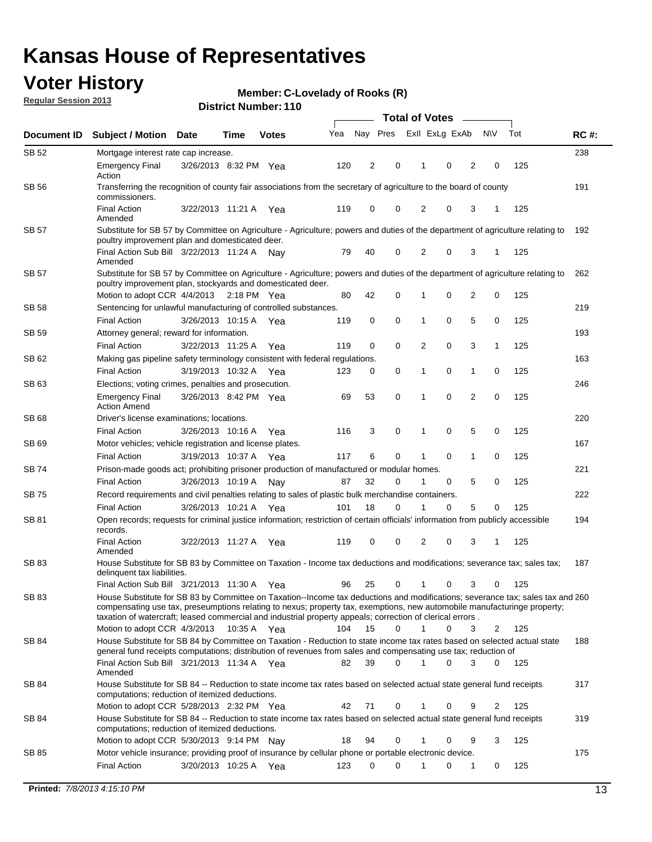### **Voter History**

**Member: C-Lovelady of Rooks (R)** 

**Regular Session 2013**

| Nay Pres<br>Exll ExLg ExAb<br>Tot<br><b>NV</b><br>Yea<br><b>RC#:</b><br>Document ID<br><b>Subject / Motion Date</b><br>Time<br><b>Votes</b><br>238<br>SB 52<br>Mortgage interest rate cap increase.<br>120<br>2<br>0<br>2<br>125<br><b>Emergency Final</b><br>3/26/2013 8:32 PM Yea<br>0<br>0<br>Action<br>SB 56<br>Transferring the recognition of county fair associations from the secretary of agriculture to the board of county<br>191<br>commissioners.<br><b>Final Action</b><br>119<br>0<br>0<br>2<br>0<br>3<br>125<br>3/22/2013 11:21 A<br>1<br>Yea<br>Amended<br>Substitute for SB 57 by Committee on Agriculture - Agriculture; powers and duties of the department of agriculture relating to<br>SB 57<br>192<br>poultry improvement plan and domesticated deer.<br>Final Action Sub Bill 3/22/2013 11:24 A<br>40<br>0<br>2<br>0<br>3<br>125<br>79<br>Nav<br>1<br>Amended<br>SB 57<br>Substitute for SB 57 by Committee on Agriculture - Agriculture; powers and duties of the department of agriculture relating to<br>262<br>poultry improvement plan, stockyards and domesticated deer.<br>2<br>Motion to adopt CCR 4/4/2013 2:18 PM Yea<br>80<br>42<br>0<br>0<br>0<br>125<br>1<br>219<br>SB 58<br>Sentencing for unlawful manufacturing of controlled substances.<br>5<br><b>Final Action</b><br>3/26/2013 10:15 A<br>0<br>0<br>0<br>0<br>125<br>119<br>1<br>Yea<br>Attorney general; reward for information.<br>193<br><b>SB 59</b><br>0<br>3<br><b>Final Action</b><br>3/22/2013 11:25 A<br>119<br>0<br>0<br>2<br>1<br>125<br>Yea<br>163<br>SB 62<br>Making gas pipeline safety terminology consistent with federal regulations.<br>0<br><b>Final Action</b><br>3/19/2013 10:32 A<br>123<br>0<br>1<br>0<br>125<br>0<br>1<br>Yea<br>246<br>SB 63<br>Elections; voting crimes, penalties and prosecution.<br>53<br>$\mathbf 0$<br>0<br>$\overline{2}$<br>$\mathbf 0$<br>3/26/2013 8:42 PM Yea<br>69<br>125<br><b>Emergency Final</b><br>1<br><b>Action Amend</b><br>220<br>SB 68<br>Driver's license examinations; locations.<br>5<br>3<br>0<br>0<br>0<br>125<br><b>Final Action</b><br>3/26/2013 10:16 A<br>116<br>1<br>Yea<br>167<br>SB 69<br>Motor vehicles; vehicle registration and license plates.<br>6<br>0<br>3/19/2013 10:37 A<br>117<br>0<br>$\mathbf{1}$<br>0<br>125<br><b>Final Action</b><br>1<br>Yea<br>Prison-made goods act; prohibiting prisoner production of manufactured or modular homes.<br>221<br>SB 74<br>32<br>5<br>125<br>3/26/2013 10:19 A<br>87<br>0<br>0<br>0<br><b>Final Action</b><br>1<br>Nay<br>Record requirements and civil penalties relating to sales of plastic bulk merchandise containers.<br>222<br>SB 75<br>18<br>0<br>5<br>125<br>3/26/2013 10:21 A<br>101<br>0<br>0<br><b>Final Action</b><br>1<br>Yea<br>Open records; requests for criminal justice information; restriction of certain officials' information from publicly accessible<br>194<br>SB 81<br>records.<br><b>Final Action</b><br>0<br>0<br>2<br>0<br>3<br>125<br>3/22/2013 11:27 A<br>119<br>Yea<br>1<br>Amended<br><b>SB83</b><br>187<br>House Substitute for SB 83 by Committee on Taxation - Income tax deductions and modifications; severance tax; sales tax;<br>delinquent tax liabilities.<br>125<br>Final Action Sub Bill 3/21/2013 11:30 A Yea<br>96<br>25<br>0<br>1<br>0<br>3<br>0<br>SB 83<br>House Substitute for SB 83 by Committee on Taxation--Income tax deductions and modifications; severance tax; sales tax and 260<br>compensating use tax, preseumptions relating to nexus; property tax, exemptions, new automobile manufacturinge property;<br>taxation of watercraft; leased commercial and industrial property appeals; correction of clerical errors.<br>Motion to adopt CCR 4/3/2013<br>0<br>$\mathbf{1}$<br>3<br>125<br>10:35 A Yea<br>104<br>15<br>0<br>2<br>SB 84<br>House Substitute for SB 84 by Committee on Taxation - Reduction to state income tax rates based on selected actual state<br>188<br>general fund receipts computations; distribution of revenues from sales and compensating use tax; reduction of<br>Final Action Sub Bill 3/21/2013 11:34 A Yea<br>39<br>$\Omega$<br>0<br>3<br>$\Omega$<br>125<br>82<br>Amended<br>SB 84<br>House Substitute for SB 84 -- Reduction to state income tax rates based on selected actual state general fund receipts<br>317<br>computations; reduction of itemized deductions.<br>Motion to adopt CCR 5/28/2013 2:32 PM Yea<br>42<br>71<br>0<br>125<br>0<br>9<br>2<br>319<br>SB 84<br>House Substitute for SB 84 -- Reduction to state income tax rates based on selected actual state general fund receipts<br>computations; reduction of itemized deductions.<br>3<br>Motion to adopt CCR 5/30/2013 9:14 PM Nay<br>18<br>94<br>0<br>125<br>0<br>9<br>Motor vehicle insurance; providing proof of insurance by cellular phone or portable electronic device.<br>SB 85<br>175<br>$\Omega$<br>125<br><b>Final Action</b><br>3/20/2013 10:25 A Yea<br>123<br>0<br>0<br>0<br>1 |  |  |  | <b>Total of Votes</b> |  |  |  |  |  |  |  |  |
|--------------------------------------------------------------------------------------------------------------------------------------------------------------------------------------------------------------------------------------------------------------------------------------------------------------------------------------------------------------------------------------------------------------------------------------------------------------------------------------------------------------------------------------------------------------------------------------------------------------------------------------------------------------------------------------------------------------------------------------------------------------------------------------------------------------------------------------------------------------------------------------------------------------------------------------------------------------------------------------------------------------------------------------------------------------------------------------------------------------------------------------------------------------------------------------------------------------------------------------------------------------------------------------------------------------------------------------------------------------------------------------------------------------------------------------------------------------------------------------------------------------------------------------------------------------------------------------------------------------------------------------------------------------------------------------------------------------------------------------------------------------------------------------------------------------------------------------------------------------------------------------------------------------------------------------------------------------------------------------------------------------------------------------------------------------------------------------------------------------------------------------------------------------------------------------------------------------------------------------------------------------------------------------------------------------------------------------------------------------------------------------------------------------------------------------------------------------------------------------------------------------------------------------------------------------------------------------------------------------------------------------------------------------------------------------------------------------------------------------------------------------------------------------------------------------------------------------------------------------------------------------------------------------------------------------------------------------------------------------------------------------------------------------------------------------------------------------------------------------------------------------------------------------------------------------------------------------------------------------------------------------------------------------------------------------------------------------------------------------------------------------------------------------------------------------------------------------------------------------------------------------------------------------------------------------------------------------------------------------------------------------------------------------------------------------------------------------------------------------------------------------------------------------------------------------------------------------------------------------------------------------------------------------------------------------------------------------------------------------------------------------------------------------------------------------------------------------------------------------------------------------------------------------------------------------------------------------------------------------------------------------------------------------------------------------------------------------------------------------------------------------------------------------------------------------------------------------------------------------------------------------------------------------------------------------------------------------------------------------------------------------------------------------------------------------------------------------------------------------------------------------------------------------------------------------------------------------------------------------------------------------------------------------------------------------------------------------------------------------------|--|--|--|-----------------------|--|--|--|--|--|--|--|--|
|                                                                                                                                                                                                                                                                                                                                                                                                                                                                                                                                                                                                                                                                                                                                                                                                                                                                                                                                                                                                                                                                                                                                                                                                                                                                                                                                                                                                                                                                                                                                                                                                                                                                                                                                                                                                                                                                                                                                                                                                                                                                                                                                                                                                                                                                                                                                                                                                                                                                                                                                                                                                                                                                                                                                                                                                                                                                                                                                                                                                                                                                                                                                                                                                                                                                                                                                                                                                                                                                                                                                                                                                                                                                                                                                                                                                                                                                                                                                                                                                                                                                                                                                                                                                                                                                                                                                                                                                                                                                                                                                                                                                                                                                                                                                                                                                                                                                                                                                                                                            |  |  |  |                       |  |  |  |  |  |  |  |  |
|                                                                                                                                                                                                                                                                                                                                                                                                                                                                                                                                                                                                                                                                                                                                                                                                                                                                                                                                                                                                                                                                                                                                                                                                                                                                                                                                                                                                                                                                                                                                                                                                                                                                                                                                                                                                                                                                                                                                                                                                                                                                                                                                                                                                                                                                                                                                                                                                                                                                                                                                                                                                                                                                                                                                                                                                                                                                                                                                                                                                                                                                                                                                                                                                                                                                                                                                                                                                                                                                                                                                                                                                                                                                                                                                                                                                                                                                                                                                                                                                                                                                                                                                                                                                                                                                                                                                                                                                                                                                                                                                                                                                                                                                                                                                                                                                                                                                                                                                                                                            |  |  |  |                       |  |  |  |  |  |  |  |  |
|                                                                                                                                                                                                                                                                                                                                                                                                                                                                                                                                                                                                                                                                                                                                                                                                                                                                                                                                                                                                                                                                                                                                                                                                                                                                                                                                                                                                                                                                                                                                                                                                                                                                                                                                                                                                                                                                                                                                                                                                                                                                                                                                                                                                                                                                                                                                                                                                                                                                                                                                                                                                                                                                                                                                                                                                                                                                                                                                                                                                                                                                                                                                                                                                                                                                                                                                                                                                                                                                                                                                                                                                                                                                                                                                                                                                                                                                                                                                                                                                                                                                                                                                                                                                                                                                                                                                                                                                                                                                                                                                                                                                                                                                                                                                                                                                                                                                                                                                                                                            |  |  |  |                       |  |  |  |  |  |  |  |  |
|                                                                                                                                                                                                                                                                                                                                                                                                                                                                                                                                                                                                                                                                                                                                                                                                                                                                                                                                                                                                                                                                                                                                                                                                                                                                                                                                                                                                                                                                                                                                                                                                                                                                                                                                                                                                                                                                                                                                                                                                                                                                                                                                                                                                                                                                                                                                                                                                                                                                                                                                                                                                                                                                                                                                                                                                                                                                                                                                                                                                                                                                                                                                                                                                                                                                                                                                                                                                                                                                                                                                                                                                                                                                                                                                                                                                                                                                                                                                                                                                                                                                                                                                                                                                                                                                                                                                                                                                                                                                                                                                                                                                                                                                                                                                                                                                                                                                                                                                                                                            |  |  |  |                       |  |  |  |  |  |  |  |  |
|                                                                                                                                                                                                                                                                                                                                                                                                                                                                                                                                                                                                                                                                                                                                                                                                                                                                                                                                                                                                                                                                                                                                                                                                                                                                                                                                                                                                                                                                                                                                                                                                                                                                                                                                                                                                                                                                                                                                                                                                                                                                                                                                                                                                                                                                                                                                                                                                                                                                                                                                                                                                                                                                                                                                                                                                                                                                                                                                                                                                                                                                                                                                                                                                                                                                                                                                                                                                                                                                                                                                                                                                                                                                                                                                                                                                                                                                                                                                                                                                                                                                                                                                                                                                                                                                                                                                                                                                                                                                                                                                                                                                                                                                                                                                                                                                                                                                                                                                                                                            |  |  |  |                       |  |  |  |  |  |  |  |  |
|                                                                                                                                                                                                                                                                                                                                                                                                                                                                                                                                                                                                                                                                                                                                                                                                                                                                                                                                                                                                                                                                                                                                                                                                                                                                                                                                                                                                                                                                                                                                                                                                                                                                                                                                                                                                                                                                                                                                                                                                                                                                                                                                                                                                                                                                                                                                                                                                                                                                                                                                                                                                                                                                                                                                                                                                                                                                                                                                                                                                                                                                                                                                                                                                                                                                                                                                                                                                                                                                                                                                                                                                                                                                                                                                                                                                                                                                                                                                                                                                                                                                                                                                                                                                                                                                                                                                                                                                                                                                                                                                                                                                                                                                                                                                                                                                                                                                                                                                                                                            |  |  |  |                       |  |  |  |  |  |  |  |  |
|                                                                                                                                                                                                                                                                                                                                                                                                                                                                                                                                                                                                                                                                                                                                                                                                                                                                                                                                                                                                                                                                                                                                                                                                                                                                                                                                                                                                                                                                                                                                                                                                                                                                                                                                                                                                                                                                                                                                                                                                                                                                                                                                                                                                                                                                                                                                                                                                                                                                                                                                                                                                                                                                                                                                                                                                                                                                                                                                                                                                                                                                                                                                                                                                                                                                                                                                                                                                                                                                                                                                                                                                                                                                                                                                                                                                                                                                                                                                                                                                                                                                                                                                                                                                                                                                                                                                                                                                                                                                                                                                                                                                                                                                                                                                                                                                                                                                                                                                                                                            |  |  |  |                       |  |  |  |  |  |  |  |  |
|                                                                                                                                                                                                                                                                                                                                                                                                                                                                                                                                                                                                                                                                                                                                                                                                                                                                                                                                                                                                                                                                                                                                                                                                                                                                                                                                                                                                                                                                                                                                                                                                                                                                                                                                                                                                                                                                                                                                                                                                                                                                                                                                                                                                                                                                                                                                                                                                                                                                                                                                                                                                                                                                                                                                                                                                                                                                                                                                                                                                                                                                                                                                                                                                                                                                                                                                                                                                                                                                                                                                                                                                                                                                                                                                                                                                                                                                                                                                                                                                                                                                                                                                                                                                                                                                                                                                                                                                                                                                                                                                                                                                                                                                                                                                                                                                                                                                                                                                                                                            |  |  |  |                       |  |  |  |  |  |  |  |  |
|                                                                                                                                                                                                                                                                                                                                                                                                                                                                                                                                                                                                                                                                                                                                                                                                                                                                                                                                                                                                                                                                                                                                                                                                                                                                                                                                                                                                                                                                                                                                                                                                                                                                                                                                                                                                                                                                                                                                                                                                                                                                                                                                                                                                                                                                                                                                                                                                                                                                                                                                                                                                                                                                                                                                                                                                                                                                                                                                                                                                                                                                                                                                                                                                                                                                                                                                                                                                                                                                                                                                                                                                                                                                                                                                                                                                                                                                                                                                                                                                                                                                                                                                                                                                                                                                                                                                                                                                                                                                                                                                                                                                                                                                                                                                                                                                                                                                                                                                                                                            |  |  |  |                       |  |  |  |  |  |  |  |  |
|                                                                                                                                                                                                                                                                                                                                                                                                                                                                                                                                                                                                                                                                                                                                                                                                                                                                                                                                                                                                                                                                                                                                                                                                                                                                                                                                                                                                                                                                                                                                                                                                                                                                                                                                                                                                                                                                                                                                                                                                                                                                                                                                                                                                                                                                                                                                                                                                                                                                                                                                                                                                                                                                                                                                                                                                                                                                                                                                                                                                                                                                                                                                                                                                                                                                                                                                                                                                                                                                                                                                                                                                                                                                                                                                                                                                                                                                                                                                                                                                                                                                                                                                                                                                                                                                                                                                                                                                                                                                                                                                                                                                                                                                                                                                                                                                                                                                                                                                                                                            |  |  |  |                       |  |  |  |  |  |  |  |  |
|                                                                                                                                                                                                                                                                                                                                                                                                                                                                                                                                                                                                                                                                                                                                                                                                                                                                                                                                                                                                                                                                                                                                                                                                                                                                                                                                                                                                                                                                                                                                                                                                                                                                                                                                                                                                                                                                                                                                                                                                                                                                                                                                                                                                                                                                                                                                                                                                                                                                                                                                                                                                                                                                                                                                                                                                                                                                                                                                                                                                                                                                                                                                                                                                                                                                                                                                                                                                                                                                                                                                                                                                                                                                                                                                                                                                                                                                                                                                                                                                                                                                                                                                                                                                                                                                                                                                                                                                                                                                                                                                                                                                                                                                                                                                                                                                                                                                                                                                                                                            |  |  |  |                       |  |  |  |  |  |  |  |  |
|                                                                                                                                                                                                                                                                                                                                                                                                                                                                                                                                                                                                                                                                                                                                                                                                                                                                                                                                                                                                                                                                                                                                                                                                                                                                                                                                                                                                                                                                                                                                                                                                                                                                                                                                                                                                                                                                                                                                                                                                                                                                                                                                                                                                                                                                                                                                                                                                                                                                                                                                                                                                                                                                                                                                                                                                                                                                                                                                                                                                                                                                                                                                                                                                                                                                                                                                                                                                                                                                                                                                                                                                                                                                                                                                                                                                                                                                                                                                                                                                                                                                                                                                                                                                                                                                                                                                                                                                                                                                                                                                                                                                                                                                                                                                                                                                                                                                                                                                                                                            |  |  |  |                       |  |  |  |  |  |  |  |  |
|                                                                                                                                                                                                                                                                                                                                                                                                                                                                                                                                                                                                                                                                                                                                                                                                                                                                                                                                                                                                                                                                                                                                                                                                                                                                                                                                                                                                                                                                                                                                                                                                                                                                                                                                                                                                                                                                                                                                                                                                                                                                                                                                                                                                                                                                                                                                                                                                                                                                                                                                                                                                                                                                                                                                                                                                                                                                                                                                                                                                                                                                                                                                                                                                                                                                                                                                                                                                                                                                                                                                                                                                                                                                                                                                                                                                                                                                                                                                                                                                                                                                                                                                                                                                                                                                                                                                                                                                                                                                                                                                                                                                                                                                                                                                                                                                                                                                                                                                                                                            |  |  |  |                       |  |  |  |  |  |  |  |  |
|                                                                                                                                                                                                                                                                                                                                                                                                                                                                                                                                                                                                                                                                                                                                                                                                                                                                                                                                                                                                                                                                                                                                                                                                                                                                                                                                                                                                                                                                                                                                                                                                                                                                                                                                                                                                                                                                                                                                                                                                                                                                                                                                                                                                                                                                                                                                                                                                                                                                                                                                                                                                                                                                                                                                                                                                                                                                                                                                                                                                                                                                                                                                                                                                                                                                                                                                                                                                                                                                                                                                                                                                                                                                                                                                                                                                                                                                                                                                                                                                                                                                                                                                                                                                                                                                                                                                                                                                                                                                                                                                                                                                                                                                                                                                                                                                                                                                                                                                                                                            |  |  |  |                       |  |  |  |  |  |  |  |  |
|                                                                                                                                                                                                                                                                                                                                                                                                                                                                                                                                                                                                                                                                                                                                                                                                                                                                                                                                                                                                                                                                                                                                                                                                                                                                                                                                                                                                                                                                                                                                                                                                                                                                                                                                                                                                                                                                                                                                                                                                                                                                                                                                                                                                                                                                                                                                                                                                                                                                                                                                                                                                                                                                                                                                                                                                                                                                                                                                                                                                                                                                                                                                                                                                                                                                                                                                                                                                                                                                                                                                                                                                                                                                                                                                                                                                                                                                                                                                                                                                                                                                                                                                                                                                                                                                                                                                                                                                                                                                                                                                                                                                                                                                                                                                                                                                                                                                                                                                                                                            |  |  |  |                       |  |  |  |  |  |  |  |  |
|                                                                                                                                                                                                                                                                                                                                                                                                                                                                                                                                                                                                                                                                                                                                                                                                                                                                                                                                                                                                                                                                                                                                                                                                                                                                                                                                                                                                                                                                                                                                                                                                                                                                                                                                                                                                                                                                                                                                                                                                                                                                                                                                                                                                                                                                                                                                                                                                                                                                                                                                                                                                                                                                                                                                                                                                                                                                                                                                                                                                                                                                                                                                                                                                                                                                                                                                                                                                                                                                                                                                                                                                                                                                                                                                                                                                                                                                                                                                                                                                                                                                                                                                                                                                                                                                                                                                                                                                                                                                                                                                                                                                                                                                                                                                                                                                                                                                                                                                                                                            |  |  |  |                       |  |  |  |  |  |  |  |  |
|                                                                                                                                                                                                                                                                                                                                                                                                                                                                                                                                                                                                                                                                                                                                                                                                                                                                                                                                                                                                                                                                                                                                                                                                                                                                                                                                                                                                                                                                                                                                                                                                                                                                                                                                                                                                                                                                                                                                                                                                                                                                                                                                                                                                                                                                                                                                                                                                                                                                                                                                                                                                                                                                                                                                                                                                                                                                                                                                                                                                                                                                                                                                                                                                                                                                                                                                                                                                                                                                                                                                                                                                                                                                                                                                                                                                                                                                                                                                                                                                                                                                                                                                                                                                                                                                                                                                                                                                                                                                                                                                                                                                                                                                                                                                                                                                                                                                                                                                                                                            |  |  |  |                       |  |  |  |  |  |  |  |  |
|                                                                                                                                                                                                                                                                                                                                                                                                                                                                                                                                                                                                                                                                                                                                                                                                                                                                                                                                                                                                                                                                                                                                                                                                                                                                                                                                                                                                                                                                                                                                                                                                                                                                                                                                                                                                                                                                                                                                                                                                                                                                                                                                                                                                                                                                                                                                                                                                                                                                                                                                                                                                                                                                                                                                                                                                                                                                                                                                                                                                                                                                                                                                                                                                                                                                                                                                                                                                                                                                                                                                                                                                                                                                                                                                                                                                                                                                                                                                                                                                                                                                                                                                                                                                                                                                                                                                                                                                                                                                                                                                                                                                                                                                                                                                                                                                                                                                                                                                                                                            |  |  |  |                       |  |  |  |  |  |  |  |  |
|                                                                                                                                                                                                                                                                                                                                                                                                                                                                                                                                                                                                                                                                                                                                                                                                                                                                                                                                                                                                                                                                                                                                                                                                                                                                                                                                                                                                                                                                                                                                                                                                                                                                                                                                                                                                                                                                                                                                                                                                                                                                                                                                                                                                                                                                                                                                                                                                                                                                                                                                                                                                                                                                                                                                                                                                                                                                                                                                                                                                                                                                                                                                                                                                                                                                                                                                                                                                                                                                                                                                                                                                                                                                                                                                                                                                                                                                                                                                                                                                                                                                                                                                                                                                                                                                                                                                                                                                                                                                                                                                                                                                                                                                                                                                                                                                                                                                                                                                                                                            |  |  |  |                       |  |  |  |  |  |  |  |  |
|                                                                                                                                                                                                                                                                                                                                                                                                                                                                                                                                                                                                                                                                                                                                                                                                                                                                                                                                                                                                                                                                                                                                                                                                                                                                                                                                                                                                                                                                                                                                                                                                                                                                                                                                                                                                                                                                                                                                                                                                                                                                                                                                                                                                                                                                                                                                                                                                                                                                                                                                                                                                                                                                                                                                                                                                                                                                                                                                                                                                                                                                                                                                                                                                                                                                                                                                                                                                                                                                                                                                                                                                                                                                                                                                                                                                                                                                                                                                                                                                                                                                                                                                                                                                                                                                                                                                                                                                                                                                                                                                                                                                                                                                                                                                                                                                                                                                                                                                                                                            |  |  |  |                       |  |  |  |  |  |  |  |  |
|                                                                                                                                                                                                                                                                                                                                                                                                                                                                                                                                                                                                                                                                                                                                                                                                                                                                                                                                                                                                                                                                                                                                                                                                                                                                                                                                                                                                                                                                                                                                                                                                                                                                                                                                                                                                                                                                                                                                                                                                                                                                                                                                                                                                                                                                                                                                                                                                                                                                                                                                                                                                                                                                                                                                                                                                                                                                                                                                                                                                                                                                                                                                                                                                                                                                                                                                                                                                                                                                                                                                                                                                                                                                                                                                                                                                                                                                                                                                                                                                                                                                                                                                                                                                                                                                                                                                                                                                                                                                                                                                                                                                                                                                                                                                                                                                                                                                                                                                                                                            |  |  |  |                       |  |  |  |  |  |  |  |  |
|                                                                                                                                                                                                                                                                                                                                                                                                                                                                                                                                                                                                                                                                                                                                                                                                                                                                                                                                                                                                                                                                                                                                                                                                                                                                                                                                                                                                                                                                                                                                                                                                                                                                                                                                                                                                                                                                                                                                                                                                                                                                                                                                                                                                                                                                                                                                                                                                                                                                                                                                                                                                                                                                                                                                                                                                                                                                                                                                                                                                                                                                                                                                                                                                                                                                                                                                                                                                                                                                                                                                                                                                                                                                                                                                                                                                                                                                                                                                                                                                                                                                                                                                                                                                                                                                                                                                                                                                                                                                                                                                                                                                                                                                                                                                                                                                                                                                                                                                                                                            |  |  |  |                       |  |  |  |  |  |  |  |  |
|                                                                                                                                                                                                                                                                                                                                                                                                                                                                                                                                                                                                                                                                                                                                                                                                                                                                                                                                                                                                                                                                                                                                                                                                                                                                                                                                                                                                                                                                                                                                                                                                                                                                                                                                                                                                                                                                                                                                                                                                                                                                                                                                                                                                                                                                                                                                                                                                                                                                                                                                                                                                                                                                                                                                                                                                                                                                                                                                                                                                                                                                                                                                                                                                                                                                                                                                                                                                                                                                                                                                                                                                                                                                                                                                                                                                                                                                                                                                                                                                                                                                                                                                                                                                                                                                                                                                                                                                                                                                                                                                                                                                                                                                                                                                                                                                                                                                                                                                                                                            |  |  |  |                       |  |  |  |  |  |  |  |  |
|                                                                                                                                                                                                                                                                                                                                                                                                                                                                                                                                                                                                                                                                                                                                                                                                                                                                                                                                                                                                                                                                                                                                                                                                                                                                                                                                                                                                                                                                                                                                                                                                                                                                                                                                                                                                                                                                                                                                                                                                                                                                                                                                                                                                                                                                                                                                                                                                                                                                                                                                                                                                                                                                                                                                                                                                                                                                                                                                                                                                                                                                                                                                                                                                                                                                                                                                                                                                                                                                                                                                                                                                                                                                                                                                                                                                                                                                                                                                                                                                                                                                                                                                                                                                                                                                                                                                                                                                                                                                                                                                                                                                                                                                                                                                                                                                                                                                                                                                                                                            |  |  |  |                       |  |  |  |  |  |  |  |  |
|                                                                                                                                                                                                                                                                                                                                                                                                                                                                                                                                                                                                                                                                                                                                                                                                                                                                                                                                                                                                                                                                                                                                                                                                                                                                                                                                                                                                                                                                                                                                                                                                                                                                                                                                                                                                                                                                                                                                                                                                                                                                                                                                                                                                                                                                                                                                                                                                                                                                                                                                                                                                                                                                                                                                                                                                                                                                                                                                                                                                                                                                                                                                                                                                                                                                                                                                                                                                                                                                                                                                                                                                                                                                                                                                                                                                                                                                                                                                                                                                                                                                                                                                                                                                                                                                                                                                                                                                                                                                                                                                                                                                                                                                                                                                                                                                                                                                                                                                                                                            |  |  |  |                       |  |  |  |  |  |  |  |  |
|                                                                                                                                                                                                                                                                                                                                                                                                                                                                                                                                                                                                                                                                                                                                                                                                                                                                                                                                                                                                                                                                                                                                                                                                                                                                                                                                                                                                                                                                                                                                                                                                                                                                                                                                                                                                                                                                                                                                                                                                                                                                                                                                                                                                                                                                                                                                                                                                                                                                                                                                                                                                                                                                                                                                                                                                                                                                                                                                                                                                                                                                                                                                                                                                                                                                                                                                                                                                                                                                                                                                                                                                                                                                                                                                                                                                                                                                                                                                                                                                                                                                                                                                                                                                                                                                                                                                                                                                                                                                                                                                                                                                                                                                                                                                                                                                                                                                                                                                                                                            |  |  |  |                       |  |  |  |  |  |  |  |  |
|                                                                                                                                                                                                                                                                                                                                                                                                                                                                                                                                                                                                                                                                                                                                                                                                                                                                                                                                                                                                                                                                                                                                                                                                                                                                                                                                                                                                                                                                                                                                                                                                                                                                                                                                                                                                                                                                                                                                                                                                                                                                                                                                                                                                                                                                                                                                                                                                                                                                                                                                                                                                                                                                                                                                                                                                                                                                                                                                                                                                                                                                                                                                                                                                                                                                                                                                                                                                                                                                                                                                                                                                                                                                                                                                                                                                                                                                                                                                                                                                                                                                                                                                                                                                                                                                                                                                                                                                                                                                                                                                                                                                                                                                                                                                                                                                                                                                                                                                                                                            |  |  |  |                       |  |  |  |  |  |  |  |  |
|                                                                                                                                                                                                                                                                                                                                                                                                                                                                                                                                                                                                                                                                                                                                                                                                                                                                                                                                                                                                                                                                                                                                                                                                                                                                                                                                                                                                                                                                                                                                                                                                                                                                                                                                                                                                                                                                                                                                                                                                                                                                                                                                                                                                                                                                                                                                                                                                                                                                                                                                                                                                                                                                                                                                                                                                                                                                                                                                                                                                                                                                                                                                                                                                                                                                                                                                                                                                                                                                                                                                                                                                                                                                                                                                                                                                                                                                                                                                                                                                                                                                                                                                                                                                                                                                                                                                                                                                                                                                                                                                                                                                                                                                                                                                                                                                                                                                                                                                                                                            |  |  |  |                       |  |  |  |  |  |  |  |  |
|                                                                                                                                                                                                                                                                                                                                                                                                                                                                                                                                                                                                                                                                                                                                                                                                                                                                                                                                                                                                                                                                                                                                                                                                                                                                                                                                                                                                                                                                                                                                                                                                                                                                                                                                                                                                                                                                                                                                                                                                                                                                                                                                                                                                                                                                                                                                                                                                                                                                                                                                                                                                                                                                                                                                                                                                                                                                                                                                                                                                                                                                                                                                                                                                                                                                                                                                                                                                                                                                                                                                                                                                                                                                                                                                                                                                                                                                                                                                                                                                                                                                                                                                                                                                                                                                                                                                                                                                                                                                                                                                                                                                                                                                                                                                                                                                                                                                                                                                                                                            |  |  |  |                       |  |  |  |  |  |  |  |  |
|                                                                                                                                                                                                                                                                                                                                                                                                                                                                                                                                                                                                                                                                                                                                                                                                                                                                                                                                                                                                                                                                                                                                                                                                                                                                                                                                                                                                                                                                                                                                                                                                                                                                                                                                                                                                                                                                                                                                                                                                                                                                                                                                                                                                                                                                                                                                                                                                                                                                                                                                                                                                                                                                                                                                                                                                                                                                                                                                                                                                                                                                                                                                                                                                                                                                                                                                                                                                                                                                                                                                                                                                                                                                                                                                                                                                                                                                                                                                                                                                                                                                                                                                                                                                                                                                                                                                                                                                                                                                                                                                                                                                                                                                                                                                                                                                                                                                                                                                                                                            |  |  |  |                       |  |  |  |  |  |  |  |  |
|                                                                                                                                                                                                                                                                                                                                                                                                                                                                                                                                                                                                                                                                                                                                                                                                                                                                                                                                                                                                                                                                                                                                                                                                                                                                                                                                                                                                                                                                                                                                                                                                                                                                                                                                                                                                                                                                                                                                                                                                                                                                                                                                                                                                                                                                                                                                                                                                                                                                                                                                                                                                                                                                                                                                                                                                                                                                                                                                                                                                                                                                                                                                                                                                                                                                                                                                                                                                                                                                                                                                                                                                                                                                                                                                                                                                                                                                                                                                                                                                                                                                                                                                                                                                                                                                                                                                                                                                                                                                                                                                                                                                                                                                                                                                                                                                                                                                                                                                                                                            |  |  |  |                       |  |  |  |  |  |  |  |  |
|                                                                                                                                                                                                                                                                                                                                                                                                                                                                                                                                                                                                                                                                                                                                                                                                                                                                                                                                                                                                                                                                                                                                                                                                                                                                                                                                                                                                                                                                                                                                                                                                                                                                                                                                                                                                                                                                                                                                                                                                                                                                                                                                                                                                                                                                                                                                                                                                                                                                                                                                                                                                                                                                                                                                                                                                                                                                                                                                                                                                                                                                                                                                                                                                                                                                                                                                                                                                                                                                                                                                                                                                                                                                                                                                                                                                                                                                                                                                                                                                                                                                                                                                                                                                                                                                                                                                                                                                                                                                                                                                                                                                                                                                                                                                                                                                                                                                                                                                                                                            |  |  |  |                       |  |  |  |  |  |  |  |  |
|                                                                                                                                                                                                                                                                                                                                                                                                                                                                                                                                                                                                                                                                                                                                                                                                                                                                                                                                                                                                                                                                                                                                                                                                                                                                                                                                                                                                                                                                                                                                                                                                                                                                                                                                                                                                                                                                                                                                                                                                                                                                                                                                                                                                                                                                                                                                                                                                                                                                                                                                                                                                                                                                                                                                                                                                                                                                                                                                                                                                                                                                                                                                                                                                                                                                                                                                                                                                                                                                                                                                                                                                                                                                                                                                                                                                                                                                                                                                                                                                                                                                                                                                                                                                                                                                                                                                                                                                                                                                                                                                                                                                                                                                                                                                                                                                                                                                                                                                                                                            |  |  |  |                       |  |  |  |  |  |  |  |  |
|                                                                                                                                                                                                                                                                                                                                                                                                                                                                                                                                                                                                                                                                                                                                                                                                                                                                                                                                                                                                                                                                                                                                                                                                                                                                                                                                                                                                                                                                                                                                                                                                                                                                                                                                                                                                                                                                                                                                                                                                                                                                                                                                                                                                                                                                                                                                                                                                                                                                                                                                                                                                                                                                                                                                                                                                                                                                                                                                                                                                                                                                                                                                                                                                                                                                                                                                                                                                                                                                                                                                                                                                                                                                                                                                                                                                                                                                                                                                                                                                                                                                                                                                                                                                                                                                                                                                                                                                                                                                                                                                                                                                                                                                                                                                                                                                                                                                                                                                                                                            |  |  |  |                       |  |  |  |  |  |  |  |  |
|                                                                                                                                                                                                                                                                                                                                                                                                                                                                                                                                                                                                                                                                                                                                                                                                                                                                                                                                                                                                                                                                                                                                                                                                                                                                                                                                                                                                                                                                                                                                                                                                                                                                                                                                                                                                                                                                                                                                                                                                                                                                                                                                                                                                                                                                                                                                                                                                                                                                                                                                                                                                                                                                                                                                                                                                                                                                                                                                                                                                                                                                                                                                                                                                                                                                                                                                                                                                                                                                                                                                                                                                                                                                                                                                                                                                                                                                                                                                                                                                                                                                                                                                                                                                                                                                                                                                                                                                                                                                                                                                                                                                                                                                                                                                                                                                                                                                                                                                                                                            |  |  |  |                       |  |  |  |  |  |  |  |  |
|                                                                                                                                                                                                                                                                                                                                                                                                                                                                                                                                                                                                                                                                                                                                                                                                                                                                                                                                                                                                                                                                                                                                                                                                                                                                                                                                                                                                                                                                                                                                                                                                                                                                                                                                                                                                                                                                                                                                                                                                                                                                                                                                                                                                                                                                                                                                                                                                                                                                                                                                                                                                                                                                                                                                                                                                                                                                                                                                                                                                                                                                                                                                                                                                                                                                                                                                                                                                                                                                                                                                                                                                                                                                                                                                                                                                                                                                                                                                                                                                                                                                                                                                                                                                                                                                                                                                                                                                                                                                                                                                                                                                                                                                                                                                                                                                                                                                                                                                                                                            |  |  |  |                       |  |  |  |  |  |  |  |  |
|                                                                                                                                                                                                                                                                                                                                                                                                                                                                                                                                                                                                                                                                                                                                                                                                                                                                                                                                                                                                                                                                                                                                                                                                                                                                                                                                                                                                                                                                                                                                                                                                                                                                                                                                                                                                                                                                                                                                                                                                                                                                                                                                                                                                                                                                                                                                                                                                                                                                                                                                                                                                                                                                                                                                                                                                                                                                                                                                                                                                                                                                                                                                                                                                                                                                                                                                                                                                                                                                                                                                                                                                                                                                                                                                                                                                                                                                                                                                                                                                                                                                                                                                                                                                                                                                                                                                                                                                                                                                                                                                                                                                                                                                                                                                                                                                                                                                                                                                                                                            |  |  |  |                       |  |  |  |  |  |  |  |  |
|                                                                                                                                                                                                                                                                                                                                                                                                                                                                                                                                                                                                                                                                                                                                                                                                                                                                                                                                                                                                                                                                                                                                                                                                                                                                                                                                                                                                                                                                                                                                                                                                                                                                                                                                                                                                                                                                                                                                                                                                                                                                                                                                                                                                                                                                                                                                                                                                                                                                                                                                                                                                                                                                                                                                                                                                                                                                                                                                                                                                                                                                                                                                                                                                                                                                                                                                                                                                                                                                                                                                                                                                                                                                                                                                                                                                                                                                                                                                                                                                                                                                                                                                                                                                                                                                                                                                                                                                                                                                                                                                                                                                                                                                                                                                                                                                                                                                                                                                                                                            |  |  |  |                       |  |  |  |  |  |  |  |  |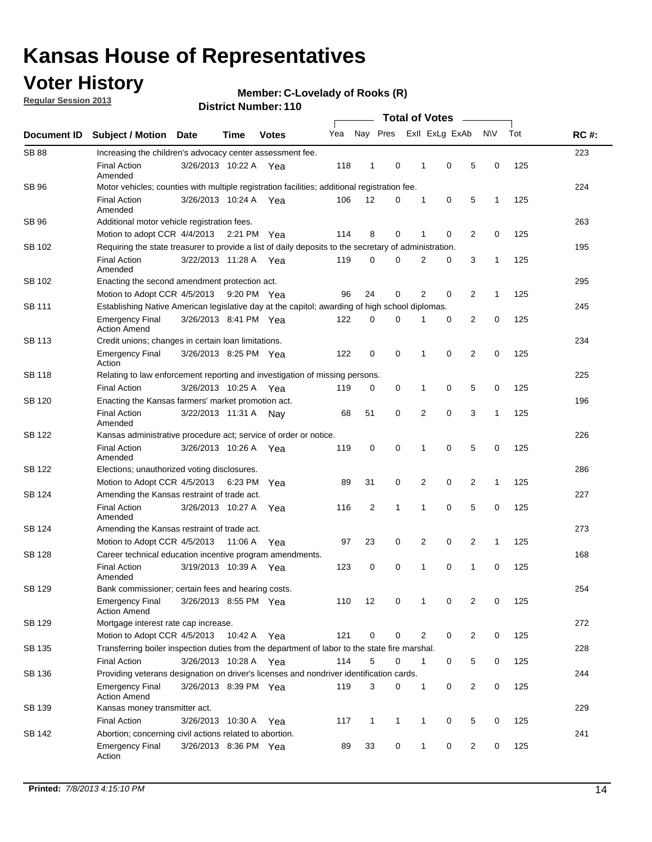### **Voter History**

**Regular Session 2013**

**Member: C-Lovelady of Rooks (R)** 

|                    |                                                                                                       |                       |             | <b>DISTRICT NUMBER: 1 TO</b> |     |                |              |   |                                         |                               |              |     |             |
|--------------------|-------------------------------------------------------------------------------------------------------|-----------------------|-------------|------------------------------|-----|----------------|--------------|---|-----------------------------------------|-------------------------------|--------------|-----|-------------|
| <b>Document ID</b> | <b>Subject / Motion</b>                                                                               | <b>Date</b>           | Time        | <b>Votes</b>                 | Yea |                | Nay Pres     |   | <b>Total of Votes</b><br>Exll ExLg ExAb | $\sim$                        | <b>NV</b>    | Tot | <b>RC#:</b> |
| <b>SB 88</b>       | Increasing the children's advocacy center assessment fee.                                             |                       |             |                              |     |                |              |   |                                         |                               |              |     | 223         |
|                    | <b>Final Action</b><br>Amended                                                                        | 3/26/2013 10:22 A Yea |             |                              | 118 | 1              | 0            |   | 1                                       | 0<br>5                        | 0            | 125 |             |
| <b>SB 96</b>       | Motor vehicles; counties with multiple registration facilities; additional registration fee.          |                       |             |                              |     |                |              |   |                                         |                               |              |     | 224         |
|                    | <b>Final Action</b><br>Amended                                                                        | 3/26/2013 10:24 A     |             | Yea                          | 106 | 12             | 0            |   | 1                                       | 0<br>5                        | 1            | 125 |             |
| SB 96              | Additional motor vehicle registration fees.                                                           |                       |             |                              |     |                |              |   |                                         |                               |              |     | 263         |
|                    | Motion to adopt CCR 4/4/2013                                                                          |                       | 2:21 PM Yea |                              | 114 | 8              | $\Omega$     |   | 1                                       | 0<br>2                        | 0            | 125 |             |
| SB 102             | Requiring the state treasurer to provide a list of daily deposits to the secretary of administration. |                       |             |                              |     |                |              |   |                                         |                               |              |     | 195         |
|                    | <b>Final Action</b><br>Amended                                                                        | 3/22/2013 11:28 A     |             | Yea                          | 119 | 0              | 0            |   | 2                                       | 3<br>0                        | 1            | 125 |             |
| SB 102             | Enacting the second amendment protection act.                                                         |                       |             |                              |     |                |              |   |                                         |                               |              |     | 295         |
|                    | Motion to Adopt CCR 4/5/2013                                                                          |                       |             | 9:20 PM Yea                  | 96  | 24             | 0            |   | 2                                       | 0<br>2                        | 1            | 125 |             |
| SB 111             | Establishing Native American legislative day at the capitol; awarding of high school diplomas.        |                       |             |                              |     |                |              |   |                                         |                               |              |     | 245         |
|                    | <b>Emergency Final</b><br><b>Action Amend</b>                                                         | 3/26/2013 8:41 PM Yea |             |                              | 122 | $\Omega$       | 0            |   |                                         | 0<br>2                        | 0            | 125 |             |
| SB 113             | Credit unions; changes in certain loan limitations.                                                   |                       |             |                              |     |                |              |   |                                         |                               |              |     | 234         |
|                    | <b>Emergency Final</b><br>Action                                                                      | 3/26/2013 8:25 PM Yea |             |                              | 122 | 0              | 0            |   | 1                                       | $\mathbf 0$<br>$\overline{2}$ | $\mathbf 0$  | 125 |             |
| <b>SB 118</b>      | Relating to law enforcement reporting and investigation of missing persons.                           |                       |             |                              |     |                |              |   |                                         |                               |              |     | 225         |
|                    | <b>Final Action</b>                                                                                   | 3/26/2013 10:25 A     |             | Yea                          | 119 | 0              | 0            |   | 1                                       | 0<br>5                        | 0            | 125 |             |
| SB 120             | Enacting the Kansas farmers' market promotion act.                                                    |                       |             |                              |     |                |              |   |                                         |                               |              |     | 196         |
|                    | <b>Final Action</b><br>Amended                                                                        | 3/22/2013 11:31 A     |             | Nav                          | 68  | 51             | 0            |   | 2                                       | $\mathbf 0$<br>3              | 1            | 125 |             |
| SB 122             | Kansas administrative procedure act; service of order or notice.                                      |                       |             |                              |     |                |              |   |                                         |                               |              |     | 226         |
|                    | <b>Final Action</b><br>Amended                                                                        | 3/26/2013 10:26 A     |             | Yea                          | 119 | 0              | 0            |   | 1                                       | 5<br>0                        | 0            | 125 |             |
| SB 122             | Elections; unauthorized voting disclosures.                                                           |                       |             |                              |     |                |              |   |                                         |                               |              |     | 286         |
|                    | Motion to Adopt CCR 4/5/2013 6:23 PM                                                                  |                       |             | Yea                          | 89  | 31             | 0            |   | 2                                       | $\overline{2}$<br>0           | $\mathbf{1}$ | 125 |             |
| SB 124             | Amending the Kansas restraint of trade act.                                                           |                       |             |                              |     |                |              |   |                                         |                               |              |     | 227         |
|                    | <b>Final Action</b><br>Amended                                                                        | 3/26/2013 10:27 A     |             | Yea                          | 116 | $\overline{2}$ | 1            |   | 1                                       | 5<br>0                        | 0            | 125 |             |
| SB 124             | Amending the Kansas restraint of trade act.                                                           |                       |             |                              |     |                |              |   |                                         |                               |              |     | 273         |
|                    | Motion to Adopt CCR 4/5/2013                                                                          |                       | 11:06 A     | Yea                          | 97  | 23             | 0            |   | 2                                       | $\overline{2}$<br>0           | $\mathbf{1}$ | 125 |             |
| SB 128             | Career technical education incentive program amendments.                                              |                       |             |                              |     |                |              |   |                                         |                               |              |     | 168         |
|                    | <b>Final Action</b><br>Amended                                                                        | 3/19/2013 10:39 A     |             | Yea                          | 123 | 0              | 0            |   | 1                                       | 0<br>1                        | 0            | 125 |             |
| SB 129             | Bank commissioner; certain fees and hearing costs.                                                    |                       |             |                              |     |                |              |   |                                         |                               |              |     | 254         |
|                    | <b>Emergency Final</b><br><b>Action Amend</b>                                                         | 3/26/2013 8:55 PM Yea |             |                              | 110 | 12             | 0            |   | 1                                       | 0<br>2                        | 0            | 125 |             |
| SB 129             | Mortgage interest rate cap increase.                                                                  |                       |             |                              |     |                |              |   |                                         |                               |              |     | 272         |
|                    | Motion to Adopt CCR 4/5/2013                                                                          |                       | 10:42 A Yea |                              | 121 | 0              | 0            |   | 2                                       | 0<br>$\overline{2}$           | 0            | 125 |             |
| SB 135             | Transferring boiler inspection duties from the department of labor to the state fire marshal.         |                       |             |                              |     |                |              |   |                                         |                               |              |     | 228         |
|                    | <b>Final Action</b>                                                                                   | 3/26/2013 10:28 A Yea |             |                              | 114 | 5              | 0            |   | $\mathbf{1}$                            | 5<br>0                        | 0            | 125 |             |
| SB 136             | Providing veterans designation on driver's licenses and nondriver identification cards.               |                       |             |                              |     |                |              |   |                                         |                               |              |     | 244         |
|                    | Emergency Final<br><b>Action Amend</b>                                                                | 3/26/2013 8:39 PM Yea |             |                              | 119 | 3              | 0            |   | $\mathbf{1}$                            | $\overline{2}$<br>0           | 0            | 125 |             |
| SB 139             | Kansas money transmitter act.                                                                         |                       |             |                              |     |                |              |   |                                         |                               |              |     | 229         |
|                    | <b>Final Action</b>                                                                                   | 3/26/2013 10:30 A     |             | Yea                          | 117 | $\mathbf{1}$   | $\mathbf{1}$ |   | 1                                       | 0<br>5                        | 0            | 125 |             |
| SB 142             | Abortion; concerning civil actions related to abortion.                                               |                       |             |                              |     |                |              |   |                                         |                               |              |     | 241         |
|                    | <b>Emergency Final</b><br>Action                                                                      | 3/26/2013 8:36 PM Yea |             |                              | 89  | 33             |              | 0 | 1                                       | $\mathbf 0$<br>$\overline{2}$ | 0            | 125 |             |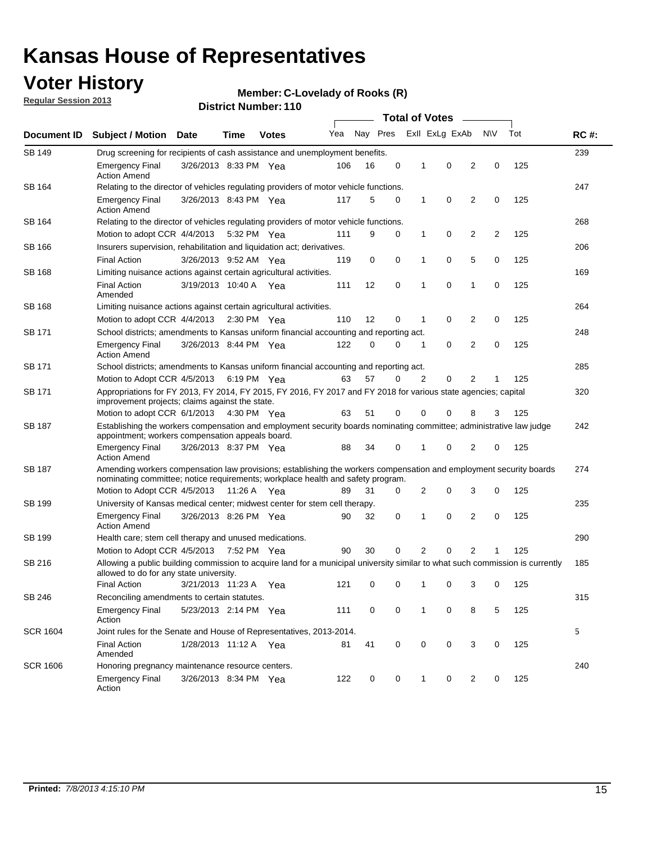### **Voter History**

**Member: C-Lovelady of Rooks (R)** 

**Regular Session 2013**

| Document ID     |                                                                                                                                                                                                       |                       |             |              |     |          |   | <b>Total of Votes</b><br>$\sim$ |                |                |           |     |             |  |  |  |  |  |  |
|-----------------|-------------------------------------------------------------------------------------------------------------------------------------------------------------------------------------------------------|-----------------------|-------------|--------------|-----|----------|---|---------------------------------|----------------|----------------|-----------|-----|-------------|--|--|--|--|--|--|
|                 | <b>Subject / Motion Date</b>                                                                                                                                                                          |                       | Time        | <b>Votes</b> | Yea | Nay Pres |   |                                 | Exll ExLg ExAb |                | <b>NV</b> | Tot | <b>RC#:</b> |  |  |  |  |  |  |
| <b>SB 149</b>   | 239<br>Drug screening for recipients of cash assistance and unemployment benefits.                                                                                                                    |                       |             |              |     |          |   |                                 |                |                |           |     |             |  |  |  |  |  |  |
|                 | <b>Emergency Final</b><br><b>Action Amend</b>                                                                                                                                                         | 3/26/2013 8:33 PM Yea |             |              | 106 | 16       | 0 | 1                               | 0              | 2              | 0         | 125 |             |  |  |  |  |  |  |
| SB 164          | Relating to the director of vehicles regulating providers of motor vehicle functions.                                                                                                                 |                       |             |              |     |          |   |                                 |                |                |           |     | 247         |  |  |  |  |  |  |
|                 | <b>Emergency Final</b><br><b>Action Amend</b>                                                                                                                                                         | 3/26/2013 8:43 PM Yea |             |              | 117 | 5        | 0 | 1                               | 0              | 2              | 0         | 125 |             |  |  |  |  |  |  |
| SB 164          | Relating to the director of vehicles regulating providers of motor vehicle functions.                                                                                                                 |                       |             |              |     |          |   |                                 |                |                |           |     | 268         |  |  |  |  |  |  |
|                 | Motion to adopt CCR 4/4/2013                                                                                                                                                                          |                       | 5:32 PM Yea |              | 111 | 9        | 0 | 1                               | 0              | 2              | 2         | 125 |             |  |  |  |  |  |  |
| SB 166          | Insurers supervision, rehabilitation and liquidation act; derivatives.                                                                                                                                |                       |             |              |     |          |   |                                 |                |                |           |     | 206         |  |  |  |  |  |  |
|                 | <b>Final Action</b>                                                                                                                                                                                   | 3/26/2013 9:52 AM Yea |             |              | 119 | 0        | 0 | 1                               | 0              | 5              | 0         | 125 |             |  |  |  |  |  |  |
| SB 168          | Limiting nuisance actions against certain agricultural activities.                                                                                                                                    |                       |             |              |     |          |   |                                 |                |                |           |     | 169         |  |  |  |  |  |  |
|                 | <b>Final Action</b><br>Amended                                                                                                                                                                        | 3/19/2013 10:40 A Yea |             |              | 111 | 12       | 0 | 1                               | 0              | 1              | 0         | 125 |             |  |  |  |  |  |  |
| SB 168          | Limiting nuisance actions against certain agricultural activities.                                                                                                                                    |                       |             |              |     |          |   |                                 |                |                |           |     | 264         |  |  |  |  |  |  |
|                 | Motion to adopt CCR 4/4/2013                                                                                                                                                                          |                       |             | 2:30 PM Yea  | 110 | 12       | 0 | 1                               | 0              | 2              | 0         | 125 |             |  |  |  |  |  |  |
| <b>SB 171</b>   | School districts; amendments to Kansas uniform financial accounting and reporting act.                                                                                                                |                       |             |              |     |          |   |                                 |                |                |           |     | 248         |  |  |  |  |  |  |
|                 | <b>Emergency Final</b><br><b>Action Amend</b>                                                                                                                                                         | 3/26/2013 8:44 PM Yea |             |              | 122 | 0        | 0 | 1                               | 0              | 2              | 0         | 125 |             |  |  |  |  |  |  |
| SB 171          | School districts; amendments to Kansas uniform financial accounting and reporting act.                                                                                                                |                       |             |              |     |          |   |                                 |                |                |           |     | 285         |  |  |  |  |  |  |
|                 | Motion to Adopt CCR 4/5/2013                                                                                                                                                                          |                       | 6:19 PM Yea |              | 63  | 57       | 0 | 2                               | 0              | 2              | 125       |     |             |  |  |  |  |  |  |
| SB 171          | Appropriations for FY 2013, FY 2014, FY 2015, FY 2016, FY 2017 and FY 2018 for various state agencies; capital<br>improvement projects; claims against the state.                                     |                       |             |              |     |          |   |                                 |                |                |           | 320 |             |  |  |  |  |  |  |
|                 | Motion to adopt CCR 6/1/2013 4:30 PM Yea                                                                                                                                                              |                       |             |              | 63  | 51       | 0 | 0                               | 0              | 8              | 3         | 125 |             |  |  |  |  |  |  |
| SB 187          | Establishing the workers compensation and employment security boards nominating committee; administrative law judge<br>appointment; workers compensation appeals board.                               |                       |             |              |     |          |   |                                 |                |                |           |     | 242         |  |  |  |  |  |  |
|                 | <b>Emergency Final</b><br><b>Action Amend</b>                                                                                                                                                         | 3/26/2013 8:37 PM Yea |             |              | 88  | 34       | 0 | 1                               | 0              | 2              | 0         | 125 |             |  |  |  |  |  |  |
| SB 187          | Amending workers compensation law provisions; establishing the workers compensation and employment security boards<br>nominating committee; notice requirements; workplace health and safety program. |                       |             |              |     |          |   |                                 |                |                |           |     | 274         |  |  |  |  |  |  |
|                 | Motion to Adopt CCR 4/5/2013 11:26 A Yea                                                                                                                                                              |                       |             |              | 89  | 31       | 0 | 2                               | 0              | 3              | 0         | 125 |             |  |  |  |  |  |  |
| SB 199          | University of Kansas medical center; midwest center for stem cell therapy.                                                                                                                            |                       |             |              |     |          |   |                                 |                |                |           |     | 235         |  |  |  |  |  |  |
|                 | <b>Emergency Final</b><br><b>Action Amend</b>                                                                                                                                                         | 3/26/2013 8:26 PM Yea |             |              | 90  | 32       | 0 | 1                               | 0              | 2              | 0         | 125 |             |  |  |  |  |  |  |
| SB 199          | Health care; stem cell therapy and unused medications.                                                                                                                                                |                       |             |              |     |          |   |                                 |                |                |           |     | 290         |  |  |  |  |  |  |
|                 | Motion to Adopt CCR 4/5/2013                                                                                                                                                                          |                       | 7:52 PM Yea |              | 90  | 30       | 0 | 2                               | 0              | $\overline{2}$ | 1         | 125 |             |  |  |  |  |  |  |
| SB 216          | Allowing a public building commission to acquire land for a municipal university similar to what such commission is currently<br>allowed to do for any state university.                              |                       |             |              |     |          |   |                                 |                |                |           |     | 185         |  |  |  |  |  |  |
|                 | <b>Final Action</b>                                                                                                                                                                                   | 3/21/2013 11:23 A Yea |             |              | 121 | 0        | 0 | 1                               | 0              | 3              | 0         | 125 |             |  |  |  |  |  |  |
| SB 246          | Reconciling amendments to certain statutes.                                                                                                                                                           |                       |             |              |     |          |   |                                 |                |                |           |     | 315         |  |  |  |  |  |  |
|                 | <b>Emergency Final</b><br>Action                                                                                                                                                                      | 5/23/2013 2:14 PM Yea |             |              | 111 | 0        | 0 | 1                               | 0              | 8              | 5         | 125 |             |  |  |  |  |  |  |
| <b>SCR 1604</b> | Joint rules for the Senate and House of Representatives, 2013-2014.                                                                                                                                   |                       |             |              |     |          |   |                                 |                |                |           |     | 5           |  |  |  |  |  |  |
|                 | <b>Final Action</b><br>Amended                                                                                                                                                                        | 1/28/2013 11:12 A Yea |             |              | 81  | 41       | 0 | 0                               | 0              | 3              | 0         | 125 |             |  |  |  |  |  |  |
| <b>SCR 1606</b> | Honoring pregnancy maintenance resource centers.                                                                                                                                                      |                       |             |              |     |          |   |                                 |                |                |           |     | 240         |  |  |  |  |  |  |
|                 | <b>Emergency Final</b><br>Action                                                                                                                                                                      | 3/26/2013 8:34 PM Yea |             |              | 122 | 0        | 0 | 1                               | 0              | 2              | 0         | 125 |             |  |  |  |  |  |  |